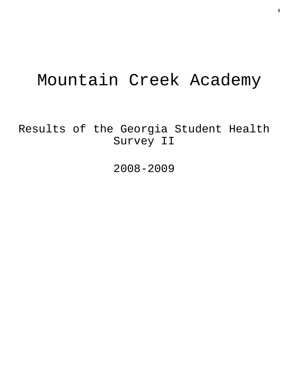# Mountain Creek Academy

Results of the Georgia Student Health Survey II

2008-2009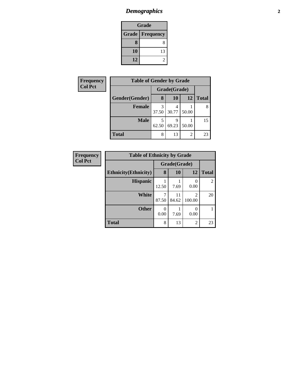# *Demographics* **2**

| Grade |                          |  |  |  |
|-------|--------------------------|--|--|--|
|       | <b>Grade   Frequency</b> |  |  |  |
| 8     | Ջ                        |  |  |  |
| 10    | 13                       |  |  |  |
| 12    |                          |  |  |  |

| Frequency      | <b>Table of Gender by Grade</b> |              |       |       |              |  |
|----------------|---------------------------------|--------------|-------|-------|--------------|--|
| <b>Col Pct</b> |                                 | Grade(Grade) |       |       |              |  |
|                | Gender(Gender)                  | 8            | 10    | 12    | <b>Total</b> |  |
|                | <b>Female</b>                   | 37.50        | 30.77 | 50.00 | 8            |  |
|                | <b>Male</b>                     | 62.50        | 69.23 | 50.00 | 15           |  |
|                | <b>Total</b>                    | 8            | 13    | 2     | 23           |  |

| Frequency      | <b>Table of Ethnicity by Grade</b> |            |              |                          |              |  |
|----------------|------------------------------------|------------|--------------|--------------------------|--------------|--|
| <b>Col Pct</b> |                                    |            | Grade(Grade) |                          |              |  |
|                | <b>Ethnicity</b> (Ethnicity)       | 8          | <b>10</b>    | 12                       | <b>Total</b> |  |
|                | <b>Hispanic</b>                    | 12.50      | 7.69         | 0.00                     | 2            |  |
|                | <b>White</b>                       | 7<br>87.50 | 11<br>84.62  | $\mathfrak{D}$<br>100.00 | 20           |  |
|                | <b>Other</b>                       | 0<br>0.00  | 7.69         | 0.00                     |              |  |
|                | <b>Total</b>                       | 8          | 13           | $\overline{2}$           | 23           |  |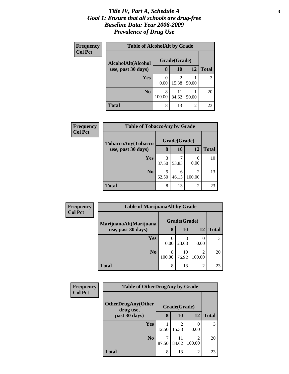#### *Title IV, Part A, Schedule A* **3** *Goal 1: Ensure that all schools are drug-free Baseline Data: Year 2008-2009 Prevalence of Drug Use*

| Frequency      | <b>Table of AlcoholAlt by Grade</b> |              |             |                |              |  |
|----------------|-------------------------------------|--------------|-------------|----------------|--------------|--|
| <b>Col Pct</b> | AlcoholAlt(Alcohol                  | Grade(Grade) |             |                |              |  |
|                | use, past 30 days)                  | 8            | 10          | 12             | <b>Total</b> |  |
|                | <b>Yes</b>                          | 0<br>0.00    | 2<br>15.38  | 50.00          |              |  |
|                | N <sub>0</sub>                      | 8<br>100.00  | 11<br>84.62 | 50.00          | 20           |  |
|                | Total                               | 8            | 13          | $\overline{2}$ | 23           |  |

| <b>Frequency</b> | <b>Table of TobaccoAny by Grade</b> |            |              |                          |              |
|------------------|-------------------------------------|------------|--------------|--------------------------|--------------|
| <b>Col Pct</b>   | TobaccoAny(Tobacco                  |            | Grade(Grade) |                          |              |
|                  | use, past 30 days)                  | 8          | 10           | 12                       | <b>Total</b> |
|                  | Yes                                 | 3<br>37.50 | 53.85        | 0.00                     | 10           |
|                  | No.                                 | 5<br>62.50 | 6<br>46.15   | $\mathfrak{D}$<br>100.00 | 13           |
|                  | <b>Total</b>                        | 8          | 13           | $\mathfrak{D}$           | 23           |

| Frequency      | <b>Table of MarijuanaAlt by Grade</b> |              |             |                                       |              |  |
|----------------|---------------------------------------|--------------|-------------|---------------------------------------|--------------|--|
| <b>Col Pct</b> | MarijuanaAlt(Marijuana                | Grade(Grade) |             |                                       |              |  |
|                | use, past 30 days)                    | 8            | <b>10</b>   | 12                                    | <b>Total</b> |  |
|                | Yes                                   | 0.00         | 23.08       | 0.00                                  |              |  |
|                | N <sub>0</sub>                        | 8<br>100.00  | 10<br>76.92 | $\mathcal{D}_{\mathcal{A}}$<br>100.00 | 20           |  |
|                | <b>Total</b>                          | 8            | 13          | $\overline{2}$                        | 23           |  |

| <b>Frequency</b><br><b>Col Pct</b> | <b>Table of OtherDrugAny by Grade</b>  |            |              |                |              |
|------------------------------------|----------------------------------------|------------|--------------|----------------|--------------|
|                                    | <b>OtherDrugAny(Other</b><br>drug use, |            | Grade(Grade) |                |              |
|                                    | past 30 days)                          | 8          | 10           | 12             | <b>Total</b> |
|                                    | Yes                                    | 12.50      | 2<br>15.38   | 0.00           | 3            |
|                                    | N <sub>o</sub>                         | 7<br>87.50 | 11<br>84.62  | 2<br>100.00    | 20           |
|                                    | <b>Total</b>                           | 8          | 13           | $\overline{2}$ | 23           |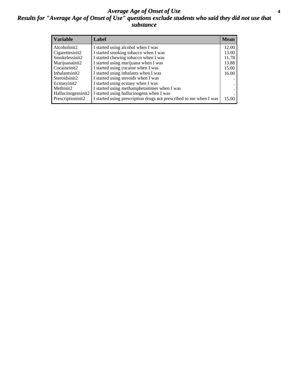#### *Average Age of Onset of Use* **4** *Results for "Average Age of Onset of Use" questions exclude students who said they did not use that substance*

| <b>Variable</b>    | Label                                                              | <b>Mean</b> |
|--------------------|--------------------------------------------------------------------|-------------|
| Alcoholinit2       | I started using alcohol when I was                                 | 12.00       |
| Cigarettesinit2    | I started smoking tobacco when I was                               | 13.00       |
| Smokelessinit2     | I started chewing tobacco when I was                               | 11.78       |
| Marijuanainit2     | I started using marijuana when I was                               | 13.88       |
| Cocaineinit2       | I started using cocaine when I was                                 | 15.00       |
| Inhalantsinit2     | I started using inhalants when I was                               | 16.00       |
| Steroidsinit2      | I started using steroids when I was                                |             |
| Ecstasyinit2       | I started using ecstasy when I was                                 |             |
| Methinit2          | I started using methamphetamines when I was                        |             |
| Hallucinogensinit2 | I started using hallucinogens when I was                           |             |
| Prescriptioninit2  | I started using prescription drugs not prescribed to me when I was | 15.00       |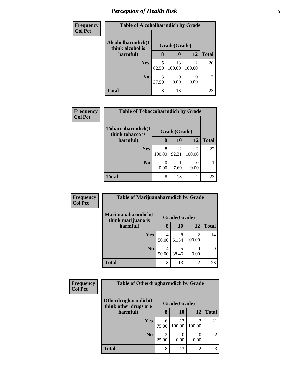# *Perception of Health Risk* **5**

| Frequency      | <b>Table of Alcoholharmdich by Grade</b> |              |              |                |              |
|----------------|------------------------------------------|--------------|--------------|----------------|--------------|
| <b>Col Pct</b> | Alcoholharmdich(I<br>think alcohol is    | Grade(Grade) |              |                |              |
|                | harmful)                                 | 8            | <b>10</b>    | <b>12</b>      | <b>Total</b> |
|                | Yes                                      | 5<br>62.50   | 13<br>100.00 | 2<br>100.00    | 20           |
|                | N <sub>0</sub>                           | 3<br>37.50   | 0.00         | 0.00           | 3            |
|                | <b>Total</b>                             | 8            | 13           | $\overline{2}$ | 23           |

| <b>Frequency</b> | <b>Table of Tobaccoharmdich by Grade</b> |                  |             |                          |              |
|------------------|------------------------------------------|------------------|-------------|--------------------------|--------------|
| <b>Col Pct</b>   | Tobaccoharmdich(I<br>think tobacco is    | Grade(Grade)     |             |                          |              |
|                  | harmful)                                 | 8                | 10          | 12                       | <b>Total</b> |
|                  | <b>Yes</b>                               | 8<br>100.00      | 12<br>92.31 | $\mathfrak{D}$<br>100.00 | 22           |
|                  | N <sub>0</sub>                           | $\theta$<br>0.00 | 7.69        | 0.00                     |              |
|                  | <b>Total</b>                             | 8                | 13          | 2                        | 23           |

| Frequency      | <b>Table of Marijuanaharmdich by Grade</b> |              |            |                          |              |
|----------------|--------------------------------------------|--------------|------------|--------------------------|--------------|
| <b>Col Pct</b> | Marijuanaharmdich(I<br>think marijuana is  | Grade(Grade) |            |                          |              |
|                | harmful)                                   | 8            | 10         | 12                       | <b>Total</b> |
|                | Yes                                        | 4<br>50.00   | 8<br>61.54 | $\mathfrak{D}$<br>100.00 | 14           |
|                | N <sub>0</sub>                             | 4<br>50.00   | 5<br>38.46 | 0.00                     | Q            |
|                | <b>Total</b>                               | 8            | 13         | 2                        | 23           |

| Frequency<br><b>Col Pct</b> | <b>Table of Otherdrugharmdich by Grade</b>   |              |              |                          |                |
|-----------------------------|----------------------------------------------|--------------|--------------|--------------------------|----------------|
|                             | Otherdrugharmdich(I<br>think other drugs are | Grade(Grade) |              |                          |                |
|                             | harmful)                                     | 8            | 10           | 12                       | <b>Total</b>   |
|                             | Yes                                          | 6<br>75.00   | 13<br>100.00 | $\mathfrak{D}$<br>100.00 | 21             |
|                             | N <sub>0</sub>                               | 25.00        | 0.00         | 0.00                     | $\overline{c}$ |
|                             | <b>Total</b>                                 | 8            | 13           | $\overline{2}$           | 23             |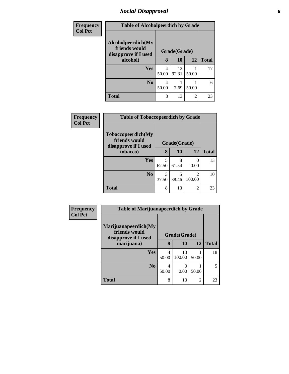# *Social Disapproval* **6**

| <b>Frequency</b> | <b>Table of Alcoholpeerdich by Grade</b>                    |              |             |                |              |
|------------------|-------------------------------------------------------------|--------------|-------------|----------------|--------------|
| <b>Col Pct</b>   | Alcoholpeerdich(My<br>friends would<br>disapprove if I used | Grade(Grade) |             |                |              |
|                  | alcohol)                                                    | 8            | 10          | 12             | <b>Total</b> |
|                  | <b>Yes</b>                                                  | 4<br>50.00   | 12<br>92.31 | 50.00          | 17           |
|                  | N <sub>0</sub>                                              | 4<br>50.00   | 7.69        | 50.00          | 6            |
|                  | <b>Total</b>                                                | 8            | 13          | $\overline{c}$ | 23           |

| Frequency<br><b>Col Pct</b> | <b>Table of Tobaccopeerdich by Grade</b>                    |            |              |                          |              |  |
|-----------------------------|-------------------------------------------------------------|------------|--------------|--------------------------|--------------|--|
|                             | Tobaccopeerdich(My<br>friends would<br>disapprove if I used |            | Grade(Grade) |                          |              |  |
|                             | tobacco)                                                    | 8          | 10           | 12                       | <b>Total</b> |  |
|                             | <b>Yes</b>                                                  | 5<br>62.50 | 8<br>61.54   | 0<br>0.00                | 13           |  |
|                             | N <sub>0</sub>                                              | 3<br>37.50 | 5<br>38.46   | $\mathfrak{D}$<br>100.00 | 10           |  |
|                             | <b>Total</b>                                                | 8          | 13           | $\overline{2}$           | 23           |  |

| <b>Frequency</b> | <b>Table of Marijuanapeerdich by Grade</b>                    |              |              |                |              |  |
|------------------|---------------------------------------------------------------|--------------|--------------|----------------|--------------|--|
| <b>Col Pct</b>   | Marijuanapeerdich(My<br>friends would<br>disapprove if I used | Grade(Grade) |              |                |              |  |
|                  | marijuana)                                                    | 8            | <b>10</b>    | 12             | <b>Total</b> |  |
|                  | <b>Yes</b>                                                    | 4<br>50.00   | 13<br>100.00 | 50.00          | 18           |  |
|                  | N <sub>0</sub>                                                | 4<br>50.00   | 0.00         | 50.00          | 5            |  |
|                  | <b>Total</b>                                                  | 8            | 13           | $\overline{c}$ | 23           |  |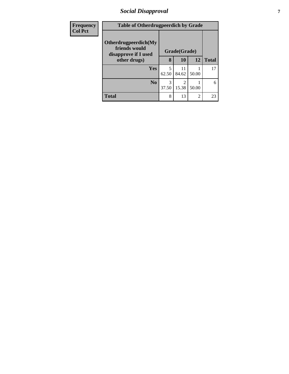# *Social Disapproval* **7**

| <b>Frequency</b> | <b>Table of Otherdrugpeerdich by Grade</b>                    |              |             |                |              |
|------------------|---------------------------------------------------------------|--------------|-------------|----------------|--------------|
| <b>Col Pct</b>   | Otherdrugpeerdich(My<br>friends would<br>disapprove if I used | Grade(Grade) |             |                |              |
|                  | other drugs)                                                  | 8            | 10          | 12             | <b>Total</b> |
|                  | <b>Yes</b>                                                    | 5<br>62.50   | 11<br>84.62 | 50.00          | 17           |
|                  | N <sub>0</sub>                                                | 3<br>37.50   | 2<br>15.38  | 50.00          | 6            |
|                  | <b>Total</b>                                                  | 8            | 13          | $\overline{2}$ | 23           |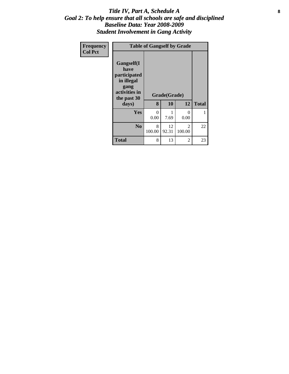#### Title IV, Part A, Schedule A **8** *Goal 2: To help ensure that all schools are safe and disciplined Baseline Data: Year 2008-2009 Student Involvement in Gang Activity*

| Frequency<br><b>Col Pct</b> | <b>Table of Gangself by Grade</b>                                                                 |                        |                    |                           |              |  |  |
|-----------------------------|---------------------------------------------------------------------------------------------------|------------------------|--------------------|---------------------------|--------------|--|--|
|                             | Gangself(I<br>have<br>participated<br>in illegal<br>gang<br>activities in<br>the past 30<br>days) | 8                      | Grade(Grade)<br>10 | 12                        | <b>Total</b> |  |  |
|                             | Yes                                                                                               | $\overline{0}$<br>0.00 | 7.69               | $\mathbf{\Omega}$<br>0.00 | 1            |  |  |
|                             | N <sub>0</sub>                                                                                    | 8<br>100.00            | 12<br>92.31        | $\mathfrak{D}$<br>100.00  | 22           |  |  |
|                             | <b>Total</b>                                                                                      | 8                      | 13                 | 2                         | 23           |  |  |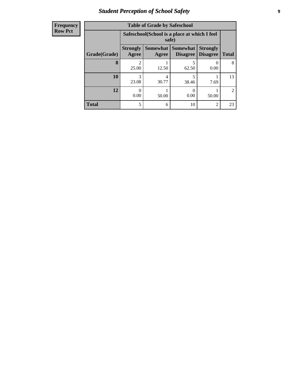# *Student Perception of School Safety* **9**

| <b>Frequency</b> |
|------------------|
| <b>Row Pct</b>   |

| <b>Table of Grade by Safeschool</b> |                          |                                                        |                                    |                                    |                |  |  |  |
|-------------------------------------|--------------------------|--------------------------------------------------------|------------------------------------|------------------------------------|----------------|--|--|--|
|                                     |                          | Safeschool (School is a place at which I feel<br>safe) |                                    |                                    |                |  |  |  |
| Grade(Grade)                        | <b>Strongly</b><br>Agree | Somewhat  <br>Agree                                    | <b>Somewhat</b><br><b>Disagree</b> | <b>Strongly</b><br><b>Disagree</b> | <b>Total</b>   |  |  |  |
| 8                                   | 25.00                    | 12.50                                                  | 5<br>62.50                         | 0.00                               | 8              |  |  |  |
| 10                                  | 3<br>23.08               | 4<br>30.77                                             | 5<br>38.46                         | 7.69                               | 13             |  |  |  |
| 12                                  | 0.00                     | 50.00                                                  | 0.00                               | 50.00                              | $\overline{2}$ |  |  |  |
| <b>Total</b>                        | 5                        | 6                                                      | 10                                 | $\overline{2}$                     | 23             |  |  |  |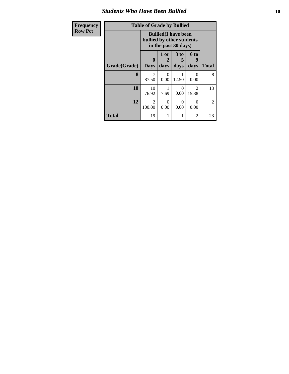#### *Students Who Have Been Bullied* **10**

| Frequency      | <b>Table of Grade by Bullied</b> |                                                                                  |                        |           |                         |                |  |
|----------------|----------------------------------|----------------------------------------------------------------------------------|------------------------|-----------|-------------------------|----------------|--|
| <b>Row Pct</b> |                                  | <b>Bullied</b> (I have been<br>bullied by other students<br>in the past 30 days) |                        |           |                         |                |  |
|                |                                  |                                                                                  | 1 or<br>$\overline{2}$ | 3 to<br>5 | <b>6 to</b><br>g        |                |  |
|                | Grade(Grade)                     | <b>Days</b>                                                                      | days                   | days      | days                    | <b>Total</b>   |  |
|                | 8                                | 87.50                                                                            | $\Omega$<br>0.00       | 12.50     | 0<br>0.00               | 8              |  |
|                | 10                               | 10<br>76.92                                                                      | 7.69                   | 0<br>0.00 | $\mathfrak{D}$<br>15.38 | 13             |  |
|                | 12                               | $\mathfrak{D}$<br>100.00                                                         | $\Omega$<br>0.00       | 0<br>0.00 | 0<br>0.00               | $\overline{2}$ |  |
|                | <b>Total</b>                     | 19                                                                               | 1                      | 1         | 2                       | 23             |  |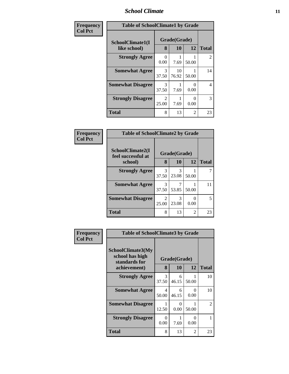### *School Climate* **11**

| Frequency      | <b>Table of SchoolClimate1 by Grade</b> |                         |                    |                  |                |
|----------------|-----------------------------------------|-------------------------|--------------------|------------------|----------------|
| <b>Col Pct</b> | SchoolClimate1(I<br>like school)        | 8                       | Grade(Grade)<br>10 | 12               | <b>Total</b>   |
|                | <b>Strongly Agree</b>                   | $\Omega$<br>0.00        | 7.69               | 50.00            | $\overline{2}$ |
|                | <b>Somewhat Agree</b>                   | 3<br>37.50              | 10<br>76.92        | 50.00            | 14             |
|                | <b>Somewhat Disagree</b>                | 3<br>37.50              | 7.69               | $\Omega$<br>0.00 | $\overline{4}$ |
|                | <b>Strongly Disagree</b>                | $\overline{2}$<br>25.00 | 7.69               | 0<br>0.00        | 3              |
|                | <b>Total</b>                            | 8                       | 13                 | 2                | 23             |

| Frequency      | <b>Table of SchoolClimate2 by Grade</b> |                        |              |       |              |  |
|----------------|-----------------------------------------|------------------------|--------------|-------|--------------|--|
| <b>Col Pct</b> | SchoolClimate2(I<br>feel successful at  |                        | Grade(Grade) |       |              |  |
|                | school)                                 | 8                      | 10           | 12    | <b>Total</b> |  |
|                | <b>Strongly Agree</b>                   | 3<br>37.50             | 3<br>23.08   | 50.00 |              |  |
|                | <b>Somewhat Agree</b>                   | $\mathcal{F}$<br>37.50 | 53.85        | 50.00 | 11           |  |
|                | <b>Somewhat Disagree</b>                | 2<br>25.00             | 3<br>23.08   | 0.00  | 5            |  |
|                | <b>Total</b>                            | 8                      | 13           | 2     | 23           |  |

| Frequency      | <b>Table of SchoolClimate3 by Grade</b>                               |                  |                    |                |                |
|----------------|-----------------------------------------------------------------------|------------------|--------------------|----------------|----------------|
| <b>Col Pct</b> | SchoolClimate3(My<br>school has high<br>standards for<br>achievement) | 8                | Grade(Grade)<br>10 | 12             | <b>Total</b>   |
|                |                                                                       |                  |                    |                |                |
|                | <b>Strongly Agree</b>                                                 | 3<br>37.50       | 6<br>46.15         | 50.00          | 10             |
|                | <b>Somewhat Agree</b>                                                 | 4<br>50.00       | 6<br>46.15         | 0<br>0.00      | 10             |
|                | <b>Somewhat Disagree</b>                                              | 1<br>12.50       | 0<br>0.00          | 50.00          | $\mathfrak{D}$ |
|                | <b>Strongly Disagree</b>                                              | $\Omega$<br>0.00 | 7.69               | 0<br>0.00      |                |
|                | Total                                                                 | 8                | 13                 | $\overline{c}$ | 23             |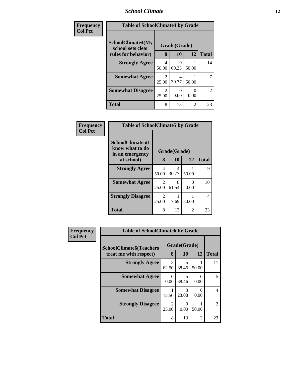## *School Climate* **12**

| Frequency      | <b>Table of SchoolClimate4 by Grade</b>       |            |                           |       |              |
|----------------|-----------------------------------------------|------------|---------------------------|-------|--------------|
| <b>Col Pct</b> | <b>SchoolClimate4(My</b><br>school sets clear |            | Grade(Grade)              |       |              |
|                | rules for behavior)                           | 8          | 10                        | 12    | <b>Total</b> |
|                | <b>Strongly Agree</b>                         | 4<br>50.00 | Q<br>69.23                | 50.00 | 14           |
|                | <b>Somewhat Agree</b>                         | 2<br>25.00 | 4<br>30.77                | 50.00 | 7            |
|                | <b>Somewhat Disagree</b>                      | 2<br>25.00 | $\mathbf{\Omega}$<br>0.00 | 0.00  | 2            |
|                | <b>Total</b>                                  | 8          | 13                        | 2     | 23           |

| Frequency      | <b>Table of SchoolClimate5 by Grade</b>                |                                      |            |                      |              |
|----------------|--------------------------------------------------------|--------------------------------------|------------|----------------------|--------------|
| <b>Col Pct</b> | SchoolClimate5(I<br>know what to do<br>in an emergency | Grade(Grade)<br>8<br><b>12</b><br>10 |            |                      |              |
|                | at school)                                             |                                      |            |                      | <b>Total</b> |
|                | <b>Strongly Agree</b>                                  | 4<br>50.00                           | 4<br>30.77 | 50.00                | 9            |
|                | <b>Somewhat Agree</b>                                  | $\mathcal{D}_{\mathcal{L}}$<br>25.00 | 8<br>61.54 | $\mathbf{0}$<br>0.00 | 10           |
|                | <b>Strongly Disagree</b>                               | $\mathfrak{D}$<br>25.00              | 7.69       | 50.00                | 4            |
|                | <b>Total</b>                                           | 8                                    | 13         | 2                    | 23           |

| <b>Frequency</b> | <b>Table of SchoolClimate6 by Grade</b>                  |                                   |                    |       |                |
|------------------|----------------------------------------------------------|-----------------------------------|--------------------|-------|----------------|
| <b>Col Pct</b>   | <b>SchoolClimate6(Teachers</b><br>treat me with respect) | 8                                 | Grade(Grade)<br>10 | 12    | <b>Total</b>   |
|                  | <b>Strongly Agree</b>                                    | $\overline{\phantom{0}}$<br>62.50 | 5<br>38.46         | 50.00 | 11             |
|                  | <b>Somewhat Agree</b>                                    | ∩<br>0.00                         | 5<br>38.46         | 0.00  | 5              |
|                  | <b>Somewhat Disagree</b>                                 | 12.50                             | 3<br>23.08         | 0.00  | $\overline{4}$ |
|                  | <b>Strongly Disagree</b>                                 | $\mathfrak{D}$<br>25.00           | 0<br>0.00          | 50.00 | 3              |
|                  | <b>Total</b>                                             | 8                                 | 13                 | 2     | 23             |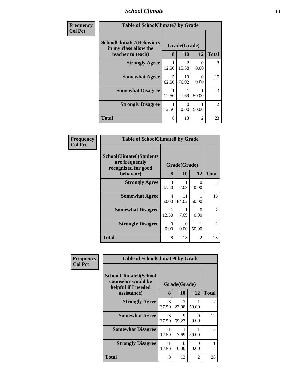### *School Climate* **13**

| <b>Frequency</b><br><b>Col Pct</b> | <b>Table of SchoolClimate7 by Grade</b>                                       |            |                        |                  |                |
|------------------------------------|-------------------------------------------------------------------------------|------------|------------------------|------------------|----------------|
|                                    | <b>SchoolClimate7(Behaviors</b><br>in my class allow the<br>teacher to teach) | 8          | Grade(Grade)<br>10     | 12               | <b>Total</b>   |
|                                    | <b>Strongly Agree</b>                                                         | 12.50      | $\mathcal{D}$<br>15.38 | 0<br>0.00        | 3              |
|                                    | <b>Somewhat Agree</b>                                                         | 5<br>62.50 | 10<br>76.92            | $\theta$<br>0.00 | 15             |
|                                    | <b>Somewhat Disagree</b>                                                      | 12.50      | 7.69                   | 50.00            | 3              |
|                                    | <b>Strongly Disagree</b>                                                      | 12.50      | 0.00                   | 50.00            | $\overline{2}$ |
|                                    | <b>Total</b>                                                                  | 8          | 13                     | $\overline{2}$   | 23             |

| Frequency      | <b>Table of SchoolClimate8 by Grade</b>                                 |            |              |                |                |
|----------------|-------------------------------------------------------------------------|------------|--------------|----------------|----------------|
| <b>Col Pct</b> | <b>SchoolClimate8(Students</b><br>are frequently<br>recognized for good |            | Grade(Grade) |                |                |
|                | behavior)                                                               | 8          | 10           | 12             | <b>Total</b>   |
|                | <b>Strongly Agree</b>                                                   | 3<br>37.50 | 7.69         | $\cup$<br>0.00 | $\overline{4}$ |
|                | <b>Somewhat Agree</b>                                                   | 4<br>50.00 | 11<br>84.62  | 50.00          | 16             |
|                | <b>Somewhat Disagree</b>                                                | 1<br>12.50 | 7.69         | 0<br>0.00      | 2              |
|                | <b>Strongly Disagree</b>                                                | 0<br>0.00  | 0<br>0.00    | 50.00          |                |
|                | <b>Total</b>                                                            | 8          | 13           | 2              | 23             |

| Frequency      | <b>Table of SchoolClimate9 by Grade</b>                                           |            |                           |                  |              |
|----------------|-----------------------------------------------------------------------------------|------------|---------------------------|------------------|--------------|
| <b>Col Pct</b> | SchoolClimate9(School<br>counselor would be<br>helpful if I needed<br>assistance) | 8          | Grade(Grade)<br>10        | 12               | <b>Total</b> |
|                | <b>Strongly Agree</b>                                                             | 3          | 3                         |                  | 7            |
|                |                                                                                   | 37.50      | 23.08                     | 50.00            |              |
|                | <b>Somewhat Agree</b>                                                             | 3<br>37.50 | 9<br>69.23                | $\Omega$<br>0.00 | 12           |
|                | <b>Somewhat Disagree</b>                                                          | 12.50      | 7.69                      | 50.00            | 3            |
|                | <b>Strongly Disagree</b>                                                          | 12.50      | $\mathbf{\Omega}$<br>0.00 | $\Omega$<br>0.00 | 1            |
|                | <b>Total</b>                                                                      | 8          | 13                        | $\overline{2}$   | 23           |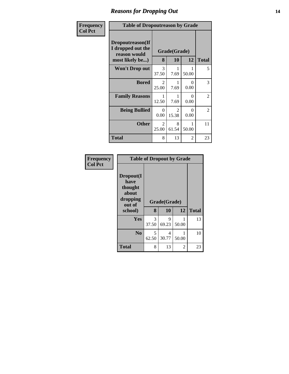## *Reasons for Dropping Out* **14**

| Frequency      | <b>Table of Dropoutreason by Grade</b>                                   |                  |                         |                      |              |
|----------------|--------------------------------------------------------------------------|------------------|-------------------------|----------------------|--------------|
| <b>Col Pct</b> | Dropoutreason(If<br>I dropped out the<br>reason would<br>most likely be) | 8                | Grade(Grade)<br>10      | 12                   | <b>Total</b> |
|                | <b>Won't Drop out</b>                                                    | 3<br>37.50       | 7.69                    | 50.00                | 5            |
|                | <b>Bored</b>                                                             | 2<br>25.00       | 7.69                    | $\mathbf{0}$<br>0.00 | 3            |
|                | <b>Family Reasons</b>                                                    | 12.50            | 7.69                    | $\Omega$<br>0.00     | 2            |
|                | <b>Being Bullied</b>                                                     | $\Omega$<br>0.00 | $\mathfrak{D}$<br>15.38 | ∩<br>0.00            | 2            |
|                | <b>Other</b>                                                             | 2<br>25.00       | 8<br>61.54              | 50.00                | 11           |
|                | Total                                                                    | 8                | 13                      | 2                    | 23           |

| Frequency      | <b>Table of Dropout by Grade</b>                                       |            |                    |       |              |
|----------------|------------------------------------------------------------------------|------------|--------------------|-------|--------------|
| <b>Col Pct</b> | Dropout(I<br>have<br>thought<br>about<br>dropping<br>out of<br>school) | 8          | Grade(Grade)<br>10 | 12    | <b>Total</b> |
|                | Yes                                                                    | 3<br>37.50 | 9<br>69.23         | 50.00 | 13           |
|                | N <sub>0</sub>                                                         | 5<br>62.50 | 4<br>30.77         | 50.00 | 10           |
|                | <b>Total</b>                                                           | 8          | 13                 | 2     | 23           |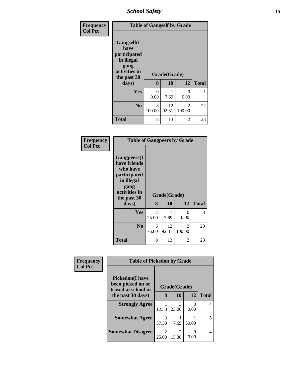*School Safety* **15**

| Frequency<br><b>Col Pct</b> |                                                                                                   | <b>Table of Gangself by Grade</b> |                    |                          |              |
|-----------------------------|---------------------------------------------------------------------------------------------------|-----------------------------------|--------------------|--------------------------|--------------|
|                             | Gangself(I<br>have<br>participated<br>in illegal<br>gang<br>activities in<br>the past 30<br>days) | 8                                 | Grade(Grade)<br>10 | 12                       | <b>Total</b> |
|                             | Yes                                                                                               | 0<br>0.00                         | 7.69               | ∩<br>0.00                |              |
|                             | N <sub>0</sub>                                                                                    | 8<br>100.00                       | 12<br>92.31        | $\mathfrak{D}$<br>100.00 | 22           |
|                             | <b>Total</b>                                                                                      | 8                                 | 13                 | 2                        | 23           |

#### **Frequency Col Pct**

| <b>Table of Gangpeers by Grade</b>                                                                                    |            |              |                          |              |  |  |  |
|-----------------------------------------------------------------------------------------------------------------------|------------|--------------|--------------------------|--------------|--|--|--|
| <b>Gangpeers</b> (I<br>have friends<br>who have<br>participated<br>in illegal<br>gang<br>activities in<br>the past 30 |            | Grade(Grade) |                          |              |  |  |  |
| days)                                                                                                                 | 8          | 10           | 12                       | <b>Total</b> |  |  |  |
|                                                                                                                       |            |              |                          |              |  |  |  |
| Yes                                                                                                                   | 2<br>25.00 | 1<br>7.69    | 0<br>0.00                | 3            |  |  |  |
| No                                                                                                                    | 6<br>75.00 | 12<br>92.31  | $\mathfrak{D}$<br>100.00 | 20           |  |  |  |

| Frequency      | <b>Table of Pickedon by Grade</b>                                   |            |              |       |              |
|----------------|---------------------------------------------------------------------|------------|--------------|-------|--------------|
| <b>Col Pct</b> | <b>Pickedon</b> (I have<br>been picked on or<br>teased at school in |            | Grade(Grade) |       |              |
|                | the past 30 days)                                                   | 8          | 10           | 12    | <b>Total</b> |
|                | <b>Strongly Agree</b>                                               | 12.50      | 3<br>23.08   | 0.00  | 4            |
|                | <b>Somewhat Agree</b>                                               | 3<br>37.50 | 7.69         | 50.00 | 5            |
|                | <b>Somewhat Disagree</b>                                            | 2<br>25.00 | 2<br>15.38   | 0.00  | 4            |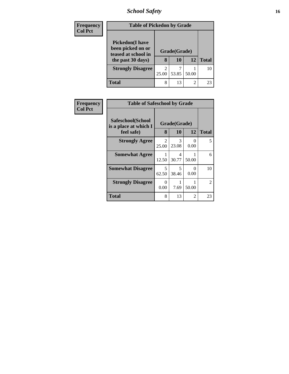# *School Safety* **16**

| <b>Frequency</b> | <b>Table of Pickedon by Grade</b>                                                        |                         |                    |           |              |
|------------------|------------------------------------------------------------------------------------------|-------------------------|--------------------|-----------|--------------|
| <b>Col Pct</b>   | <b>Pickedon</b> (I have<br>been picked on or<br>teased at school in<br>the past 30 days) | 8                       | Grade(Grade)<br>10 | <b>12</b> | <b>Total</b> |
|                  | <b>Strongly Disagree</b>                                                                 | $\overline{2}$<br>25.00 | 53.85              | 50.00     | 10           |
|                  | Total                                                                                    | 8                       | 13                 | 2         | 23           |

| Frequency<br><b>Col Pct</b> | <b>Table of Safeschool by Grade</b>                      |            |                    |           |              |
|-----------------------------|----------------------------------------------------------|------------|--------------------|-----------|--------------|
|                             | Safeschool(School<br>is a place at which I<br>feel safe) | 8          | Grade(Grade)<br>10 | 12        | <b>Total</b> |
|                             | <b>Strongly Agree</b>                                    | 2<br>25.00 | 3<br>23.08         | 0<br>0.00 | 5            |
|                             | <b>Somewhat Agree</b>                                    | 1<br>12.50 | 4<br>30.77         | 50.00     | 6            |
|                             | <b>Somewhat Disagree</b>                                 | 5<br>62.50 | 5<br>38.46         | 0<br>0.00 | 10           |
|                             | <b>Strongly Disagree</b>                                 | 0<br>0.00  | 7.69               | 50.00     | 2            |
|                             | Total                                                    | 8          | 13                 | 2         | 23           |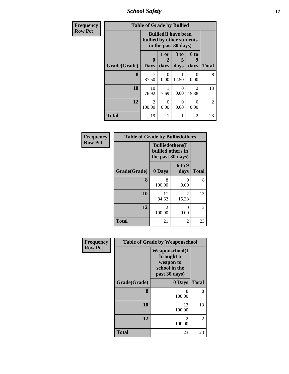*School Safety* **17**

| Frequency      | <b>Table of Grade by Bullied</b> |                                                                                  |                  |                      |                         |                |
|----------------|----------------------------------|----------------------------------------------------------------------------------|------------------|----------------------|-------------------------|----------------|
| <b>Row Pct</b> |                                  | <b>Bullied</b> (I have been<br>bullied by other students<br>in the past 30 days) |                  |                      |                         |                |
|                |                                  | $\bf{0}$                                                                         | 1 or             | 3 <sub>to</sub><br>5 | 6 to<br>g               |                |
|                | Grade(Grade)                     | <b>Days</b>                                                                      | days             | days                 | days                    | <b>Total</b>   |
|                | 8                                | 87.50                                                                            | $\Omega$<br>0.00 | 12.50                | 0<br>0.00               | 8              |
|                | 10                               | 10<br>76.92                                                                      | 7.69             | $\Omega$<br>0.00     | $\overline{2}$<br>15.38 | 13             |
|                | 12                               | $\mathcal{D}_{\mathcal{L}}$<br>100.00                                            | 0<br>0.00        | $\Omega$<br>0.00     | 0<br>0.00               | $\mathfrak{D}$ |
|                | <b>Total</b>                     | 19                                                                               |                  |                      | 2                       | 23             |

| Frequency      | <b>Table of Grade by Bulliedothers</b> |                                                                   |                         |                |  |
|----------------|----------------------------------------|-------------------------------------------------------------------|-------------------------|----------------|--|
| <b>Row Pct</b> |                                        | <b>Bulliedothers</b> (I<br>bullied others in<br>the past 30 days) |                         |                |  |
|                | Grade(Grade)                           | 0 Days                                                            | <b>6 to 9</b><br>days   | <b>Total</b>   |  |
|                | 8                                      | 8<br>100.00                                                       | 0<br>0.00               | 8              |  |
|                | 10                                     | 11<br>84.62                                                       | $\mathfrak{D}$<br>15.38 | 13             |  |
|                | 12                                     | $\mathfrak{D}$<br>100.00                                          | 0<br>0.00               | $\overline{2}$ |  |
|                | <b>Total</b>                           | 21                                                                | $\mathfrak{D}$          | 23             |  |

| Frequency<br><b>Row Pct</b> | <b>Table of Grade by Weaponschool</b> |                                                                                    |               |  |
|-----------------------------|---------------------------------------|------------------------------------------------------------------------------------|---------------|--|
|                             |                                       | <b>Weaponschool</b> (I<br>brought a<br>weapon to<br>school in the<br>past 30 days) |               |  |
|                             | Grade(Grade)                          | 0 Days                                                                             | <b>Total</b>  |  |
|                             | 8                                     | 8<br>100.00                                                                        | 8             |  |
|                             | 10                                    | 13<br>100.00                                                                       | 13            |  |
|                             | 12                                    | $\mathfrak{D}$<br>100.00                                                           | $\mathcal{L}$ |  |
|                             | Total                                 | 23                                                                                 | 23            |  |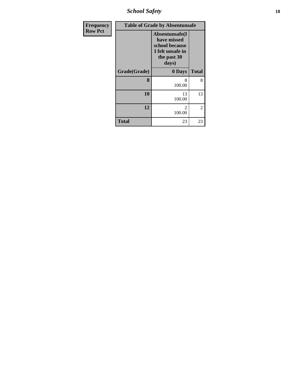*School Safety* **18**

| Frequency      | <b>Table of Grade by Absentunsafe</b> |                                                                                             |              |  |  |
|----------------|---------------------------------------|---------------------------------------------------------------------------------------------|--------------|--|--|
| <b>Row Pct</b> |                                       | Absentunsafe(I<br>have missed<br>school because<br>I felt unsafe in<br>the past 30<br>days) |              |  |  |
|                | Grade(Grade)                          | 0 Days                                                                                      | <b>Total</b> |  |  |
|                | 8                                     | 8<br>100.00                                                                                 | 8            |  |  |
|                | 10                                    | 13<br>100.00                                                                                | 13           |  |  |
|                | 12                                    | $\mathfrak{D}$<br>100.00                                                                    | 2            |  |  |
|                | <b>Total</b>                          | 23                                                                                          | 23           |  |  |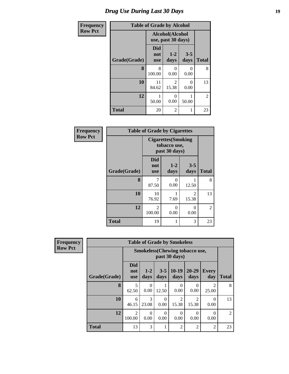# *Drug Use During Last 30 Days* **19**

| Frequency      | <b>Table of Grade by Alcohol</b> |                          |                                       |                  |                |  |
|----------------|----------------------------------|--------------------------|---------------------------------------|------------------|----------------|--|
| <b>Row Pct</b> |                                  |                          | Alcohol(Alcohol<br>use, past 30 days) |                  |                |  |
|                | Grade(Grade)                     | Did<br>not<br><b>use</b> | $1-2$<br>days                         | $3 - 5$<br>days  | <b>Total</b>   |  |
|                | 8                                | 8<br>100.00              | 0<br>0.00                             | 0<br>0.00        | 8              |  |
|                | 10                               | 11<br>84.62              | $\mathfrak{D}$<br>15.38               | $\Omega$<br>0.00 | 13             |  |
|                | 12                               | 50.00                    | 0<br>0.00                             | 50.00            | $\overline{2}$ |  |
|                | <b>Total</b>                     | 20                       | 2                                     | 1                | 23             |  |

| Frequency      | <b>Table of Grade by Cigarettes</b> |                                                             |               |                         |              |  |
|----------------|-------------------------------------|-------------------------------------------------------------|---------------|-------------------------|--------------|--|
| <b>Row Pct</b> |                                     | <b>Cigarettes</b> (Smoking<br>tobacco use,<br>past 30 days) |               |                         |              |  |
|                | Grade(Grade)                        | <b>Did</b><br>not<br><b>use</b>                             | $1-2$<br>days | $3 - 5$<br>days         | <b>Total</b> |  |
|                | 8                                   | 7<br>87.50                                                  | 0<br>0.00     | 12.50                   | 8            |  |
|                | 10                                  | 10<br>76.92                                                 | 1<br>7.69     | $\overline{2}$<br>15.38 | 13           |  |
|                | 12                                  | $\mathfrak{D}$<br>100.00                                    | 0<br>0.00     | $\Omega$<br>0.00        | 2            |  |
|                | <b>Total</b>                        | 19                                                          | 1             | 3                       | 23           |  |

| <b>Frequency</b> | <b>Table of Grade by Smokeless</b>                      |                                 |                  |                  |                         |                   |                         |              |
|------------------|---------------------------------------------------------|---------------------------------|------------------|------------------|-------------------------|-------------------|-------------------------|--------------|
| <b>Row Pct</b>   | <b>Smokeless</b> (Chewing tobacco use,<br>past 30 days) |                                 |                  |                  |                         |                   |                         |              |
|                  | Grade(Grade)                                            | <b>Did</b><br>not<br><b>use</b> | $1-2$<br>days    | $3 - 5$<br>days  | $10-19$<br>days         | $20 - 29$<br>days | <b>Every</b><br>day     | <b>Total</b> |
|                  | 8                                                       | 5<br>62.50                      | $\Omega$<br>0.00 | 12.50            | 0<br>0.00               | $\Omega$<br>0.00  | $\mathfrak{D}$<br>25.00 | 8            |
|                  | 10                                                      | 6<br>46.15                      | 3<br>23.08       | $\Omega$<br>0.00 | $\mathfrak{D}$<br>15.38 | 2<br>15.38        | $\Omega$<br>0.00        | 13           |
|                  | 12                                                      | $\mathfrak{D}$<br>100.00        | $\Omega$<br>0.00 | $\Omega$<br>0.00 | $\Omega$<br>0.00        | $\Omega$<br>0.00  | $\Omega$<br>0.00        | 2            |
|                  | <b>Total</b>                                            | 13                              | 3                |                  | $\overline{2}$          | $\overline{2}$    | $\overline{2}$          | 23           |

| Frequen        |  |
|----------------|--|
| <b>Row Pct</b> |  |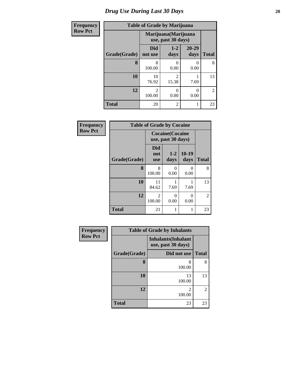# *Drug Use During Last 30 Days* 20

| Frequency      | <b>Table of Grade by Marijuana</b> |                          |                                            |               |                |
|----------------|------------------------------------|--------------------------|--------------------------------------------|---------------|----------------|
| <b>Row Pct</b> |                                    |                          | Marijuana (Marijuana<br>use, past 30 days) |               |                |
|                | Grade(Grade)                       | <b>Did</b><br>not use    | $1 - 2$<br>days                            | 20-29<br>days | <b>Total</b>   |
|                | 8                                  | 8<br>100.00              | 0.00                                       | 0.00          | 8              |
|                | 10                                 | 10<br>76.92              | $\mathfrak{D}$<br>15.38                    | 7.69          | 13             |
|                | 12                                 | $\overline{2}$<br>100.00 | 0<br>0.00                                  | 0.00          | $\overline{2}$ |
|                | <b>Total</b>                       | 20                       | $\overline{2}$                             | 1             | 23             |

| Frequency      | <b>Table of Grade by Cocaine</b> |                                               |                  |                |              |  |
|----------------|----------------------------------|-----------------------------------------------|------------------|----------------|--------------|--|
| <b>Row Pct</b> |                                  | <b>Cocaine</b> (Cocaine<br>use, past 30 days) |                  |                |              |  |
|                | Grade(Grade)                     | <b>Did</b><br>not<br><b>use</b>               | $1-2$<br>days    | 10-19<br>days  | <b>Total</b> |  |
|                | 8                                | 8<br>100.00                                   | 0<br>0.00        | $_{0}$<br>0.00 | 8            |  |
|                | 10                               | 11<br>84.62                                   | 7.69             | 7.69           | 13           |  |
|                | 12                               | $\mathfrak{D}$<br>100.00                      | $\theta$<br>0.00 | 0<br>0.00      | 2            |  |
|                | <b>Total</b>                     | 21                                            | 1                | 1              | 23           |  |

| Frequency      | <b>Table of Grade by Inhalants</b> |                                                  |                |  |  |
|----------------|------------------------------------|--------------------------------------------------|----------------|--|--|
| <b>Row Pct</b> |                                    | <b>Inhalants</b> (Inhalant<br>use, past 30 days) |                |  |  |
|                | Grade(Grade)                       | Did not use                                      | <b>Total</b>   |  |  |
|                | 8                                  | 8<br>100.00                                      | 8              |  |  |
|                | 10                                 | 13<br>100.00                                     | 13             |  |  |
|                | 12                                 | 100.00                                           | $\overline{2}$ |  |  |
|                | <b>Total</b>                       | 23                                               | 23             |  |  |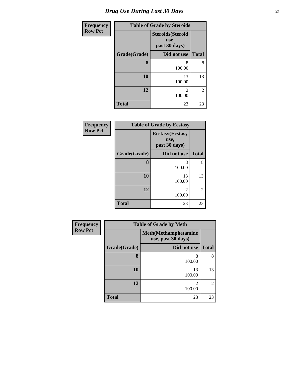| <b>Frequency</b> | <b>Table of Grade by Steroids</b> |                                                   |                |  |  |
|------------------|-----------------------------------|---------------------------------------------------|----------------|--|--|
| <b>Row Pct</b>   |                                   | <b>Steroids</b> (Steroid<br>use,<br>past 30 days) |                |  |  |
|                  | Grade(Grade)                      | Did not use                                       | <b>Total</b>   |  |  |
|                  | 8                                 | 8<br>100.00                                       | 8              |  |  |
|                  | 10                                | 13<br>100.00                                      | 13             |  |  |
|                  | 12                                | 2<br>100.00                                       | $\overline{2}$ |  |  |
|                  | <b>Total</b>                      | 23                                                | 23             |  |  |

| Frequency      | <b>Table of Grade by Ecstasy</b> |                                                  |                |  |  |
|----------------|----------------------------------|--------------------------------------------------|----------------|--|--|
| <b>Row Pct</b> |                                  | <b>Ecstasy</b> (Ecstasy<br>use,<br>past 30 days) |                |  |  |
|                | Grade(Grade)                     | Did not use                                      | <b>Total</b>   |  |  |
|                | 8                                | 8<br>100.00                                      | 8              |  |  |
|                | 10                               | 13<br>100.00                                     | 13             |  |  |
|                | 12                               | 2<br>100.00                                      | $\overline{2}$ |  |  |
|                | <b>Total</b>                     | 23                                               | 23             |  |  |

| Frequency      | <b>Table of Grade by Meth</b> |                                                    |                |  |  |  |
|----------------|-------------------------------|----------------------------------------------------|----------------|--|--|--|
| <b>Row Pct</b> |                               | <b>Meth</b> (Methamphetamine<br>use, past 30 days) |                |  |  |  |
|                | Grade(Grade)                  | Did not use                                        | <b>Total</b>   |  |  |  |
|                | 8                             | 8<br>100.00                                        | 8              |  |  |  |
|                | 10                            | 13<br>100.00                                       | 13             |  |  |  |
|                | 12                            | $\mathfrak{D}$<br>100.00                           | $\overline{2}$ |  |  |  |
|                | <b>Total</b>                  | 23                                                 | 23             |  |  |  |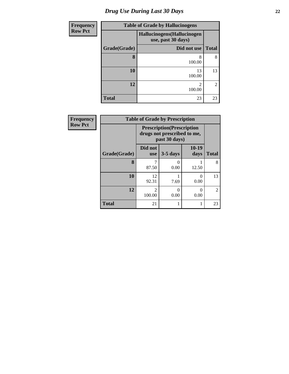# *Drug Use During Last 30 Days* **22**

| <b>Frequency</b> | <b>Table of Grade by Hallucinogens</b> |                                                  |                |  |  |  |
|------------------|----------------------------------------|--------------------------------------------------|----------------|--|--|--|
| <b>Row Pct</b>   |                                        | Hallucinogens(Hallucinogen<br>use, past 30 days) |                |  |  |  |
|                  | Grade(Grade)                           | Did not use                                      | <b>Total</b>   |  |  |  |
|                  | 8                                      | 8<br>100.00                                      | 8              |  |  |  |
|                  | 10                                     | 13<br>100.00                                     | 13             |  |  |  |
|                  | 12                                     | $\mathfrak{D}$<br>100.00                         | $\overline{c}$ |  |  |  |
|                  | <b>Total</b>                           | 23                                               | 23             |  |  |  |

| <b>Frequency</b> | <b>Table of Grade by Prescription</b> |                                                                                   |                  |                  |              |  |
|------------------|---------------------------------------|-----------------------------------------------------------------------------------|------------------|------------------|--------------|--|
| <b>Row Pct</b>   |                                       | <b>Prescription</b> (Prescription<br>drugs not prescribed to me,<br>past 30 days) |                  |                  |              |  |
|                  | Grade(Grade)                          | Did not<br><b>use</b>                                                             | $3-5$ days       | $10-19$<br>days  | <b>Total</b> |  |
|                  | 8                                     | 87.50                                                                             | $\Omega$<br>0.00 | 12.50            | 8            |  |
|                  | 10                                    | 12<br>92.31                                                                       | 7.69             | $\theta$<br>0.00 | 13           |  |
|                  | 12                                    | $\mathfrak{D}$<br>100.00                                                          | $\Omega$<br>0.00 | 0<br>0.00        | 2            |  |
|                  | <b>Total</b>                          | 21                                                                                | 1                | 1                | 23           |  |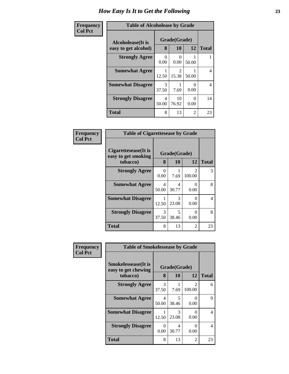#### **Frequency Col Pct**

| <b>Table of Alcoholease by Grade</b> |                  |                           |                           |              |  |
|--------------------------------------|------------------|---------------------------|---------------------------|--------------|--|
| Grade(Grade)<br>Alcoholease(It is    |                  |                           |                           |              |  |
| easy to get alcohol)                 | 8                | 10                        | 12                        | <b>Total</b> |  |
| <b>Strongly Agree</b>                | $\Omega$<br>0.00 | $\mathbf{\Omega}$<br>0.00 | 50.00                     |              |  |
| <b>Somewhat Agree</b>                | 12.50            | $\mathcal{L}$<br>15.38    | 50.00                     | 4            |  |
| <b>Somewhat Disagree</b>             | 3<br>37.50       | 7.69                      | 0.00                      | 4            |  |
| <b>Strongly Disagree</b>             | 4<br>50.00       | 10<br>76.92               | $\mathbf{\Omega}$<br>0.00 | 14           |  |
| Total                                | 8                | 13                        | 2                         | 23           |  |

| Frequency      | <b>Table of Cigarettesease by Grade</b>                 |            |                           |                                       |              |
|----------------|---------------------------------------------------------|------------|---------------------------|---------------------------------------|--------------|
| <b>Col Pct</b> | Cigarettesease(It is<br>easy to get smoking<br>tobacco) | 8          | Grade(Grade)<br><b>10</b> | 12                                    | <b>Total</b> |
|                | <b>Strongly Agree</b>                                   | 0<br>0.00  | 7.69                      | $\mathcal{D}_{\mathcal{A}}$<br>100.00 | 3            |
|                | <b>Somewhat Agree</b>                                   | 4<br>50.00 | 4<br>30.77                | ∩<br>0.00                             | 8            |
|                | <b>Somewhat Disagree</b>                                | 12.50      | 3<br>23.08                | ∩<br>0.00                             | 4            |
|                | <b>Strongly Disagree</b>                                | 3<br>37.50 | 5<br>38.46                | ∩<br>0.00                             | 8            |
|                | <b>Total</b>                                            | 8          | 13                        | 2                                     | 23           |

| Frequency      | <b>Table of Smokelessease by Grade</b>                         |            |                    |                          |              |
|----------------|----------------------------------------------------------------|------------|--------------------|--------------------------|--------------|
| <b>Col Pct</b> | <b>Smokelessease</b> (It is<br>easy to get chewing<br>tobacco) | 8          | Grade(Grade)<br>10 | 12                       | <b>Total</b> |
|                | <b>Strongly Agree</b>                                          | 3<br>37.50 | 7.69               | $\mathfrak{D}$<br>100.00 | 6            |
|                | <b>Somewhat Agree</b>                                          | 4<br>50.00 | 5<br>38.46         | $\Omega$<br>0.00         | 9            |
|                | <b>Somewhat Disagree</b>                                       | 12.50      | 3<br>23.08         | $\Omega$<br>0.00         | 4            |
|                | <b>Strongly Disagree</b>                                       | 0<br>0.00  | 4<br>30.77         | $\Omega$<br>0.00         | 4            |
|                | <b>Total</b>                                                   | 8          | 13                 | 2                        | 23           |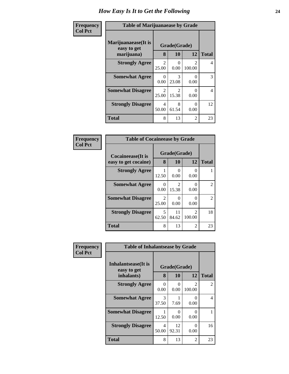| Frequency      | <b>Table of Marijuanaease by Grade</b>           |                         |                         |                           |              |
|----------------|--------------------------------------------------|-------------------------|-------------------------|---------------------------|--------------|
| <b>Col Pct</b> | Marijuanaease(It is<br>easy to get<br>marijuana) | 8                       | Grade(Grade)<br>10      | 12                        | <b>Total</b> |
|                | <b>Strongly Agree</b>                            | $\mathfrak{D}$<br>25.00 | 0<br>0.00               | $\mathcal{D}$<br>100.00   | 4            |
|                | <b>Somewhat Agree</b>                            | $\Omega$<br>0.00        | 3<br>23.08              | $\Omega$<br>0.00          | 3            |
|                | <b>Somewhat Disagree</b>                         | 2<br>25.00              | $\mathfrak{D}$<br>15.38 | $\mathbf{\Omega}$<br>0.00 | 4            |
|                | <b>Strongly Disagree</b>                         | 4<br>50.00              | 8<br>61.54              | $\Omega$<br>0.00          | 12           |
|                | <b>Total</b>                                     | 8                       | 13                      | 2                         | 23           |

| Frequency      | <b>Table of Cocaineease by Grade</b>          |                         |                                      |                          |                |
|----------------|-----------------------------------------------|-------------------------|--------------------------------------|--------------------------|----------------|
| <b>Col Pct</b> | Cocaineease(It is                             | Grade(Grade)<br>8       |                                      |                          | <b>Total</b>   |
|                | easy to get cocaine)<br><b>Strongly Agree</b> |                         | 10                                   | 12                       |                |
|                |                                               | 12.50                   | 0.00                                 | 0.00                     |                |
|                | <b>Somewhat Agree</b>                         | 0<br>0.00               | $\mathcal{D}_{\mathcal{L}}$<br>15.38 | 0<br>0.00                | 2              |
|                | <b>Somewhat Disagree</b>                      | $\mathfrak{D}$<br>25.00 | 0.00                                 | 0<br>0.00                | $\mathfrak{D}$ |
|                | <b>Strongly Disagree</b>                      | 5<br>62.50              | 11<br>84.62                          | $\mathfrak{D}$<br>100.00 | 18             |
|                | <b>Total</b>                                  | 8                       | 13                                   | $\overline{c}$           | 23             |

| Frequency      | <b>Table of Inhalantsease by Grade</b> |              |             |                                                                                                                                                                           |              |
|----------------|----------------------------------------|--------------|-------------|---------------------------------------------------------------------------------------------------------------------------------------------------------------------------|--------------|
| <b>Col Pct</b> | Inhalantsease(It is<br>easy to get     | Grade(Grade) |             |                                                                                                                                                                           |              |
|                | inhalants)                             | 8            | 10          | 12                                                                                                                                                                        | <b>Total</b> |
|                | <b>Strongly Agree</b>                  | 0<br>0.00    | 0.00        | $\mathcal{D}_{\mathcal{A}}^{\mathcal{A}}(\mathcal{A})=\mathcal{D}_{\mathcal{A}}^{\mathcal{A}}(\mathcal{A})\mathcal{D}_{\mathcal{A}}^{\mathcal{A}}(\mathcal{A})$<br>100.00 | 2            |
|                | <b>Somewhat Agree</b>                  | 3<br>37.50   | 7.69        | 0<br>0.00                                                                                                                                                                 | 4            |
|                | <b>Somewhat Disagree</b>               | 12.50        | 0.00        | 0<br>0.00                                                                                                                                                                 |              |
|                | <b>Strongly Disagree</b>               | 4<br>50.00   | 12<br>92.31 | 0<br>0.00                                                                                                                                                                 | 16           |
|                | <b>Total</b>                           | 8            | 13          | 2                                                                                                                                                                         | 23           |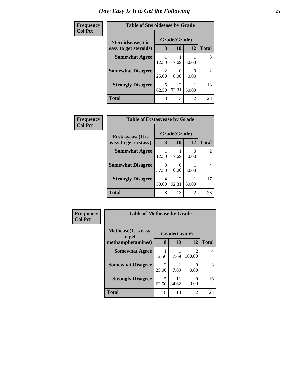#### **Frequency Col Pct**

| <b>Table of Steroidsease by Grade</b> |                                      |             |                |                |  |  |
|---------------------------------------|--------------------------------------|-------------|----------------|----------------|--|--|
| Grade(Grade)<br>Steroidsease(It is    |                                      |             |                |                |  |  |
| easy to get steroids)                 | 8                                    | 10          | 12             | <b>Total</b>   |  |  |
| <b>Somewhat Agree</b>                 | 12.50                                | 7.69        | 50.00          | 3              |  |  |
| <b>Somewhat Disagree</b>              | $\mathcal{D}_{\mathcal{L}}$<br>25.00 | 0.00        | 0.00           | $\overline{2}$ |  |  |
| <b>Strongly Disagree</b>              | 5<br>62.50                           | 12<br>92.31 | 50.00          | 18             |  |  |
| <b>Total</b>                          | 8                                    | 13          | $\mathfrak{D}$ | 23             |  |  |

| Frequency      | <b>Table of Ecstasyease by Grade</b>              |            |                    |       |                |
|----------------|---------------------------------------------------|------------|--------------------|-------|----------------|
| <b>Col Pct</b> | <b>Ecstasyease</b> (It is<br>easy to get ecstasy) | 8          | Grade(Grade)<br>10 | 12    | <b>Total</b>   |
|                | <b>Somewhat Agree</b>                             | 12.50      | 7.69               | 0.00  | $\overline{2}$ |
|                | <b>Somewhat Disagree</b>                          | 37.50      | 0.00               | 50.00 | 4              |
|                | <b>Strongly Disagree</b>                          | 4<br>50.00 | 12<br>92.31        | 50.00 | 17             |
|                | <b>Total</b>                                      | 8          | 13                 | 2     | 23             |

| Frequency      | <b>Table of Methease by Grade</b>     |                                      |              |                          |              |
|----------------|---------------------------------------|--------------------------------------|--------------|--------------------------|--------------|
| <b>Col Pct</b> | <b>Methease</b> (It is easy<br>to get |                                      | Grade(Grade) |                          |              |
|                | methamphetamines)                     | 8                                    | <b>10</b>    | 12                       | <b>Total</b> |
|                | <b>Somewhat Agree</b>                 | 12.50                                | 7.69         | $\mathfrak{D}$<br>100.00 | 4            |
|                | <b>Somewhat Disagree</b>              | $\mathcal{D}_{\mathcal{L}}$<br>25.00 | 7.69         | 0.00                     | 3            |
|                | <b>Strongly Disagree</b>              | 5<br>62.50                           | 11<br>84.62  | $\mathcal{O}$<br>0.00    | 16           |
|                | Total                                 | 8                                    | 13           | $\overline{c}$           | 23           |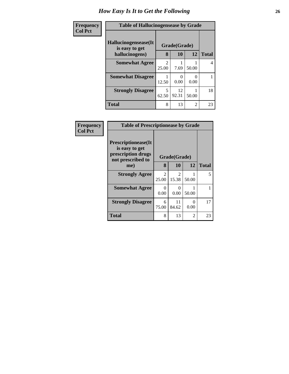| Frequency      | <b>Table of Hallucinogensease by Grade</b> |                         |              |       |                |
|----------------|--------------------------------------------|-------------------------|--------------|-------|----------------|
| <b>Col Pct</b> | Hallucinogensease(It<br>is easy to get     |                         | Grade(Grade) |       |                |
|                | hallucinogens)                             | 8                       | 10           | 12    | <b>Total</b>   |
|                | <b>Somewhat Agree</b>                      | $\mathfrak{D}$<br>25.00 | 7.69         | 50.00 | $\overline{4}$ |
|                | <b>Somewhat Disagree</b>                   | 12.50                   | 0.00         | 0.00  |                |
|                | <b>Strongly Disagree</b>                   | 5<br>62.50              | 12<br>92.31  | 50.00 | 18             |
|                | <b>Total</b>                               | 8                       | 13           | 2     | 23             |

| Frequency      | <b>Table of Prescriptionease by Grade</b>                                        |                         |              |           |              |
|----------------|----------------------------------------------------------------------------------|-------------------------|--------------|-----------|--------------|
| <b>Col Pct</b> | Prescriptionease(It<br>is easy to get<br>prescription drugs<br>not prescribed to |                         | Grade(Grade) |           |              |
|                | me)                                                                              | 8                       | 10           | 12        | <b>Total</b> |
|                | <b>Strongly Agree</b>                                                            | $\overline{2}$<br>25.00 | 2<br>15.38   | 50.00     | 5            |
|                | <b>Somewhat Agree</b>                                                            | 0<br>0.00               | 0<br>0.00    | 50.00     | 1            |
|                | <b>Strongly Disagree</b>                                                         | 6<br>75.00              | 11<br>84.62  | 0<br>0.00 | 17           |
|                | <b>Total</b>                                                                     | 8                       | 13           | 2         | 23           |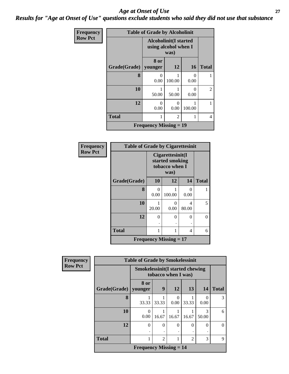#### *Age at Onset of Use* **27** *Results for "Age at Onset of Use" questions exclude students who said they did not use that substance*

| Frequency      | <b>Table of Grade by Alcoholinit</b> |                                                      |                |                  |                |
|----------------|--------------------------------------|------------------------------------------------------|----------------|------------------|----------------|
| <b>Row Pct</b> |                                      | <b>Alcoholinit(I started</b><br>using alcohol when I |                |                  |                |
|                | Grade(Grade)   younger               | 8 or                                                 | 12             | <b>16</b>        | <b>Total</b>   |
|                | 8                                    | $\Omega$<br>0.00                                     | 100.00         | $\theta$<br>0.00 |                |
|                | 10                                   | 50.00                                                | 50.00          | 0<br>0.00        | $\overline{2}$ |
|                | 12                                   | 0<br>0.00                                            | 0<br>0.00      | 100.00           |                |
|                | <b>Total</b>                         | 1                                                    | $\overline{c}$ |                  | 4              |
|                |                                      | <b>Frequency Missing = 19</b>                        |                |                  |                |

| Frequency      | <b>Table of Grade by Cigarettesinit</b> |                               |                                                               |                                   |              |  |
|----------------|-----------------------------------------|-------------------------------|---------------------------------------------------------------|-----------------------------------|--------------|--|
| <b>Row Pct</b> |                                         |                               | Cigarettesinit(I<br>started smoking<br>tobacco when I<br>was) |                                   |              |  |
|                | Grade(Grade)                            | 10                            | 12                                                            | 14                                | <b>Total</b> |  |
|                | 8                                       | 0<br>0.00                     | 100.00                                                        | 0.00                              | 1            |  |
|                | 10                                      | 20.00                         | 0<br>0.00                                                     | $\overline{\mathcal{A}}$<br>80.00 | 5            |  |
|                | 12                                      | $\Omega$                      | $\theta$                                                      | 0                                 | $\theta$     |  |
|                | <b>Total</b>                            | 1                             | 1                                                             | 4                                 | 6            |  |
|                |                                         | <b>Frequency Missing = 17</b> |                                                               |                                   |              |  |

| <b>Frequency</b> | <b>Table of Grade by Smokelessinit</b> |                                                               |                |                  |                |            |              |
|------------------|----------------------------------------|---------------------------------------------------------------|----------------|------------------|----------------|------------|--------------|
| <b>Row Pct</b>   |                                        | <b>Smokelessinit(I started chewing</b><br>tobacco when I was) |                |                  |                |            |              |
|                  | Grade(Grade)                           | 8 or<br>younger                                               | 9              | 12               | 13             | <b>14</b>  | <b>Total</b> |
|                  | 8                                      | 33.33                                                         | 33.33          | $\Omega$<br>0.00 | 33.33          | 0.00       | 3            |
|                  | 10                                     | 0<br>0.00                                                     | 16.67          | 16.67            | 16.67          | 3<br>50.00 | 6            |
|                  | 12                                     | $\theta$                                                      | $\Omega$       | $\Omega$<br>٠    | $\Omega$       | $\Omega$   | $\theta$     |
|                  | <b>Total</b>                           | 1                                                             | $\mathfrak{D}$ |                  | $\overline{2}$ | 3          | 9            |
|                  |                                        | <b>Frequency Missing <math>= 14</math></b>                    |                |                  |                |            |              |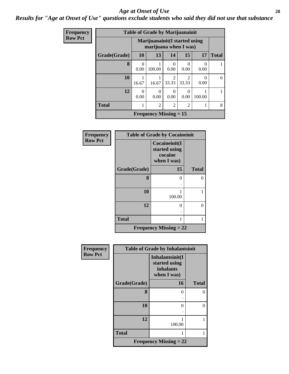#### *Age at Onset of Use* **28**

*Results for "Age at Onset of Use" questions exclude students who said they did not use that substance*

| Frequency      |              |           | <b>Table of Grade by Marijuanainit</b>                  |                         |           |                  |              |
|----------------|--------------|-----------|---------------------------------------------------------|-------------------------|-----------|------------------|--------------|
| <b>Row Pct</b> |              |           | Marijuanainit (I started using<br>marijuana when I was) |                         |           |                  |              |
|                | Grade(Grade) | 10        | 13                                                      | 14                      | 15        | 17               | <b>Total</b> |
|                | 8            | 0<br>0.00 | 100.00                                                  | 0<br>0.00               | 0<br>0.00 | $\Omega$<br>0.00 |              |
|                | 10           | 16.67     | 16.67                                                   | $\mathfrak{D}$<br>33.33 | 33.33     | 0<br>0.00        | 6            |
|                | 12           | 0<br>0.00 | 0<br>0.00                                               | 0<br>0.00               | 0<br>0.00 | 100.00           |              |
|                | <b>Total</b> | 1         | $\overline{2}$                                          | $\overline{2}$          | 2         | 1                | 8            |
|                |              |           | <b>Frequency Missing = 15</b>                           |                         |           |                  |              |

| Frequency      |              | <b>Table of Grade by Cocaineinit</b>                     |              |
|----------------|--------------|----------------------------------------------------------|--------------|
| <b>Row Pct</b> |              | Cocaineinit(I<br>started using<br>cocaine<br>when I was) |              |
|                | Grade(Grade) | 15                                                       | <b>Total</b> |
|                | 8            | ∩                                                        | 0            |
|                | 10           | 100.00                                                   |              |
|                | 12           | ∩                                                        | 0            |
|                | <b>Total</b> |                                                          |              |
|                |              | <b>Frequency Missing = 22</b>                            |              |

| Frequency      | <b>Table of Grade by Inhalantsinit</b> |                                                                     |              |  |
|----------------|----------------------------------------|---------------------------------------------------------------------|--------------|--|
| <b>Row Pct</b> |                                        | Inhalantsinit(I<br>started using<br><i>inhalants</i><br>when I was) |              |  |
|                | Grade(Grade)                           | 16                                                                  | <b>Total</b> |  |
|                | 8                                      | 0                                                                   | 0            |  |
|                | 10                                     | $\Omega$                                                            | 0            |  |
|                | 12                                     | 100.00                                                              | 1            |  |
|                | <b>Total</b>                           |                                                                     | 1            |  |
|                |                                        | <b>Frequency Missing = 22</b>                                       |              |  |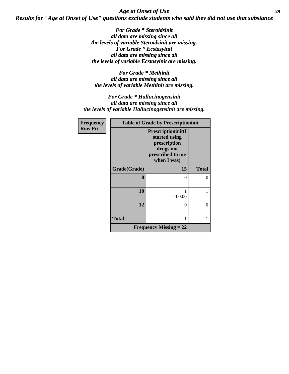*Age at Onset of Use* **29** *Results for "Age at Onset of Use" questions exclude students who said they did not use that substance*

> *For Grade \* Steroidsinit all data are missing since all the levels of variable Steroidsinit are missing. For Grade \* Ecstasyinit all data are missing since all the levels of variable Ecstasyinit are missing.*

*For Grade \* Methinit all data are missing since all the levels of variable Methinit are missing.*

*For Grade \* Hallucinogensinit all data are missing since all the levels of variable Hallucinogensinit are missing.*

| <b>Frequency</b> | <b>Table of Grade by Prescriptioninit</b> |                                                                                                     |              |  |
|------------------|-------------------------------------------|-----------------------------------------------------------------------------------------------------|--------------|--|
| <b>Row Pct</b>   |                                           | Prescriptioninit(I<br>started using<br>prescription<br>drugs not<br>prescribed to me<br>when I was) |              |  |
|                  | Grade(Grade)                              | 15                                                                                                  | <b>Total</b> |  |
|                  | 8                                         | $\Omega$                                                                                            | $\Omega$     |  |
|                  | 10                                        | 100.00                                                                                              | 1            |  |
|                  | 12                                        | 0                                                                                                   | $\theta$     |  |
|                  | <b>Total</b>                              |                                                                                                     | 1            |  |
|                  |                                           | <b>Frequency Missing = 22</b>                                                                       |              |  |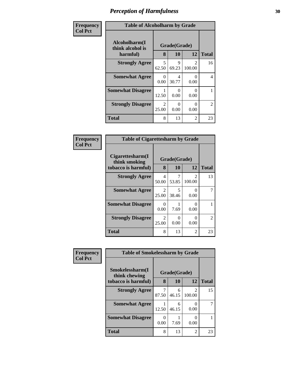| Frequency      | <b>Table of Alcoholharm by Grade</b>          |                         |                           |                         |                |
|----------------|-----------------------------------------------|-------------------------|---------------------------|-------------------------|----------------|
| <b>Col Pct</b> | Alcoholharm(I<br>think alcohol is<br>harmful) | 8                       | Grade(Grade)<br><b>10</b> | 12                      | <b>Total</b>   |
|                | <b>Strongly Agree</b>                         | 5<br>62.50              | 9<br>69.23                | $\mathcal{L}$<br>100.00 | 16             |
|                | <b>Somewhat Agree</b>                         | 0<br>0.00               | 4<br>30.77                | 0<br>0.00               | 4              |
|                | <b>Somewhat Disagree</b>                      | 12.50                   | $\Omega$<br>0.00          | 0<br>0.00               |                |
|                | <b>Strongly Disagree</b>                      | $\mathfrak{D}$<br>25.00 | $\Omega$<br>0.00          | 0<br>0.00               | $\overline{2}$ |
|                | <b>Total</b>                                  | 8                       | 13                        | 2                       | 23             |

| Frequency<br>  Col Pct |
|------------------------|
|                        |

| <b>Table of Cigarettesharm by Grade</b>                  |                   |              |             |               |  |  |  |  |
|----------------------------------------------------------|-------------------|--------------|-------------|---------------|--|--|--|--|
| Cigarettesharm(I<br>think smoking<br>tobacco is harmful) | Grade(Grade)<br>8 | <b>Total</b> |             |               |  |  |  |  |
| <b>Strongly Agree</b>                                    | 4<br>50.00        | 53.85        | 2<br>100.00 | 13            |  |  |  |  |
| <b>Somewhat Agree</b>                                    | 2<br>25.00        | 5<br>38.46   | 0<br>0.00   |               |  |  |  |  |
| <b>Somewhat Disagree</b>                                 | 0<br>0.00         | 7.69         | 0<br>0.00   |               |  |  |  |  |
| <b>Strongly Disagree</b>                                 | 2<br>25.00        | 0<br>0.00    | ∩<br>0.00   | $\mathcal{L}$ |  |  |  |  |
| <b>Total</b>                                             | 8                 | 13           | 2           | 23            |  |  |  |  |

| Frequency      | <b>Table of Smokelessharm by Grade</b> |                           |            |             |              |
|----------------|----------------------------------------|---------------------------|------------|-------------|--------------|
| <b>Col Pct</b> | Smokelessharm(I<br>think chewing       | Grade(Grade)              |            |             |              |
|                | tobacco is harmful)                    | 8                         | 10         | 12          | <b>Total</b> |
|                | <b>Strongly Agree</b>                  | 87.50                     | 6<br>46.15 | 2<br>100.00 | 15           |
|                | <b>Somewhat Agree</b>                  | 12.50                     | 6<br>46.15 | 0<br>0.00   |              |
|                | <b>Somewhat Disagree</b>               | $\mathbf{\Omega}$<br>0.00 | 7.69       | 0<br>0.00   |              |
|                | <b>Total</b>                           | 8                         | 13         | 2           | 23           |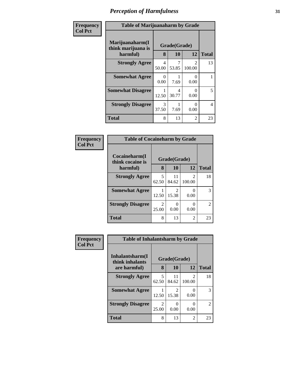| Frequency      | <b>Table of Marijuanaharm by Grade</b>            |                               |            |                                       |              |  |
|----------------|---------------------------------------------------|-------------------------------|------------|---------------------------------------|--------------|--|
| <b>Col Pct</b> | Marijuanaharm(I<br>think marijuana is<br>harmful) | Grade(Grade)<br>10<br>12<br>8 |            |                                       | <b>Total</b> |  |
|                | <b>Strongly Agree</b>                             | 4<br>50.00                    | 7<br>53.85 | $\mathcal{D}_{\mathcal{L}}$<br>100.00 | 13           |  |
|                | <b>Somewhat Agree</b>                             | 0<br>0.00                     | 7.69       | 0<br>0.00                             |              |  |
|                | <b>Somewhat Disagree</b>                          | 12.50                         | 4<br>30.77 | $\Omega$<br>0.00                      | 5            |  |
|                | <b>Strongly Disagree</b>                          | 3<br>37.50                    | 7.69       | 0<br>0.00                             | 4            |  |
|                | <b>Total</b>                                      | 8                             | 13         | 2                                     | 23           |  |

#### **Frequency Col Pct**

| <b>Table of Cocaineharm by Grade</b> |                         |                         |                         |                             |  |  |  |
|--------------------------------------|-------------------------|-------------------------|-------------------------|-----------------------------|--|--|--|
| Cocaineharm(I<br>think cocaine is    | Grade(Grade)            |                         |                         |                             |  |  |  |
| harmful)                             | 8                       | 10                      | 12                      | <b>Total</b>                |  |  |  |
| <b>Strongly Agree</b>                | 5<br>62.50              | 11<br>84.62             | $\mathcal{L}$<br>100.00 | 18                          |  |  |  |
| <b>Somewhat Agree</b>                | 12.50                   | $\mathfrak{D}$<br>15.38 | 0.00                    | 3                           |  |  |  |
| <b>Strongly Disagree</b>             | $\mathfrak{D}$<br>25.00 | 0.00                    | 0.00                    | $\mathcal{D}_{\mathcal{L}}$ |  |  |  |
| <b>Total</b>                         | 8                       | 13                      | 2                       | 23                          |  |  |  |

| Frequency      | <b>Table of Inhalantsharm by Grade</b> |                         |             |                  |              |  |
|----------------|----------------------------------------|-------------------------|-------------|------------------|--------------|--|
| <b>Col Pct</b> | Inhalantsharm(I)<br>think inhalants    | Grade(Grade)            |             |                  |              |  |
|                | are harmful)                           | 8                       | 10          | 12               | <b>Total</b> |  |
|                | <b>Strongly Agree</b>                  | 5<br>62.50              | 11<br>84.62 | 2<br>100.00      | 18           |  |
|                | <b>Somewhat Agree</b>                  | 12.50                   | 15.38       | $\theta$<br>0.00 | 3            |  |
|                | <b>Strongly Disagree</b>               | $\overline{2}$<br>25.00 | 0.00        | 0<br>0.00        | 2            |  |
|                | Total                                  | 8                       | 13          | 2                | 23           |  |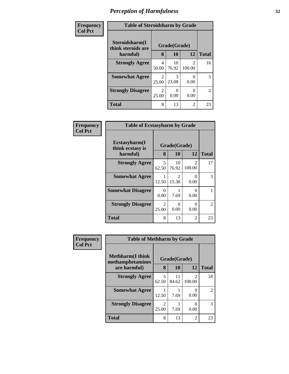| Frequency      | <b>Table of Steroidsharm by Grade</b>            |            |              |        |                |  |  |
|----------------|--------------------------------------------------|------------|--------------|--------|----------------|--|--|
| <b>Col Pct</b> | Steroidsharm(I<br>think steroids are<br>harmful) |            | Grade(Grade) |        |                |  |  |
|                |                                                  | 8          | 10           | 12     | <b>Total</b>   |  |  |
|                | <b>Strongly Agree</b>                            | 4<br>50.00 | 10<br>76.92  | 100.00 | 16             |  |  |
|                | <b>Somewhat Agree</b>                            | 2<br>25.00 | 3<br>23.08   | 0.00   | 5              |  |  |
|                | <b>Strongly Disagree</b>                         | 2<br>25.00 | 0<br>0.00    | 0.00   | $\overline{2}$ |  |  |
|                | <b>Total</b>                                     | 8          | 13           | 2      | 23             |  |  |

ヿ

| Frequency      | <b>Table of Ecstasyharm by Grade</b>          |                                      |                           |                         |                             |
|----------------|-----------------------------------------------|--------------------------------------|---------------------------|-------------------------|-----------------------------|
| <b>Col Pct</b> | Ecstasyharm(I<br>think ecstasy is<br>harmful) | 8                                    | Grade(Grade)<br><b>10</b> | 12                      | <b>Total</b>                |
|                | <b>Strongly Agree</b>                         | 5<br>62.50                           | 10<br>76.92               | $\mathcal{L}$<br>100.00 | 17                          |
|                | <b>Somewhat Agree</b>                         | 12.50                                | 2<br>15.38                | 0<br>0.00               | 3                           |
|                | <b>Somewhat Disagree</b>                      | 0<br>0.00                            | 7.69                      | 0<br>0.00               |                             |
|                | <b>Strongly Disagree</b>                      | $\mathcal{D}_{\mathcal{L}}$<br>25.00 | $\mathbf{0}$<br>0.00      | 0<br>0.00               | $\mathcal{D}_{\mathcal{L}}$ |
|                | <b>Total</b>                                  | 8                                    | 13                        | 2                       | 23                          |

| Frequency      | <b>Table of Methharm by Grade</b>            |                         |              |                                    |                |  |
|----------------|----------------------------------------------|-------------------------|--------------|------------------------------------|----------------|--|
| <b>Col Pct</b> | <b>Methharm</b> (I think<br>methamphetamines |                         | Grade(Grade) |                                    |                |  |
|                | are harmful)                                 | 8                       | 10           | 12                                 | <b>Total</b>   |  |
|                | <b>Strongly Agree</b>                        | 5<br>62.50              | 11<br>84.62  | $\overline{\mathcal{L}}$<br>100.00 | 18             |  |
|                | <b>Somewhat Agree</b>                        | 12.50                   | 7.69         | $\theta$<br>0.00                   | $\overline{2}$ |  |
|                | <b>Strongly Disagree</b>                     | $\mathfrak{D}$<br>25.00 | 7.69         | $\mathbf{\Omega}$<br>0.00          | 3              |  |
|                | <b>Total</b>                                 | 8                       | 13           | $\overline{2}$                     | 23             |  |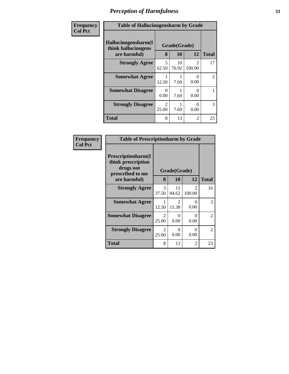| Frequency      | <b>Table of Hallucinogensharm by Grade</b>                 |                        |                    |                          |                |
|----------------|------------------------------------------------------------|------------------------|--------------------|--------------------------|----------------|
| <b>Col Pct</b> | Hallucinogensharm(I<br>think hallucinogens<br>are harmful) | 8                      | Grade(Grade)<br>10 | 12                       | <b>Total</b>   |
|                | <b>Strongly Agree</b>                                      | 5<br>62.50             | 10<br>76.92        | $\mathfrak{D}$<br>100.00 | 17             |
|                | <b>Somewhat Agree</b>                                      | 12.50                  | 7.69               | 0<br>0.00                | $\mathfrak{D}$ |
|                | <b>Somewhat Disagree</b>                                   | 0<br>0.00              | 7.69               | 0<br>0.00                |                |
|                | <b>Strongly Disagree</b>                                   | $\mathcal{D}$<br>25.00 | 7.69               | 0<br>0.00                | 3              |
|                | <b>Total</b>                                               | 8                      | 13                 | 2                        | 23             |

| Frequency      | <b>Table of Prescriptionharm by Grade</b>                                 |            |              |                                       |              |
|----------------|---------------------------------------------------------------------------|------------|--------------|---------------------------------------|--------------|
| <b>Col Pct</b> | Prescriptionharm(I<br>think prescription<br>drugs not<br>prescribed to me |            | Grade(Grade) |                                       |              |
|                | are harmful)                                                              | 8          | 10           | 12                                    | <b>Total</b> |
|                | <b>Strongly Agree</b>                                                     | 3<br>37.50 | 11<br>84.62  | $\mathcal{D}_{\mathcal{L}}$<br>100.00 | 16           |
|                | <b>Somewhat Agree</b>                                                     | 12.50      | 15.38        | 0<br>0.00                             | 3            |
|                | <b>Somewhat Disagree</b>                                                  | 2<br>25.00 | 0<br>0.00    | 0<br>0.00                             | 2            |
|                | <b>Strongly Disagree</b>                                                  | 2<br>25.00 | 0<br>0.00    | $\Omega$<br>0.00                      | 2            |
|                | Total                                                                     | 8          | 13           | 2                                     | 23           |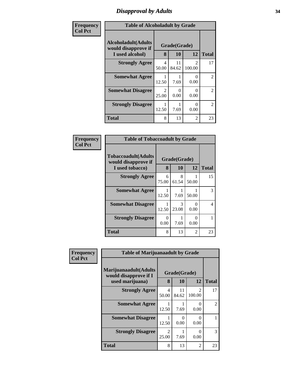# *Disapproval by Adults* **34**

| Frequency      | <b>Table of Alcoholadult by Grade</b>                                 |                         |                           |                          |                |
|----------------|-----------------------------------------------------------------------|-------------------------|---------------------------|--------------------------|----------------|
| <b>Col Pct</b> | <b>Alcoholadult</b> (Adults<br>would disapprove if<br>I used alcohol) | 8                       | Grade(Grade)<br>10        | 12                       | <b>Total</b>   |
|                | <b>Strongly Agree</b>                                                 | 4<br>50.00              | 11<br>84.62               | $\mathfrak{D}$<br>100.00 | 17             |
|                | <b>Somewhat Agree</b>                                                 | 12.50                   | 7.69                      | 0<br>0.00                | $\overline{2}$ |
|                | <b>Somewhat Disagree</b>                                              | $\mathfrak{D}$<br>25.00 | $\mathbf{\Omega}$<br>0.00 | 0<br>0.00                | $\overline{2}$ |
|                | <b>Strongly Disagree</b>                                              | 12.50                   | 7.69                      | 0<br>0.00                | $\mathfrak{D}$ |
|                | <b>Total</b>                                                          | 8                       | 13                        | $\mathfrak{D}$           | 23             |

| Frequency      | <b>Table of Tobaccoadult by Grade</b>                                 |                  |                    |           |              |
|----------------|-----------------------------------------------------------------------|------------------|--------------------|-----------|--------------|
| <b>Col Pct</b> | <b>Tobaccoadult</b> (Adults<br>would disapprove if<br>I used tobacco) | 8                | Grade(Grade)<br>10 | 12        | <b>Total</b> |
|                | <b>Strongly Agree</b>                                                 | 6<br>75.00       | 8<br>61.54         | 50.00     | 15           |
|                | <b>Somewhat Agree</b>                                                 | 12.50            | 1<br>7.69          | 50.00     | 3            |
|                | <b>Somewhat Disagree</b>                                              | 12.50            | 3<br>23.08         | 0<br>0.00 | 4            |
|                | <b>Strongly Disagree</b>                                              | $\Omega$<br>0.00 | 7.69               | 0<br>0.00 |              |
|                | <b>Total</b>                                                          | 8                | 13                 | 2         | 23           |

| Frequency      | <b>Table of Marijuanaadult by Grade</b>                           |                         |                    |                                       |                |
|----------------|-------------------------------------------------------------------|-------------------------|--------------------|---------------------------------------|----------------|
| <b>Col Pct</b> | Marijuanaadult(Adults<br>would disapprove if I<br>used marijuana) | 8                       | Grade(Grade)<br>10 | 12                                    | <b>Total</b>   |
|                | <b>Strongly Agree</b>                                             | $\overline{4}$<br>50.00 | 11<br>84.62        | $\mathcal{D}_{\mathcal{L}}$<br>100.00 | 17             |
|                | <b>Somewhat Agree</b>                                             | 12.50                   | 7.69               | $\Omega$<br>0.00                      | $\mathfrak{D}$ |
|                | <b>Somewhat Disagree</b>                                          | 12.50                   | 0.00               | 0.00                                  |                |
|                | <b>Strongly Disagree</b>                                          | $\mathfrak{D}$<br>25.00 | 7.69               | 0<br>0.00                             | 3              |
|                | <b>Total</b>                                                      | 8                       | 13                 | $\overline{2}$                        | 23             |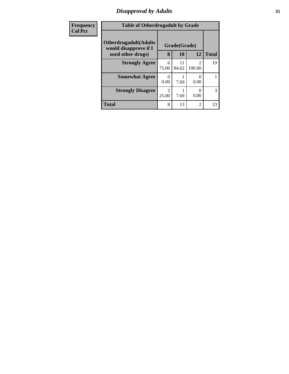# *Disapproval by Adults* **35**

| Frequency      | <b>Table of Otherdrugadult by Grade</b>                |                         |              |                |              |  |
|----------------|--------------------------------------------------------|-------------------------|--------------|----------------|--------------|--|
| <b>Col Pct</b> | <b>Otherdrugadult</b> (Adults<br>would disapprove if I |                         | Grade(Grade) |                |              |  |
|                | used other drugs)                                      | 8                       | 10           | 12             | <b>Total</b> |  |
|                | <b>Strongly Agree</b>                                  | 6<br>75.00              | 11<br>84.62  | 2<br>100.00    | 19           |  |
|                | <b>Somewhat Agree</b>                                  | 0<br>0.00               | 7.69         | 0<br>0.00      |              |  |
|                | <b>Strongly Disagree</b>                               | $\overline{2}$<br>25.00 | 7.69         | 0<br>0.00      | 3            |  |
|                | <b>Total</b>                                           | 8                       | 13           | $\overline{2}$ | 23           |  |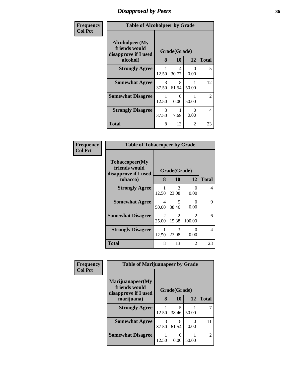# *Disapproval by Peers* **36**

| Frequency      | <b>Table of Alcoholpeer by Grade</b>                    |                        |            |           |                |
|----------------|---------------------------------------------------------|------------------------|------------|-----------|----------------|
| <b>Col Pct</b> | Alcoholpeer(My<br>friends would<br>disapprove if I used | Grade(Grade)           |            |           |                |
|                | alcohol)                                                | 8                      | 10         | 12        | <b>Total</b>   |
|                | <b>Strongly Agree</b>                                   | 12.50                  | 4<br>30.77 | 0<br>0.00 | 5              |
|                | <b>Somewhat Agree</b>                                   | $\mathcal{R}$<br>37.50 | 8<br>61.54 | 50.00     | 12             |
|                | <b>Somewhat Disagree</b>                                | 1<br>12.50             | 0<br>0.00  | 50.00     | $\overline{2}$ |
|                | <b>Strongly Disagree</b>                                | 3<br>37.50             | 7.69       | 0<br>0.00 | 4              |
|                | <b>Total</b>                                            | 8                      | 13         | 2         | 23             |

| Frequency      | <b>Table of Tobaccopeer by Grade</b>                                |                                      |                         |                          |              |
|----------------|---------------------------------------------------------------------|--------------------------------------|-------------------------|--------------------------|--------------|
| <b>Col Pct</b> | Tobaccopeer(My<br>friends would<br>disapprove if I used<br>tobacco) | 8                                    | Grade(Grade)<br>10      | 12                       | <b>Total</b> |
|                | <b>Strongly Agree</b>                                               | 12.50                                | 3<br>23.08              | 0<br>0.00                | 4            |
|                | <b>Somewhat Agree</b>                                               | 4<br>50.00                           | 5<br>38.46              | 0<br>0.00                | 9            |
|                | <b>Somewhat Disagree</b>                                            | $\mathcal{D}_{\mathcal{L}}$<br>25.00 | $\overline{2}$<br>15.38 | $\mathfrak{D}$<br>100.00 | 6            |
|                | <b>Strongly Disagree</b>                                            | 12.50                                | 3<br>23.08              | 0<br>0.00                | 4            |
|                | Total                                                               | 8                                    | 13                      | 2                        | 23           |

| Frequency      | <b>Table of Marijuanapeer by Grade</b>                    |              |            |       |                             |
|----------------|-----------------------------------------------------------|--------------|------------|-------|-----------------------------|
| <b>Col Pct</b> | Marijuanapeer(My<br>friends would<br>disapprove if I used | Grade(Grade) |            |       |                             |
|                | marijuana)                                                | 8            | 10         | 12    | <b>Total</b>                |
|                | <b>Strongly Agree</b>                                     | 12.50        | 5<br>38.46 | 50.00 |                             |
|                | <b>Somewhat Agree</b>                                     | 3<br>37.50   | 8<br>61.54 | 0.00  | 11                          |
|                | <b>Somewhat Disagree</b>                                  | 12.50        | 0.00       | 50.00 | $\mathcal{D}_{\mathcal{L}}$ |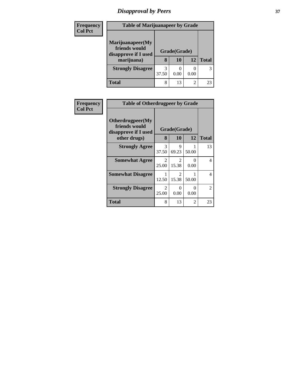# *Disapproval by Peers* **37**

| <b>Frequency</b> | <b>Table of Marijuanapeer by Grade</b>                                  |            |                    |      |              |
|------------------|-------------------------------------------------------------------------|------------|--------------------|------|--------------|
| <b>Col Pct</b>   | Marijuanapeer(My<br>friends would<br>disapprove if I used<br>marijuana) | 8          | Grade(Grade)<br>10 | 12   | <b>Total</b> |
|                  | <b>Strongly Disagree</b>                                                | 3<br>37.50 | 0.00               | 0.00 | 3            |
|                  | Total                                                                   | 8          | 13                 | 2    | 23           |

| Frequency      | <b>Table of Otherdrugpeer by Grade</b>                    |                         |                           |           |                |  |  |  |  |
|----------------|-----------------------------------------------------------|-------------------------|---------------------------|-----------|----------------|--|--|--|--|
| <b>Col Pct</b> | Otherdrugpeer(My<br>friends would<br>disapprove if I used |                         | Grade(Grade)              |           |                |  |  |  |  |
|                | other drugs)                                              | 8                       | <b>10</b>                 | 12        | <b>Total</b>   |  |  |  |  |
|                | <b>Strongly Agree</b>                                     | 3<br>37.50              | 9<br>69.23                | 50.00     | 13             |  |  |  |  |
|                | <b>Somewhat Agree</b>                                     | 2<br>25.00              | $\mathfrak{D}$<br>15.38   | 0<br>0.00 | 4              |  |  |  |  |
|                | <b>Somewhat Disagree</b>                                  | 12.50                   | $\mathfrak{D}$<br>15.38   | 50.00     | $\overline{4}$ |  |  |  |  |
|                | <b>Strongly Disagree</b>                                  | $\overline{2}$<br>25.00 | $\mathbf{\Omega}$<br>0.00 | 0<br>0.00 | $\overline{2}$ |  |  |  |  |
|                | Total                                                     | 8                       | 13                        | 2         | 23             |  |  |  |  |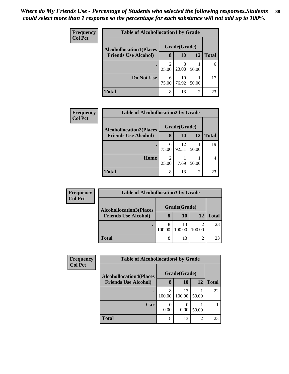| <b>Frequency</b> | <b>Table of Alcohollocation1 by Grade</b> |                         |              |                |              |
|------------------|-------------------------------------------|-------------------------|--------------|----------------|--------------|
| <b>Col Pct</b>   | <b>Alcohollocation1(Places</b>            |                         | Grade(Grade) |                |              |
|                  | <b>Friends Use Alcohol)</b>               | 8                       | 10           | 12             | <b>Total</b> |
|                  |                                           | $\overline{c}$<br>25.00 | 3<br>23.08   | 50.00          | 6            |
|                  | Do Not Use                                | 6<br>75.00              | 10<br>76.92  | 50.00          | 17           |
|                  | <b>Total</b>                              | 8                       | 13           | $\overline{2}$ | 23           |

| Frequency      | <b>Table of Alcohollocation2 by Grade</b> |            |              |       |              |
|----------------|-------------------------------------------|------------|--------------|-------|--------------|
| <b>Col Pct</b> | <b>Alcohollocation2(Places</b>            |            | Grade(Grade) |       |              |
|                | <b>Friends Use Alcohol)</b>               | 8          | <b>10</b>    | 12    | <b>Total</b> |
|                |                                           | 6<br>75.00 | 12<br>92.31  | 50.00 | 19           |
|                | Home                                      | 2<br>25.00 | 7.69         | 50.00 |              |
|                | <b>Total</b>                              | 8          | 13           | 2     | 23           |

| <b>Frequency</b> | <b>Table of Alcohollocation3 by Grade</b> |              |              |        |              |  |  |  |
|------------------|-------------------------------------------|--------------|--------------|--------|--------------|--|--|--|
| <b>Col Pct</b>   | <b>Alcohollocation3(Places</b>            | Grade(Grade) |              |        |              |  |  |  |
|                  | <b>Friends Use Alcohol)</b>               | 8            | 10           | 12     | <b>Total</b> |  |  |  |
|                  |                                           | 100.00       | 13<br>100.00 | 100.00 | 23           |  |  |  |
|                  | <b>Total</b>                              | 8            | 13           |        | 23           |  |  |  |

| Frequency      | <b>Table of Alcohollocation4 by Grade</b> |              |              |       |       |  |  |
|----------------|-------------------------------------------|--------------|--------------|-------|-------|--|--|
| <b>Col Pct</b> | <b>Alcohollocation4(Places</b>            | Grade(Grade) |              |       |       |  |  |
|                | <b>Friends Use Alcohol)</b>               | 8            | 10           | 12    | Total |  |  |
|                |                                           | 8<br>100.00  | 13<br>100.00 | 50.00 | 22    |  |  |
|                | Car                                       | 0.00         | 0.00         | 50.00 |       |  |  |
|                | <b>Total</b>                              | 8            | 13           | 2     | 23    |  |  |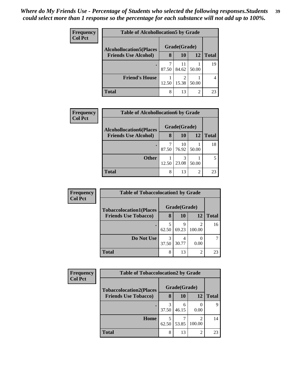| <b>Frequency</b> | <b>Table of Alcohollocation5 by Grade</b> |              |             |                |              |
|------------------|-------------------------------------------|--------------|-------------|----------------|--------------|
| <b>Col Pct</b>   | <b>Alcohollocation5</b> (Places           | Grade(Grade) |             |                |              |
|                  | <b>Friends Use Alcohol)</b>               | 8            | 10          | 12             | <b>Total</b> |
|                  |                                           | 87.50        | 11<br>84.62 | 50.00          | 19           |
|                  | <b>Friend's House</b>                     | 12.50        | າ<br>15.38  | 50.00          |              |
|                  | <b>Total</b>                              | 8            | 13          | $\overline{2}$ | 23           |

| <b>Frequency</b> | <b>Table of Alcohollocation6 by Grade</b> |       |              |                |              |
|------------------|-------------------------------------------|-------|--------------|----------------|--------------|
| <b>Col Pct</b>   | <b>Alcohollocation6(Places</b>            |       | Grade(Grade) |                |              |
|                  | <b>Friends Use Alcohol)</b>               | 8     | 10           | 12             | <b>Total</b> |
|                  |                                           | 87.50 | 10<br>76.92  | 50.00          | 18           |
|                  | <b>Other</b>                              | 12.50 | 3<br>23.08   | 50.00          |              |
|                  | Total                                     | 8     | 13           | $\overline{2}$ | 23           |

| Frequency      | <b>Table of Tobaccolocation1 by Grade</b> |              |            |                          |              |  |
|----------------|-------------------------------------------|--------------|------------|--------------------------|--------------|--|
| <b>Col Pct</b> | <b>Tobaccolocation1(Places</b>            | Grade(Grade) |            |                          |              |  |
|                | <b>Friends Use Tobacco)</b>               | 8            | 10         | 12                       | <b>Total</b> |  |
|                |                                           | 62.50        | q<br>69.23 | $\overline{c}$<br>100.00 | 16           |  |
|                | Do Not Use                                | 3<br>37.50   | 30.77      | 0.00                     |              |  |
|                | <b>Total</b>                              | 8            | 13         | $\overline{c}$           | 23           |  |

| Frequency      | <b>Table of Tobaccolocation2 by Grade</b> |              |            |                                       |              |  |
|----------------|-------------------------------------------|--------------|------------|---------------------------------------|--------------|--|
| <b>Col Pct</b> | <b>Tobaccolocation2(Places</b>            | Grade(Grade) |            |                                       |              |  |
|                | <b>Friends Use Tobacco)</b>               | 8            | 10         | 12                                    | <b>Total</b> |  |
|                |                                           | 37.50        | 6<br>46.15 | 0.00                                  |              |  |
|                | Home                                      | 62.50        | 53.85      | $\mathcal{D}_{\mathcal{A}}$<br>100.00 | 14           |  |
|                | <b>Total</b>                              | 8            | 13         | $\overline{2}$                        | 23           |  |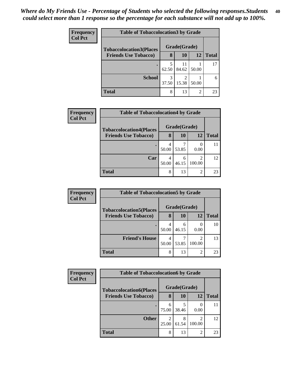| <b>Frequency</b> | <b>Table of Tobaccolocation 3 by Grade</b> |            |              |       |              |  |  |  |
|------------------|--------------------------------------------|------------|--------------|-------|--------------|--|--|--|
| <b>Col Pct</b>   | <b>Tobaccolocation3(Places</b>             |            | Grade(Grade) |       |              |  |  |  |
|                  | <b>Friends Use Tobacco)</b>                | 8          | 10           | 12    | <b>Total</b> |  |  |  |
|                  |                                            | 5<br>62.50 | 11<br>84.62  | 50.00 | 17           |  |  |  |
|                  | <b>School</b>                              | 3<br>37.50 | 15.38        | 50.00 | 6            |  |  |  |
|                  | <b>Total</b>                               | 8          | 13           | 2     | 23           |  |  |  |

| Frequency      | <b>Table of Tobaccolocation4 by Grade</b> |       |              |             |              |  |  |
|----------------|-------------------------------------------|-------|--------------|-------------|--------------|--|--|
| <b>Col Pct</b> | <b>Tobaccolocation4(Places</b>            |       | Grade(Grade) |             |              |  |  |
|                | <b>Friends Use Tobacco)</b>               | 8     | <b>10</b>    | 12          | <b>Total</b> |  |  |
|                |                                           | 50.00 | 53.85        | 0.00        |              |  |  |
|                | Car                                       | 50.00 | 6<br>46.15   | 2<br>100.00 | 12           |  |  |
|                | <b>Total</b>                              | 8     | 13           | 2           | 23           |  |  |

| <b>Frequency</b>            | <b>Table of Tobaccolocation5 by Grade</b> |            |              |              |    |  |  |  |
|-----------------------------|-------------------------------------------|------------|--------------|--------------|----|--|--|--|
| <b>Col Pct</b>              | <b>Tobaccolocation5(Places</b>            |            | Grade(Grade) |              |    |  |  |  |
| <b>Friends Use Tobacco)</b> | 8                                         | 10         | 12           | <b>Total</b> |    |  |  |  |
|                             |                                           | 50.00      | 46.15        | 0.00         | 10 |  |  |  |
|                             | <b>Friend's House</b>                     | 4<br>50.00 | 53.85        | 100.00       | 13 |  |  |  |
|                             | <b>Total</b>                              | 8          | 13           | ി            | 23 |  |  |  |

| Frequency      | <b>Table of Tobaccolocation6 by Grade</b> |              |            |             |              |  |  |  |
|----------------|-------------------------------------------|--------------|------------|-------------|--------------|--|--|--|
| <b>Col Pct</b> | <b>Tobaccolocation6(Places</b>            | Grade(Grade) |            |             |              |  |  |  |
|                | <b>Friends Use Tobacco)</b>               | 8            | 10         | 12          | <b>Total</b> |  |  |  |
|                |                                           | 6<br>75.00   | 38.46      | 0.00        |              |  |  |  |
|                | <b>Other</b>                              | っ<br>25.00   | 8<br>61.54 | 2<br>100.00 | 12           |  |  |  |
|                | Total                                     | 8            | 13         | 2           | 23           |  |  |  |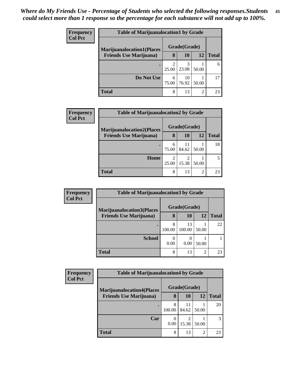| <b>Frequency</b> | <b>Table of Marijuanalocation1 by Grade</b>                        |            |              |                |              |  |
|------------------|--------------------------------------------------------------------|------------|--------------|----------------|--------------|--|
| <b>Col Pct</b>   | <b>Marijuanalocation1(Places</b><br><b>Friends Use Marijuana</b> ) |            | Grade(Grade) |                |              |  |
|                  |                                                                    | 8          | 10           | 12             | <b>Total</b> |  |
|                  |                                                                    | 25.00      | 3<br>23.08   | 50.00          | 6            |  |
|                  | Do Not Use                                                         | 6<br>75.00 | 10<br>76.92  | 50.00          | 17           |  |
|                  | <b>Total</b>                                                       | 8          | 13           | $\overline{2}$ | 23           |  |

| <b>Frequency</b> | <b>Table of Marijuanalocation2 by Grade</b> |            |              |       |              |  |  |  |
|------------------|---------------------------------------------|------------|--------------|-------|--------------|--|--|--|
| <b>Col Pct</b>   | <b>Marijuanalocation2(Places</b>            |            | Grade(Grade) |       |              |  |  |  |
|                  | <b>Friends Use Marijuana</b> )              | 8          | 10           | 12    | <b>Total</b> |  |  |  |
|                  |                                             | 6<br>75.00 | 11<br>84.62  | 50.00 | 18           |  |  |  |
|                  | Home                                        | 25.00      | 2<br>15.38   | 50.00 |              |  |  |  |
|                  | <b>Total</b>                                | 8          | 13           | 2     | 23           |  |  |  |

| Frequency      | <b>Table of Marijuanalocation3 by Grade</b>                        |             |              |       |              |  |  |  |  |
|----------------|--------------------------------------------------------------------|-------------|--------------|-------|--------------|--|--|--|--|
| <b>Col Pct</b> | <b>Marijuanalocation3(Places</b><br><b>Friends Use Marijuana</b> ) |             | Grade(Grade) |       |              |  |  |  |  |
|                |                                                                    | 8           | 10           | 12    | <b>Total</b> |  |  |  |  |
|                |                                                                    | 8<br>100.00 | 13<br>100.00 | 50.00 | 22           |  |  |  |  |
|                | <b>School</b>                                                      | 0.00        | 0.00         | 50.00 |              |  |  |  |  |
|                | <b>Total</b>                                                       | 8           | 13           | 2     | 23           |  |  |  |  |

| <b>Frequency</b> | <b>Table of Marijuanalocation4 by Grade</b> |              |             |       |              |  |  |  |  |
|------------------|---------------------------------------------|--------------|-------------|-------|--------------|--|--|--|--|
| <b>Col Pct</b>   | <b>Marijuanalocation4(Places</b>            | Grade(Grade) |             |       |              |  |  |  |  |
|                  | <b>Friends Use Marijuana</b> )              | 8            | 10          | 12    | <b>Total</b> |  |  |  |  |
|                  |                                             | 8<br>100.00  | 11<br>84.62 | 50.00 | 20           |  |  |  |  |
|                  | Car                                         | 0.00         | ി<br>15.38  | 50.00 | 3            |  |  |  |  |
|                  | Total                                       | 8            | 13          | ↑     | 23           |  |  |  |  |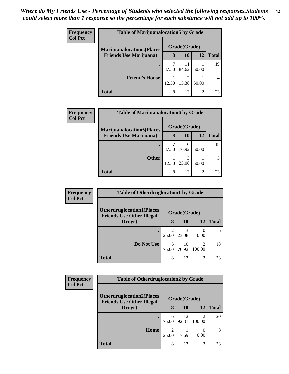| <b>Frequency</b> | <b>Table of Marijuanalocation5 by Grade</b> |       |              |                |              |  |  |
|------------------|---------------------------------------------|-------|--------------|----------------|--------------|--|--|
| <b>Col Pct</b>   | <b>Marijuanalocation5</b> (Places           |       | Grade(Grade) |                |              |  |  |
|                  | <b>Friends Use Marijuana</b> )              | 8     | 10           | 12             | <b>Total</b> |  |  |
|                  | ٠                                           | 87.50 | 11<br>84.62  | 50.00          | 19           |  |  |
|                  | <b>Friend's House</b>                       | 12.50 | ി<br>15.38   | 50.00          |              |  |  |
|                  | <b>Total</b>                                | 8     | 13           | $\overline{2}$ | 23           |  |  |

| <b>Frequency</b> | <b>Table of Marijuanalocation6 by Grade</b> |              |             |       |              |  |  |
|------------------|---------------------------------------------|--------------|-------------|-------|--------------|--|--|
| <b>Col Pct</b>   | <b>Marijuanalocation6(Places</b>            | Grade(Grade) |             |       |              |  |  |
|                  | <b>Friends Use Marijuana</b> )              | 8            | <b>10</b>   | 12    | <b>Total</b> |  |  |
|                  | $\bullet$                                   | 87.50        | 10<br>76.92 | 50.00 | 18           |  |  |
|                  | <b>Other</b>                                | 12.50        | 3<br>23.08  | 50.00 |              |  |  |
|                  | <b>Total</b>                                | 8            | 13          | 2     | 23           |  |  |

| Frequency      | <b>Table of Otherdruglocation1 by Grade</b>                          |                         |             |        |              |  |  |
|----------------|----------------------------------------------------------------------|-------------------------|-------------|--------|--------------|--|--|
| <b>Col Pct</b> | <b>Otherdruglocation1(Places</b><br><b>Friends Use Other Illegal</b> | Grade(Grade)            |             |        |              |  |  |
|                | Drugs)                                                               | 8                       | <b>10</b>   | 12     | <b>Total</b> |  |  |
|                |                                                                      | $\mathfrak{D}$<br>25.00 | 23.08       | 0.00   |              |  |  |
|                | Do Not Use                                                           | 6<br>75.00              | 10<br>76.92 | 100.00 | 18           |  |  |
|                | <b>Total</b>                                                         | 8                       | 13          | 2      | 23           |  |  |

| <b>Frequency</b> | <b>Table of Otherdruglocation2 by Grade</b>                          |            |              |                |              |  |  |
|------------------|----------------------------------------------------------------------|------------|--------------|----------------|--------------|--|--|
| <b>Col Pct</b>   | <b>Otherdruglocation2(Places</b><br><b>Friends Use Other Illegal</b> |            | Grade(Grade) |                |              |  |  |
|                  | Drugs)                                                               | 8          | <b>10</b>    | 12             | <b>Total</b> |  |  |
|                  |                                                                      | 6<br>75.00 | 12<br>92.31  | ∍<br>100.00    | 20           |  |  |
|                  | Home                                                                 | 2<br>25.00 | 7.69         | 0.00           | 3            |  |  |
|                  | <b>Total</b>                                                         | 8          | 13           | $\mathfrak{D}$ | 23           |  |  |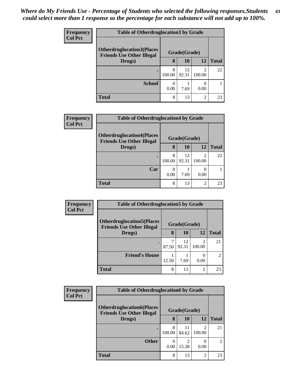| <b>Frequency</b> | <b>Table of Otherdruglocation 3 by Grade</b>                         |             |              |                                       |              |  |  |  |  |
|------------------|----------------------------------------------------------------------|-------------|--------------|---------------------------------------|--------------|--|--|--|--|
| <b>Col Pct</b>   | <b>Otherdruglocation3(Places</b><br><b>Friends Use Other Illegal</b> |             | Grade(Grade) |                                       |              |  |  |  |  |
|                  | Drugs)                                                               | 8           | 10           | 12                                    | <b>Total</b> |  |  |  |  |
|                  |                                                                      | 8<br>100.00 | 12<br>92.31  | $\mathcal{D}_{\mathcal{L}}$<br>100.00 | 22           |  |  |  |  |
|                  | <b>School</b>                                                        | 0.00        | 7.69         | 0.00                                  |              |  |  |  |  |
|                  | <b>Total</b>                                                         | 8           | 13           | $\overline{2}$                        | 23           |  |  |  |  |

| Frequency      | <b>Table of Otherdruglocation4 by Grade</b>                          |              |             |             |              |  |  |
|----------------|----------------------------------------------------------------------|--------------|-------------|-------------|--------------|--|--|
| <b>Col Pct</b> | <b>Otherdruglocation4(Places</b><br><b>Friends Use Other Illegal</b> | Grade(Grade) |             |             |              |  |  |
|                | Drugs)                                                               | 8            | 10          | 12          | <b>Total</b> |  |  |
|                |                                                                      | 8<br>100.00  | 12<br>92.31 | 2<br>100.00 | 22           |  |  |
|                | Car                                                                  | 0<br>0.00    | 7.69        | 0.00        |              |  |  |
|                | <b>Total</b>                                                         | 8            | 13          | 2           | 23           |  |  |

| <b>Frequency</b> | <b>Table of Otherdruglocation5 by Grade</b>                          |            |              |               |                |  |
|------------------|----------------------------------------------------------------------|------------|--------------|---------------|----------------|--|
| <b>Col Pct</b>   | <b>Otherdruglocation5(Places</b><br><b>Friends Use Other Illegal</b> |            | Grade(Grade) |               |                |  |
|                  | Drugs)                                                               | 8          | 10           | 12            | <b>Total</b>   |  |
|                  |                                                                      | 7<br>87.50 | 12<br>92.31  | っ<br>100.00   | 21             |  |
|                  | <b>Friend's House</b>                                                | 12.50      | 7.69         | 0.00          | $\mathfrak{D}$ |  |
|                  | Total                                                                | 8          | 13           | $\mathcal{D}$ | 23             |  |

| <b>Frequency</b> | <b>Table of Otherdruglocation6 by Grade</b>                                    |             |                                   |                |                             |  |  |
|------------------|--------------------------------------------------------------------------------|-------------|-----------------------------------|----------------|-----------------------------|--|--|
| <b>Col Pct</b>   | <b>Otherdruglocation6(Places</b><br><b>Friends Use Other Illegal</b><br>Drugs) |             | Grade(Grade)                      |                |                             |  |  |
|                  |                                                                                |             | 10                                | 12             | <b>Total</b>                |  |  |
|                  |                                                                                | 8<br>100.00 | 11<br>84.62                       | ↑<br>100.00    | 21                          |  |  |
|                  | <b>Other</b>                                                                   | 0.00        | $\overline{\mathcal{L}}$<br>15.38 | 0.00           | $\mathcal{D}_{\mathcal{A}}$ |  |  |
|                  | <b>Total</b>                                                                   | 8           | 13                                | $\overline{2}$ | 23                          |  |  |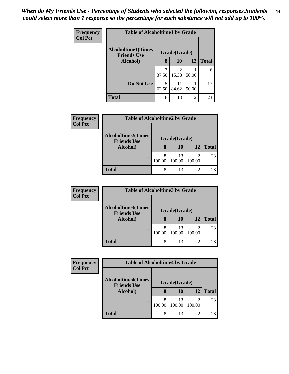| Frequency      | <b>Table of Alcoholtime1 by Grade</b>           |            |                         |           |              |  |
|----------------|-------------------------------------------------|------------|-------------------------|-----------|--------------|--|
| <b>Col Pct</b> | <b>Alcoholtime1(Times</b><br><b>Friends Use</b> |            | Grade(Grade)            |           |              |  |
|                | Alcohol)                                        | 8          | 10                      | <b>12</b> | <b>Total</b> |  |
|                |                                                 | 3<br>37.50 | $\mathfrak{D}$<br>15.38 | 50.00     | 6            |  |
|                | Do Not Use                                      | 5<br>62.50 | 11<br>84.62             | 50.00     | 17           |  |
|                | <b>Total</b>                                    | 8          | 13                      | 2         | 23           |  |

| <b>Frequency</b><br><b>Col Pct</b> | <b>Table of Alcoholtime2 by Grade</b>                       |              |              |                |              |  |  |
|------------------------------------|-------------------------------------------------------------|--------------|--------------|----------------|--------------|--|--|
|                                    | <b>Alcoholtime2(Times</b><br><b>Friends Use</b><br>Alcohol) | Grade(Grade) |              |                |              |  |  |
|                                    |                                                             | 8            | 10           | 12             | <b>Total</b> |  |  |
|                                    |                                                             | 8<br>100.00  | 13<br>100.00 | 100.00         | 23           |  |  |
|                                    | <b>Total</b>                                                | 8            | 13           | $\overline{2}$ | 23           |  |  |

| <b>Frequency</b><br><b>Col Pct</b> | <b>Table of Alcoholtime3 by Grade</b>                       |              |              |        |              |  |  |
|------------------------------------|-------------------------------------------------------------|--------------|--------------|--------|--------------|--|--|
|                                    | <b>Alcoholtime3(Times</b><br><b>Friends Use</b><br>Alcohol) | Grade(Grade) |              |        |              |  |  |
|                                    |                                                             | 8            | 10           | 12     | <b>Total</b> |  |  |
|                                    |                                                             | 100.00       | 13<br>100.00 | 100.00 | 23           |  |  |
|                                    | <b>Total</b>                                                | 8            | 13           | ◠      | 23           |  |  |

| Frequency<br><b>Col Pct</b> | <b>Table of Alcoholtime4 by Grade</b>           |              |              |                          |              |
|-----------------------------|-------------------------------------------------|--------------|--------------|--------------------------|--------------|
|                             | <b>Alcoholtime4(Times</b><br><b>Friends Use</b> | Grade(Grade) |              |                          |              |
|                             | Alcohol)                                        |              | 10           | 12                       | <b>Total</b> |
|                             |                                                 | 100.00       | 13<br>100.00 | $\overline{c}$<br>100.00 | 23           |
|                             | <b>Total</b>                                    | 8            | 13           | $\overline{c}$           | 23           |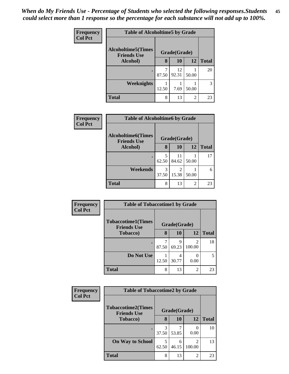| <b>Frequency</b> | <b>Table of Alcoholtime5 by Grade</b>           |       |              |       |              |  |
|------------------|-------------------------------------------------|-------|--------------|-------|--------------|--|
| <b>Col Pct</b>   | <b>Alcoholtime5(Times</b><br><b>Friends Use</b> |       | Grade(Grade) |       |              |  |
|                  | Alcohol)                                        | 8     | 10           | 12    | <b>Total</b> |  |
|                  |                                                 | 87.50 | 12<br>92.31  | 50.00 | 20           |  |
|                  | Weeknights                                      | 12.50 | 7.69         | 50.00 | 3            |  |
|                  | <b>Total</b>                                    | 8     | 13           | 2     | 23           |  |

| Frequency      | <b>Table of Alcoholtime6 by Grade</b>           |            |              |       |              |  |
|----------------|-------------------------------------------------|------------|--------------|-------|--------------|--|
| <b>Col Pct</b> | <b>Alcoholtime6(Times</b><br><b>Friends Use</b> |            | Grade(Grade) |       |              |  |
|                | Alcohol)                                        | 8          | 10           | 12    | <b>Total</b> |  |
|                |                                                 | 5<br>62.50 | 11<br>84.62  | 50.00 | 17           |  |
|                | Weekends                                        | 3<br>37.50 | 2<br>15.38   | 50.00 | 6            |  |
|                | <b>Total</b>                                    | 8          | 13           | 2     | 23           |  |

| <b>Frequency</b> | <b>Table of Tobaccotime1 by Grade</b>           |       |              |                          |              |  |
|------------------|-------------------------------------------------|-------|--------------|--------------------------|--------------|--|
| <b>Col Pct</b>   | <b>Tobaccotime1(Times</b><br><b>Friends Use</b> |       | Grade(Grade) |                          |              |  |
|                  | <b>Tobacco</b> )                                | 8     | 10           | 12                       | <b>Total</b> |  |
|                  |                                                 | 87.50 | Q<br>69.23   | $\mathfrak{D}$<br>100.00 | 18           |  |
|                  | Do Not Use                                      | 12.50 | 4<br>30.77   | 0.00                     | 5            |  |
|                  | <b>Total</b>                                    | 8     | 13           | $\overline{c}$           | 23           |  |

| Frequency      | <b>Table of Tobaccotime2 by Grade</b>           |            |              |                          |              |  |
|----------------|-------------------------------------------------|------------|--------------|--------------------------|--------------|--|
| <b>Col Pct</b> | <b>Tobaccotime2(Times</b><br><b>Friends Use</b> |            | Grade(Grade) |                          |              |  |
|                | <b>Tobacco</b> )                                | 8          | 10           | 12                       | <b>Total</b> |  |
|                | $\bullet$                                       | 37.50      | 53.85        | 0.00                     | 10           |  |
|                | <b>On Way to School</b>                         | 5<br>62.50 | 6<br>46.15   | $\mathfrak{D}$<br>100.00 | 13           |  |
|                | <b>Total</b>                                    | 8          | 13           | $\overline{2}$           | 23           |  |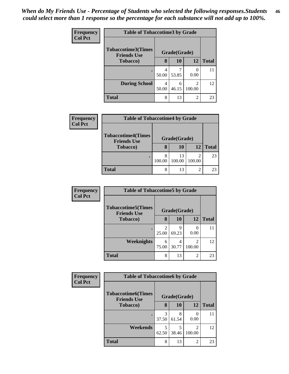| Frequency<br><b>Col Pct</b> | <b>Table of Tobaccotime3 by Grade</b>           |            |              |                          |              |  |  |
|-----------------------------|-------------------------------------------------|------------|--------------|--------------------------|--------------|--|--|
|                             | <b>Tobaccotime3(Times</b><br><b>Friends Use</b> |            | Grade(Grade) |                          |              |  |  |
|                             | <b>Tobacco</b> )                                | 8          | <b>10</b>    | 12                       | <b>Total</b> |  |  |
|                             | ٠                                               | 50.00      | 53.85        | 0.00                     | 11           |  |  |
|                             | <b>During School</b>                            | 4<br>50.00 | 6<br>46.15   | $\overline{c}$<br>100.00 | 12           |  |  |
|                             | <b>Total</b>                                    | 8          | 13           | $\overline{c}$           | 23           |  |  |

| Frequency<br><b>Col Pct</b> | <b>Table of Tobaccotime4 by Grade</b>                               |              |              |                |              |  |
|-----------------------------|---------------------------------------------------------------------|--------------|--------------|----------------|--------------|--|
|                             | <b>Tobaccotime4(Times</b><br><b>Friends Use</b><br><b>Tobacco</b> ) | Grade(Grade) |              |                |              |  |
|                             |                                                                     | 8            | 10           | 12             | <b>Total</b> |  |
|                             |                                                                     | 100.00       | 13<br>100.00 | 100.00         | 23           |  |
|                             | <b>Total</b>                                                        | 8            | 13           | $\mathfrak{D}$ | 23           |  |

| <b>Frequency</b> | <b>Table of Tobaccotime5 by Grade</b>           |            |              |        |              |  |
|------------------|-------------------------------------------------|------------|--------------|--------|--------------|--|
| <b>Col Pct</b>   | <b>Tobaccotime5(Times</b><br><b>Friends Use</b> |            | Grade(Grade) |        |              |  |
|                  | <b>Tobacco</b> )                                | 8          | 10           | 12     | <b>Total</b> |  |
|                  |                                                 | 2<br>25.00 | 9<br>69.23   | 0.00   |              |  |
|                  | Weeknights                                      | 6<br>75.00 | 4<br>30.77   | 100.00 | 12           |  |
|                  | <b>Total</b>                                    | 8          | 13           | 2      | 23           |  |

| Frequency      | <b>Table of Tobaccotime6 by Grade</b>           |              |            |                          |              |  |
|----------------|-------------------------------------------------|--------------|------------|--------------------------|--------------|--|
| <b>Col Pct</b> | <b>Tobaccotime6(Times</b><br><b>Friends Use</b> | Grade(Grade) |            |                          |              |  |
|                | <b>Tobacco</b> )                                | 8            | 10         | 12                       | <b>Total</b> |  |
|                |                                                 | 3<br>37.50   | 8<br>61.54 | 0.00                     | 11           |  |
|                | Weekends                                        | 5<br>62.50   | 5<br>38.46 | $\mathfrak{D}$<br>100.00 | 12           |  |
|                | <b>Total</b>                                    | 8            | 13         | $\overline{c}$           | 23           |  |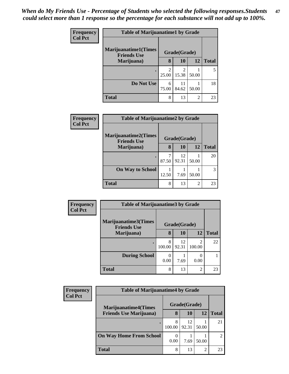| Frequency      | <b>Table of Marijuanatime1 by Grade</b>            |                                      |                                      |                |              |
|----------------|----------------------------------------------------|--------------------------------------|--------------------------------------|----------------|--------------|
| <b>Col Pct</b> | <b>Marijuanatime1</b> (Times<br><b>Friends Use</b> |                                      | Grade(Grade)                         |                |              |
|                | Marijuana)                                         | 8                                    | <b>10</b>                            | 12             | <b>Total</b> |
|                | ٠                                                  | $\mathcal{D}_{\mathcal{L}}$<br>25.00 | $\mathcal{D}_{\mathcal{A}}$<br>15.38 | 50.00          | 5            |
|                | Do Not Use                                         | 6<br>75.00                           | 11<br>84.62                          | 50.00          | 18           |
|                | <b>Total</b>                                       | 8                                    | 13                                   | $\overline{2}$ | 23           |

| Frequency      | <b>Table of Marijuanatime2 by Grade</b>           |       |              |                             |              |  |
|----------------|---------------------------------------------------|-------|--------------|-----------------------------|--------------|--|
| <b>Col Pct</b> | <b>Marijuanatime2(Times</b><br><b>Friends Use</b> |       | Grade(Grade) |                             |              |  |
|                | Marijuana)                                        | 8     | 10           | 12                          | <b>Total</b> |  |
|                | ٠                                                 | 87.50 | 12<br>92.31  | 50.00                       | 20           |  |
|                | <b>On Way to School</b>                           | 12.50 | 7.69         | 50.00                       |              |  |
|                | <b>Total</b>                                      | 8     | 13           | $\mathcal{D}_{\mathcal{L}}$ | 23           |  |

| Frequency      | <b>Table of Marijuanatime3 by Grade</b>    |              |             |                          |              |  |
|----------------|--------------------------------------------|--------------|-------------|--------------------------|--------------|--|
| <b>Col Pct</b> | Marijuanatime3(Times<br><b>Friends Use</b> | Grade(Grade) |             |                          |              |  |
|                | Marijuana)                                 | 8            | 10          | 12                       | <b>Total</b> |  |
|                |                                            | 8<br>100.00  | 12<br>92.31 | $\mathfrak{D}$<br>100.00 | 22           |  |
|                | <b>During School</b>                       | 0.00         | 7.69        | 0.00                     |              |  |
|                | <b>Total</b>                               | 8            | 13          | $\mathfrak{D}$           | 23           |  |

| Frequency                      | <b>Table of Marijuanatime4 by Grade</b> |             |              |              |    |  |  |
|--------------------------------|-----------------------------------------|-------------|--------------|--------------|----|--|--|
| <b>Col Pct</b>                 | <b>Marijuanatime4(Times</b>             |             | Grade(Grade) |              |    |  |  |
| <b>Friends Use Marijuana</b> ) | 8                                       | 10          | 12           | <b>Total</b> |    |  |  |
|                                |                                         | 8<br>100.00 | 12<br>92.31  | 50.00        | 21 |  |  |
|                                | <b>On Way Home From School</b>          | 0.00        | 7.69         | 50.00        |    |  |  |
|                                | <b>Total</b>                            | 8           | 13           | 2            | 23 |  |  |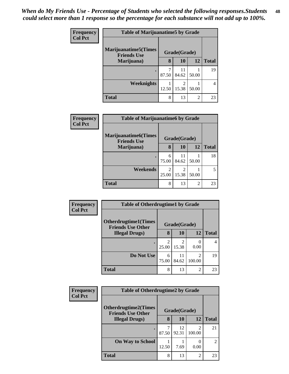| Frequency<br><b>Col Pct</b> | <b>Table of Marijuanatime5 by Grade</b>            |       |                         |                |              |  |
|-----------------------------|----------------------------------------------------|-------|-------------------------|----------------|--------------|--|
|                             | <b>Marijuanatime5</b> (Times<br><b>Friends Use</b> |       | Grade(Grade)            |                |              |  |
|                             | Marijuana)                                         | 8     | 10                      | 12             | <b>Total</b> |  |
|                             | $\bullet$                                          | 87.50 | 11<br>84.62             | 50.00          | 19           |  |
|                             | Weeknights                                         | 12.50 | $\mathfrak{D}$<br>15.38 | 50.00          | 4            |  |
|                             | <b>Total</b>                                       | 8     | 13                      | $\overline{2}$ | 23           |  |

| <b>Frequency</b><br><b>Col Pct</b> | <b>Table of Marijuanatime6 by Grade</b>            |            |              |       |              |  |  |
|------------------------------------|----------------------------------------------------|------------|--------------|-------|--------------|--|--|
|                                    | <b>Marijuanatime6</b> (Times<br><b>Friends Use</b> |            | Grade(Grade) |       |              |  |  |
|                                    | Marijuana)                                         | 8          | 10           | 12    | <b>Total</b> |  |  |
|                                    |                                                    | 6<br>75.00 | 11<br>84.62  | 50.00 | 18           |  |  |
|                                    | Weekends                                           | 2<br>25.00 | 15.38        | 50.00 | 5            |  |  |
|                                    | <b>Total</b>                                       | 8          | 13           | 2     | 23           |  |  |

| Frequency      | <b>Table of Otherdrugtime1 by Grade</b>                 |            |              |                |              |  |
|----------------|---------------------------------------------------------|------------|--------------|----------------|--------------|--|
| <b>Col Pct</b> | <b>Otherdrugtime1(Times</b><br><b>Friends Use Other</b> |            | Grade(Grade) |                |              |  |
|                | <b>Illegal Drugs</b> )                                  | 8          | 10           | 12             | <b>Total</b> |  |
|                |                                                         | 25.00      | 2<br>15.38   | 0<br>0.00      | 4            |  |
|                | Do Not Use                                              | 6<br>75.00 | 11<br>84.62  | 2<br>100.00    | 19           |  |
|                | <b>Total</b>                                            | 8          | 13           | $\overline{2}$ | 23           |  |

| <b>Frequency</b> | <b>Table of Otherdrugtime2 by Grade</b>                 |              |             |                          |                |
|------------------|---------------------------------------------------------|--------------|-------------|--------------------------|----------------|
| <b>Col Pct</b>   | <b>Otherdrugtime2(Times</b><br><b>Friends Use Other</b> | Grade(Grade) |             |                          |                |
|                  | <b>Illegal Drugs</b> )                                  | 8            | 10          | 12                       | <b>Total</b>   |
|                  | ٠                                                       | 87.50        | 12<br>92.31 | $\mathfrak{D}$<br>100.00 | 21             |
|                  | <b>On Way to School</b>                                 | 12.50        | 7.69        | 0.00                     | $\overline{2}$ |
|                  | <b>Total</b>                                            | 8            | 13          | 2                        | 23             |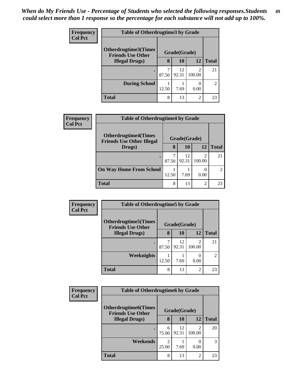| <b>Frequency</b> | <b>Table of Otherdrugtime3 by Grade</b>          |              |             |                          |                |
|------------------|--------------------------------------------------|--------------|-------------|--------------------------|----------------|
| <b>Col Pct</b>   | Otherdrugtime3(Times<br><b>Friends Use Other</b> | Grade(Grade) |             |                          |                |
|                  | <b>Illegal Drugs</b> )                           | 8            | 10          | 12                       | <b>Total</b>   |
|                  | ٠                                                | 87.50        | 12<br>92.31 | $\mathfrak{D}$<br>100.00 | 21             |
|                  | <b>During School</b>                             | 12.50        | 7.69        | 0.00                     | $\mathfrak{D}$ |
|                  | <b>Total</b>                                     | 8            | 13          | $\overline{2}$           | 23             |

| <b>Frequency</b> | <b>Table of Otherdrugtime4 by Grade</b>                         |       |              |                          |                |
|------------------|-----------------------------------------------------------------|-------|--------------|--------------------------|----------------|
| <b>Col Pct</b>   | <b>Otherdrugtime4(Times</b><br><b>Friends Use Other Illegal</b> |       | Grade(Grade) |                          |                |
|                  | Drugs)                                                          | 8     | 10           | 12                       | <b>Total</b>   |
|                  |                                                                 | 87.50 | 12<br>92.31  | $\mathfrak{D}$<br>100.00 | 21             |
|                  | <b>On Way Home From School</b>                                  | 12.50 | 7.69         | $\mathbf{0}$<br>0.00     | $\mathfrak{D}$ |
|                  | <b>Total</b>                                                    | 8     | 13           | 2                        | 23             |

| Frequency<br><b>Col Pct</b> | <b>Table of Otherdrugtime5 by Grade</b>                  |       |              |                |                |  |
|-----------------------------|----------------------------------------------------------|-------|--------------|----------------|----------------|--|
|                             | <b>Otherdrugtime5</b> (Times<br><b>Friends Use Other</b> |       | Grade(Grade) |                |                |  |
|                             | <b>Illegal Drugs</b> )                                   | 8     | 10           | 12             | <b>Total</b>   |  |
|                             |                                                          | 87.50 | 12<br>92.31  | 2<br>100.00    | 21             |  |
|                             | Weeknights                                               | 12.50 | 7.69         | 0.00           | $\overline{c}$ |  |
|                             | <b>Total</b>                                             | 8     | 13           | $\overline{c}$ | 23             |  |

| <b>Frequency</b> | <b>Table of Otherdrugtime6 by Grade</b>                  |                         |              |                                       |              |  |
|------------------|----------------------------------------------------------|-------------------------|--------------|---------------------------------------|--------------|--|
| <b>Col Pct</b>   | <b>Otherdrugtime6</b> (Times<br><b>Friends Use Other</b> |                         | Grade(Grade) |                                       |              |  |
|                  | <b>Illegal Drugs</b> )                                   | 8                       | 10           | 12                                    | <b>Total</b> |  |
|                  |                                                          | 6<br>75.00              | 12<br>92.31  | $\mathcal{D}_{\mathcal{L}}$<br>100.00 | 20           |  |
|                  | Weekends                                                 | $\mathfrak{D}$<br>25.00 | 7.69         | 0.00                                  | 3            |  |
|                  | <b>Total</b>                                             | 8                       | 13           | $\overline{c}$                        | 23           |  |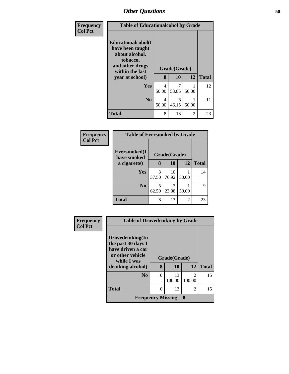| <b>Frequency</b> | <b>Table of Educationalcohol by Grade</b>                                                                  |                         |            |       |              |
|------------------|------------------------------------------------------------------------------------------------------------|-------------------------|------------|-------|--------------|
| <b>Col Pct</b>   | Educationalcohol(I<br>have been taught<br>about alcohol,<br>tobacco,<br>and other drugs<br>within the last | Grade(Grade)            |            |       |              |
|                  | year at school)                                                                                            | 8                       | 10         | 12    | <b>Total</b> |
|                  | Yes                                                                                                        | $\overline{4}$<br>50.00 | 53.85      | 50.00 | 12           |
|                  | No.                                                                                                        | 4<br>50.00              | 6<br>46.15 | 50.00 | 11           |
|                  | <b>Total</b>                                                                                               | 8                       | 13         | 2     | 23           |

| Frequency<br><b>Col Pct</b> | <b>Table of Eversmoked by Grade</b> |            |              |       |              |  |  |  |
|-----------------------------|-------------------------------------|------------|--------------|-------|--------------|--|--|--|
|                             | Eversmoked(I<br>have smoked         |            | Grade(Grade) |       |              |  |  |  |
|                             | a cigarette)                        | 8          | 10           | 12    | <b>Total</b> |  |  |  |
|                             | <b>Yes</b>                          | 3<br>37.50 | 10<br>76.92  | 50.00 | 14           |  |  |  |
|                             | N <sub>0</sub>                      | 5<br>62.50 | 3<br>23.08   | 50.00 | 9            |  |  |  |
|                             | <b>Total</b>                        | 8          | 13           | 2     | 23           |  |  |  |

| Frequency      | <b>Table of Drovedrinking by Grade</b>                                                         |          |              |                          |              |  |  |  |  |
|----------------|------------------------------------------------------------------------------------------------|----------|--------------|--------------------------|--------------|--|--|--|--|
| <b>Col Pct</b> | Drovedrinking(In<br>the past 30 days I<br>have driven a car<br>or other vehicle<br>while I was |          | Grade(Grade) |                          |              |  |  |  |  |
|                | drinking alcohol)                                                                              | 8        | 10           | 12 <sup>1</sup>          | <b>Total</b> |  |  |  |  |
|                | N <sub>0</sub>                                                                                 | $\theta$ | 13<br>100.00 | $\overline{c}$<br>100.00 | 15           |  |  |  |  |
|                | <b>Total</b>                                                                                   | 0        | 13           | 2                        | 15           |  |  |  |  |
|                | <b>Frequency Missing = 8</b>                                                                   |          |              |                          |              |  |  |  |  |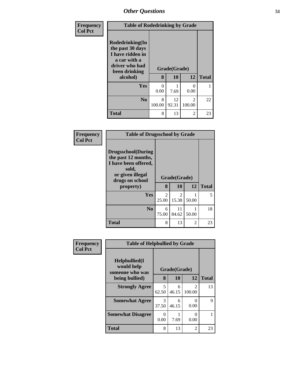| Frequency      | <b>Table of Rodedrinking by Grade</b>                                                                                  |             |                           |                                       |              |  |  |
|----------------|------------------------------------------------------------------------------------------------------------------------|-------------|---------------------------|---------------------------------------|--------------|--|--|
| <b>Col Pct</b> | Rodedrinking(In<br>the past 30 days<br>I have ridden in<br>a car with a<br>driver who had<br>been drinking<br>alcohol) | 8           | Grade(Grade)<br><b>10</b> | 12                                    | <b>Total</b> |  |  |
|                | Yes                                                                                                                    | 0<br>0.00   | 7.69                      | 0<br>0.00                             |              |  |  |
|                | N <sub>0</sub>                                                                                                         | 8<br>100.00 | 12<br>92.31               | $\mathcal{D}_{\mathcal{L}}$<br>100.00 | 22           |  |  |
|                | <b>Total</b>                                                                                                           | 8           | 13                        | 2                                     | 23           |  |  |

| Frequency      | <b>Table of Drugsschool by Grade</b>                                                                                                   |                         |                    |                |              |  |  |
|----------------|----------------------------------------------------------------------------------------------------------------------------------------|-------------------------|--------------------|----------------|--------------|--|--|
| <b>Col Pct</b> | <b>Drugsschool</b> (During<br>the past 12 months,<br>I have been offered,<br>sold,<br>or given illegal<br>drugs on school<br>property) | 8                       | Grade(Grade)<br>10 | 12             | <b>Total</b> |  |  |
|                | Yes                                                                                                                                    | $\mathfrak{D}$<br>25.00 | 2<br>15.38         | 50.00          | 5            |  |  |
|                | N <sub>0</sub>                                                                                                                         | 6<br>75.00              | 11<br>84.62        | 50.00          | 18           |  |  |
|                | <b>Total</b>                                                                                                                           | 8                       | 13                 | $\mathfrak{D}$ | 23           |  |  |

| <b>Frequency</b> | <b>Table of Helpbullied by Grade</b>                    |              |            |                          |              |  |  |  |
|------------------|---------------------------------------------------------|--------------|------------|--------------------------|--------------|--|--|--|
| <b>Col Pct</b>   | <b>Helpbullied</b> (I)<br>would help<br>someone who was | Grade(Grade) |            |                          |              |  |  |  |
|                  | being bullied)                                          | 8            | 10         | 12                       | <b>Total</b> |  |  |  |
|                  | <b>Strongly Agree</b>                                   | 5<br>62.50   | 6<br>46.15 | $\mathfrak{D}$<br>100.00 | 13           |  |  |  |
|                  | <b>Somewhat Agree</b>                                   | 3<br>37.50   | 6<br>46.15 | 0<br>0.00                | 9            |  |  |  |
|                  | <b>Somewhat Disagree</b>                                | 0<br>0.00    | 7.69       | 0<br>0.00                |              |  |  |  |
|                  | Total                                                   | 8            | 13         | $\overline{2}$           | 23           |  |  |  |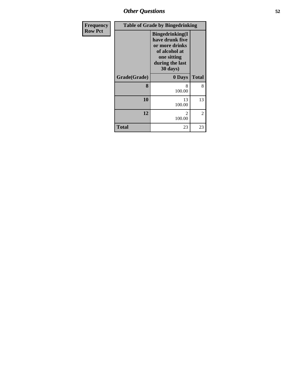| Frequency      | <b>Table of Grade by Bingedrinking</b> |                                                                                                                            |              |  |  |
|----------------|----------------------------------------|----------------------------------------------------------------------------------------------------------------------------|--------------|--|--|
| <b>Row Pct</b> |                                        | <b>Bingedrinking(I</b><br>have drunk five<br>or more drinks<br>of alcohol at<br>one sitting<br>during the last<br>30 days) |              |  |  |
|                | Grade(Grade)                           | 0 Days                                                                                                                     | <b>Total</b> |  |  |
|                | 8                                      | 8<br>100.00                                                                                                                | 8            |  |  |
|                | 10                                     | 13<br>100.00                                                                                                               | 13           |  |  |
|                | 12                                     | $\mathfrak{D}$<br>100.00                                                                                                   | 2            |  |  |
|                | Total                                  | 23                                                                                                                         | 23           |  |  |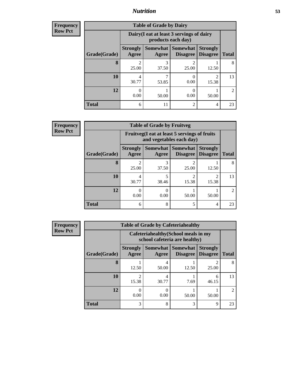### *Nutrition* **53**

**Frequency Row Pct**

| <b>Table of Grade by Dairy</b> |                          |                                                                 |                             |                                    |                |  |  |  |  |  |
|--------------------------------|--------------------------|-----------------------------------------------------------------|-----------------------------|------------------------------------|----------------|--|--|--|--|--|
|                                |                          | Dairy (I eat at least 3 servings of dairy<br>products each day) |                             |                                    |                |  |  |  |  |  |
| Grade(Grade)                   | <b>Strongly</b><br>Agree | Somewhat  <br>Agree                                             | <b>Somewhat</b><br>Disagree | <b>Strongly</b><br><b>Disagree</b> | <b>Total</b>   |  |  |  |  |  |
| 8                              | $\mathfrak{D}$<br>25.00  | 3<br>37.50                                                      | 2<br>25.00                  | 12.50                              | 8              |  |  |  |  |  |
| <b>10</b>                      | 4<br>30.77               | 53.85                                                           | 0.00                        | 2<br>15.38                         | 13             |  |  |  |  |  |
| 12                             | 0<br>0.00                | 50.00                                                           | 0.00                        | 50.00                              | $\mathfrak{D}$ |  |  |  |  |  |
| <b>Total</b>                   | 6                        | 11                                                              | $\mathfrak{D}$              | 4                                  | 23             |  |  |  |  |  |

| <b>Table of Grade by Fruitveg</b> |                          |                                                                          |                                   |                                    |                             |  |  |  |
|-----------------------------------|--------------------------|--------------------------------------------------------------------------|-----------------------------------|------------------------------------|-----------------------------|--|--|--|
|                                   |                          | Fruitveg(I eat at least 5 servings of fruits<br>and vegetables each day) |                                   |                                    |                             |  |  |  |
| Grade(Grade)                      | <b>Strongly</b><br>Agree | Agree                                                                    | Somewhat   Somewhat  <br>Disagree | <b>Strongly</b><br><b>Disagree</b> | <b>Total</b>                |  |  |  |
| 8                                 | $\mathfrak{D}$<br>25.00  | 37.50                                                                    | 25.00                             | 12.50                              | 8                           |  |  |  |
| 10                                | 4<br>30.77               | 38.46                                                                    | ာ<br>15.38                        | 2<br>15.38                         | 13                          |  |  |  |
| 12                                | 0.00                     | 0.00                                                                     | 50.00                             | 50.00                              | $\mathcal{D}_{\mathcal{A}}$ |  |  |  |
| <b>Total</b>                      | 6                        | 8                                                                        | 5                                 | 4                                  | 23                          |  |  |  |

| Frequency      | <b>Table of Grade by Cafeteriahealthy</b> |                                                                       |                   |                                    |                                    |              |  |  |  |  |
|----------------|-------------------------------------------|-----------------------------------------------------------------------|-------------------|------------------------------------|------------------------------------|--------------|--|--|--|--|
| <b>Row Pct</b> |                                           | Cafeteriahealthy (School meals in my<br>school cafeteria are healthy) |                   |                                    |                                    |              |  |  |  |  |
|                | Grade(Grade)                              | <b>Strongly</b><br>Agree                                              | Somewhat<br>Agree | <b>Somewhat</b><br><b>Disagree</b> | <b>Strongly</b><br><b>Disagree</b> | <b>Total</b> |  |  |  |  |
|                | 8                                         | 12.50                                                                 | 4<br>50.00        | 12.50                              | 25.00                              | 8            |  |  |  |  |
|                | 10                                        | 15.38                                                                 | 4<br>30.77        | 7.69                               | 6<br>46.15                         | 13           |  |  |  |  |
|                | 12                                        | 0.00                                                                  | $\theta$<br>0.00  | 50.00                              | 50.00                              | 2            |  |  |  |  |
|                | <b>Total</b>                              | 3                                                                     | 8                 | 3                                  | 9                                  | 23           |  |  |  |  |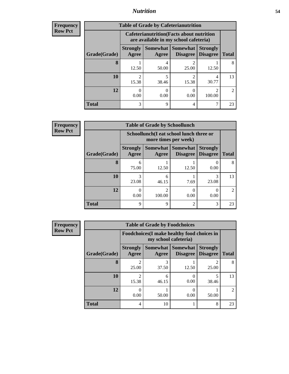### *Nutrition* **54**

| <b>Frequency</b> |
|------------------|
| Row Pct          |

| <b>Table of Grade by Cafeterianutrition</b> |                                                                                                                                     |                                                                                           |                         |            |                             |  |  |  |
|---------------------------------------------|-------------------------------------------------------------------------------------------------------------------------------------|-------------------------------------------------------------------------------------------|-------------------------|------------|-----------------------------|--|--|--|
|                                             |                                                                                                                                     | <b>Cafeterianutrition</b> (Facts about nutrition<br>are available in my school cafeteria) |                         |            |                             |  |  |  |
| Grade(Grade)                                | Somewhat   Somewhat  <br><b>Strongly</b><br><b>Strongly</b><br><b>Agree</b><br><b>Disagree</b><br><b>Total</b><br>Disagree<br>Agree |                                                                                           |                         |            |                             |  |  |  |
| 8                                           | 12.50                                                                                                                               | 50.00                                                                                     | 2<br>25.00              | 12.50      | 8                           |  |  |  |
| 10                                          | $\mathfrak{D}$<br>15.38                                                                                                             | 5<br>38.46                                                                                | $\mathfrak{D}$<br>15.38 | 4<br>30.77 | 13                          |  |  |  |
| 12                                          | 0.00                                                                                                                                | 0.00                                                                                      | 0.00                    | 100.00     | $\mathcal{D}_{\mathcal{L}}$ |  |  |  |
| <b>Total</b>                                | 3                                                                                                                                   | Q                                                                                         | 4                       |            | 23                          |  |  |  |

**Frequency Row Pct**

| <b>Table of Grade by Schoollunch</b> |                          |                                                                 |                                   |                                    |              |  |  |
|--------------------------------------|--------------------------|-----------------------------------------------------------------|-----------------------------------|------------------------------------|--------------|--|--|
|                                      |                          | Schoollunch(I eat school lunch three or<br>more times per week) |                                   |                                    |              |  |  |
| Grade(Grade)                         | <b>Strongly</b><br>Agree | Agree                                                           | Somewhat   Somewhat  <br>Disagree | <b>Strongly</b><br><b>Disagree</b> | <b>Total</b> |  |  |
| 8                                    | 6<br>75.00               | 12.50                                                           | 12.50                             | 0.00                               | 8            |  |  |
| 10                                   | 3<br>23.08               | 6<br>46.15                                                      | 7.69                              | 3<br>23.08                         | 13           |  |  |
| 12                                   | 0.00                     | 100.00                                                          | 0<br>0.00                         | 0.00                               | 2            |  |  |
| <b>Total</b>                         | 9                        | 9                                                               | $\overline{c}$                    | 3                                  | 23           |  |  |

| <b>Table of Grade by Foodchoices</b> |                                                                            |            |                                      |                                    |                             |  |  |  |
|--------------------------------------|----------------------------------------------------------------------------|------------|--------------------------------------|------------------------------------|-----------------------------|--|--|--|
|                                      | <b>Foodchoices</b> (I make healthy food choices in<br>my school cafeteria) |            |                                      |                                    |                             |  |  |  |
| Grade(Grade)                         | <b>Strongly</b><br>Agree                                                   | Agree      | Somewhat Somewhat<br><b>Disagree</b> | <b>Strongly</b><br><b>Disagree</b> | <b>Total</b>                |  |  |  |
| 8                                    | $\mathfrak{D}$<br>25.00                                                    | 3<br>37.50 | 12.50                                | 2<br>25.00                         | 8                           |  |  |  |
| 10                                   | っ<br>15.38                                                                 | 6<br>46.15 | 0.00                                 | 5<br>38.46                         | 13                          |  |  |  |
| 12                                   | 0.00                                                                       | 50.00      | $\mathbf{\Omega}$<br>0.00            | 50.00                              | $\mathcal{D}_{\mathcal{L}}$ |  |  |  |
| <b>Total</b>                         | 4                                                                          | 10         |                                      | 8                                  | 23                          |  |  |  |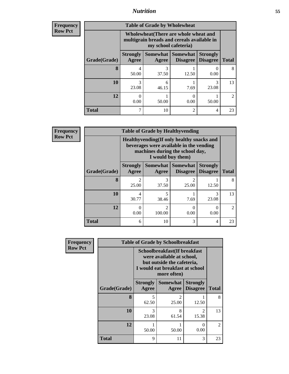### *Nutrition* **55**

| <b>Frequency</b><br>Row Pct |
|-----------------------------|
|                             |

| <b>Table of Grade by Wholewheat</b> |                                                                                                                                                                                                                                                         |            |           |            |                |  |  |  |
|-------------------------------------|---------------------------------------------------------------------------------------------------------------------------------------------------------------------------------------------------------------------------------------------------------|------------|-----------|------------|----------------|--|--|--|
|                                     | Wholewheat (There are whole wheat and<br>multigrain breads and cereals available in<br>my school cafeteria)<br><b>Somewhat   Somewhat</b><br><b>Strongly</b><br><b>Strongly</b><br><b>Disagree</b><br><b>Disagree</b><br><b>Total</b><br>Agree<br>Agree |            |           |            |                |  |  |  |
| Grade(Grade)                        |                                                                                                                                                                                                                                                         |            |           |            |                |  |  |  |
| 8                                   | 4<br>50.00                                                                                                                                                                                                                                              | 3<br>37.50 | 12.50     | 0.00       | 8              |  |  |  |
| 10                                  | 3<br>23.08                                                                                                                                                                                                                                              | 6<br>46.15 | 7.69      | 3<br>23.08 | 13             |  |  |  |
| 12                                  | 0<br>0.00                                                                                                                                                                                                                                               | 50.00      | 0<br>0.00 | 50.00      | $\mathfrak{D}$ |  |  |  |
| <b>Total</b>                        |                                                                                                                                                                                                                                                         | 10         | 2         | 4          | 23             |  |  |  |

| <b>Table of Grade by Healthyvending</b> |                                                                                                                                               |                         |                                          |                                    |                |  |  |
|-----------------------------------------|-----------------------------------------------------------------------------------------------------------------------------------------------|-------------------------|------------------------------------------|------------------------------------|----------------|--|--|
|                                         | Healthyvending (If only healthy snacks and<br>beverages were available in the vending<br>machines during the school day,<br>I would buy them) |                         |                                          |                                    |                |  |  |
| Grade(Grade)                            | <b>Strongly</b><br>Agree                                                                                                                      | Agree                   | Somewhat   Somewhat  <br><b>Disagree</b> | <b>Strongly</b><br><b>Disagree</b> | <b>Total</b>   |  |  |
| 8                                       | 25.00                                                                                                                                         | 3<br>37.50              | $\mathfrak{D}$<br>25.00                  | 12.50                              | 8              |  |  |
| 10                                      | 4<br>30.77                                                                                                                                    | 5<br>38.46              | 7.69                                     | 3<br>23.08                         | 13             |  |  |
| 12                                      | 0.00                                                                                                                                          | $\mathcal{D}$<br>100.00 | 0<br>0.00                                | 0.00                               | $\mathfrak{D}$ |  |  |
| <b>Total</b>                            | 6                                                                                                                                             | 10                      | 3                                        | 4                                  | 23             |  |  |

| Frequency      | <b>Table of Grade by Schoolbreakfast</b> |                                                                                                                                           |                          |                                    |              |  |  |
|----------------|------------------------------------------|-------------------------------------------------------------------------------------------------------------------------------------------|--------------------------|------------------------------------|--------------|--|--|
| <b>Row Pct</b> |                                          | Schoolbreakfast(If breakfast<br>were available at school,<br>but outside the cafeteria,<br>I would eat breakfast at school<br>more often) |                          |                                    |              |  |  |
|                | Grade(Grade)                             | <b>Strongly</b><br><b>Agree</b>                                                                                                           | <b>Somewhat</b><br>Agree | <b>Strongly</b><br><b>Disagree</b> | <b>Total</b> |  |  |
|                | 8                                        | 5<br>62.50                                                                                                                                | $\overline{2}$<br>25.00  | 12.50                              | 8            |  |  |
|                | 10                                       | 3<br>23.08                                                                                                                                | 8<br>61.54               | $\mathfrak{D}$<br>15.38            | 13           |  |  |
|                | 12                                       | 50.00                                                                                                                                     | 1<br>50.00               | 0<br>0.00                          | 2            |  |  |
|                | <b>Total</b>                             | 9                                                                                                                                         | 11                       | 3                                  | 23           |  |  |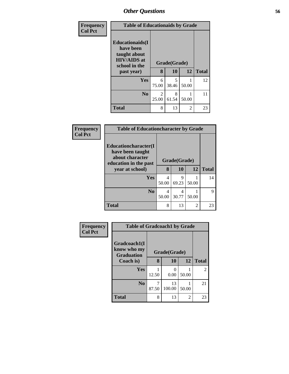| Frequency      | <b>Table of Educationaids by Grade</b>                                                                    |                                      |            |                |              |  |
|----------------|-----------------------------------------------------------------------------------------------------------|--------------------------------------|------------|----------------|--------------|--|
| <b>Col Pct</b> | <b>Educationaids</b> (I<br>have been<br>taught about<br><b>HIV/AIDS</b> at<br>school in the<br>past year) | Grade(Grade)<br><b>10</b><br>12<br>8 |            |                | <b>Total</b> |  |
|                | Yes                                                                                                       | 6<br>75.00                           | 5<br>38.46 | 50.00          | 12           |  |
|                | N <sub>0</sub>                                                                                            | 2<br>25.00                           | 8<br>61.54 | 50.00          | 11           |  |
|                | <b>Total</b>                                                                                              | 8                                    | 13         | $\mathfrak{D}$ | 23           |  |

| Frequency      | <b>Table of Educationcharacter by Grade</b>                                                  |              |            |                |              |  |  |
|----------------|----------------------------------------------------------------------------------------------|--------------|------------|----------------|--------------|--|--|
| <b>Col Pct</b> | <b>Educationcharacter</b> (I<br>have been taught<br>about character<br>education in the past | Grade(Grade) |            |                |              |  |  |
|                | year at school)                                                                              | 8            | 10         | 12             | <b>Total</b> |  |  |
|                | <b>Yes</b>                                                                                   | 4<br>50.00   | 9<br>69.23 | 50.00          | 14           |  |  |
|                | No.                                                                                          | 4<br>50.00   | 4<br>30.77 | 50.00          | 9            |  |  |
|                | <b>Total</b>                                                                                 | 8            | 13         | $\mathfrak{D}$ | 23           |  |  |

| Frequency      | <b>Table of Gradcoach1 by Grade</b>              |              |                       |       |                |
|----------------|--------------------------------------------------|--------------|-----------------------|-------|----------------|
| <b>Col Pct</b> | Gradcoach1(I<br>know who my<br><b>Graduation</b> | Grade(Grade) |                       |       |                |
|                | Coach is)                                        | 8            | 10                    | 12    | <b>Total</b>   |
|                | Yes                                              | 12.50        | $\mathcal{O}$<br>0.00 | 50.00 | $\overline{c}$ |
|                | N <sub>0</sub>                                   | 7<br>87.50   | 13<br>100.00          | 50.00 | 21             |
|                | <b>Total</b>                                     | 8            | 13                    | 2     | 23             |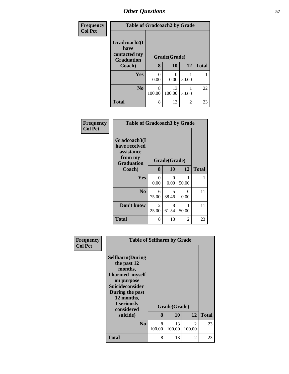| Frequency      | <b>Table of Gradcoach2 by Grade</b>  |             |                  |       |              |  |
|----------------|--------------------------------------|-------------|------------------|-------|--------------|--|
| <b>Col Pct</b> | Gradcoach2(I<br>have<br>contacted my |             | Grade(Grade)     |       |              |  |
|                | <b>Graduation</b><br>Coach)          | 8           | 10               | 12    | <b>Total</b> |  |
|                | Yes                                  | 0.00        | $\Omega$<br>0.00 | 50.00 |              |  |
|                | N <sub>0</sub>                       | 8<br>100.00 | 13<br>100.00     | 50.00 | 22           |  |
|                | <b>Total</b>                         | 8           | 13               | 2     | 23           |  |

| Frequency<br><b>Col Pct</b> | <b>Table of Gradcoach3 by Grade</b>                                         |                         |                  |           |              |  |  |  |
|-----------------------------|-----------------------------------------------------------------------------|-------------------------|------------------|-----------|--------------|--|--|--|
|                             | Gradcoach3(I<br>have received<br>assistance<br>from my<br><b>Graduation</b> | Grade(Grade)            |                  |           |              |  |  |  |
|                             | Coach)                                                                      | 8                       | 10               | 12        | <b>Total</b> |  |  |  |
|                             | Yes                                                                         | 0<br>0.00               | $\Omega$<br>0.00 | 50.00     | 1            |  |  |  |
|                             | N <sub>0</sub>                                                              | 6<br>75.00              | 5<br>38.46       | 0<br>0.00 | 11           |  |  |  |
|                             | Don't know                                                                  | $\mathfrak{D}$<br>25.00 | 8<br>61.54       | 50.00     | 11           |  |  |  |
|                             | <b>Total</b>                                                                | 8                       | 13               | 2         | 23           |  |  |  |

| Frequency<br><b>Col Pct</b> | <b>Table of Selfharm by Grade</b>                                                                                                                                          |             |              |                         |              |  |  |  |
|-----------------------------|----------------------------------------------------------------------------------------------------------------------------------------------------------------------------|-------------|--------------|-------------------------|--------------|--|--|--|
|                             | <b>Selfharm</b> (During<br>the past 12<br>months,<br>I harmed myself<br>on purpose<br><b>Suicideconsider</b><br>During the past<br>12 months,<br>I seriously<br>considered |             | Grade(Grade) |                         |              |  |  |  |
|                             | suicide)                                                                                                                                                                   | 8           | 10           | 12                      | <b>Total</b> |  |  |  |
|                             | N <sub>0</sub>                                                                                                                                                             | 8<br>100.00 | 13<br>100.00 | $\mathcal{L}$<br>100.00 | 23           |  |  |  |
|                             | <b>Total</b>                                                                                                                                                               | 8           | 13           | 2                       | 23           |  |  |  |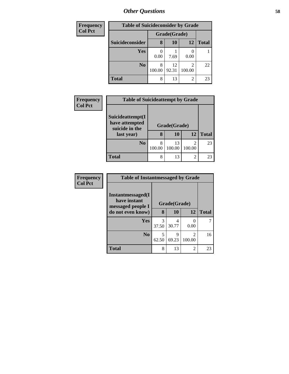| Frequency      | <b>Table of Suicideconsider by Grade</b> |              |             |                |              |  |  |
|----------------|------------------------------------------|--------------|-------------|----------------|--------------|--|--|
| <b>Col Pct</b> |                                          | Grade(Grade) |             |                |              |  |  |
|                | Suicideconsider                          | 8            | 10          | 12             | <b>Total</b> |  |  |
|                | Yes                                      | 0.00         | 7.69        | 0.00           |              |  |  |
|                | N <sub>0</sub>                           | 8<br>100.00  | 12<br>92.31 | 2<br>100.00    | 22           |  |  |
|                | <b>Total</b>                             | 8            | 13          | $\overline{2}$ | 23           |  |  |

| Frequency<br><b>Col Pct</b> | <b>Table of Suicideattempt by Grade</b>              |              |              |             |              |  |  |  |
|-----------------------------|------------------------------------------------------|--------------|--------------|-------------|--------------|--|--|--|
|                             | Suicideattempt(I<br>have attempted<br>suicide in the | Grade(Grade) |              |             |              |  |  |  |
|                             | last year)                                           | 8            | 10           | 12          | <b>Total</b> |  |  |  |
|                             | N <sub>0</sub>                                       | 8<br>100.00  | 13<br>100.00 | 2<br>100.00 | 23           |  |  |  |
|                             | <b>Total</b>                                         | 8            | 13           | 2           | 23           |  |  |  |

| <b>Frequency</b> |
|------------------|
| <b>Col Pct</b>   |

| <b>Table of Instantmessaged by Grade</b>               |            |              |             |              |  |  |  |  |  |
|--------------------------------------------------------|------------|--------------|-------------|--------------|--|--|--|--|--|
| Instantmessaged(I<br>have instant<br>messaged people I |            | Grade(Grade) |             |              |  |  |  |  |  |
| do not even know)                                      | 8          | 10           | 12          | <b>Total</b> |  |  |  |  |  |
| Yes                                                    | 3<br>37.50 | 30.77        | 0.00        |              |  |  |  |  |  |
| N <sub>0</sub>                                         | 5<br>62.50 | 9<br>69.23   | 2<br>100.00 | 16           |  |  |  |  |  |
| <b>Total</b>                                           | 8          | 13           | 2           | 23           |  |  |  |  |  |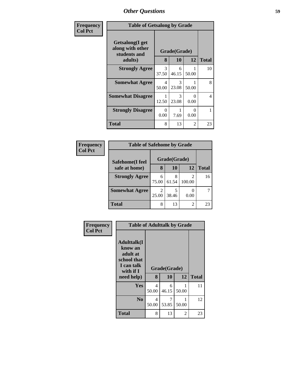| Frequency      |                                                     | <b>Table of Getsalong by Grade</b> |            |           |                |  |  |  |
|----------------|-----------------------------------------------------|------------------------------------|------------|-----------|----------------|--|--|--|
| <b>Col Pct</b> | Getsalong(I get<br>along with other<br>students and | Grade(Grade)                       |            |           |                |  |  |  |
|                | adults)                                             | 8                                  | 10         | 12        | <b>Total</b>   |  |  |  |
|                | <b>Strongly Agree</b>                               | 3<br>37.50                         | 6<br>46.15 | 50.00     | 10             |  |  |  |
|                | <b>Somewhat Agree</b>                               | 4<br>50.00                         | 3<br>23.08 | 50.00     | 8              |  |  |  |
|                | <b>Somewhat Disagree</b>                            | 12.50                              | 3<br>23.08 | 0<br>0.00 | $\overline{4}$ |  |  |  |
|                | <b>Strongly Disagree</b>                            | 0<br>0.00                          | 7.69       | 0<br>0.00 |                |  |  |  |
|                | <b>Total</b>                                        | 8                                  | 13         | 2         | 23             |  |  |  |

| Frequency      | <b>Table of Safehome by Grade</b> |            |              |             |              |
|----------------|-----------------------------------|------------|--------------|-------------|--------------|
| <b>Col Pct</b> | Safehome(I feel                   |            | Grade(Grade) |             |              |
|                | safe at home)                     | 8          | 10           | 12          | <b>Total</b> |
|                | <b>Strongly Agree</b>             | 6<br>75.00 | 8<br>61.54   | 2<br>100.00 | 16           |
|                | <b>Somewhat Agree</b>             | 2<br>25.00 | 5<br>38.46   | 0.00        |              |
|                | <b>Total</b>                      | 8          | 13           | 2           | 23           |

| Frequency      | <b>Table of Adulttalk by Grade</b>                                                                |            |                    |            |              |  |  |  |
|----------------|---------------------------------------------------------------------------------------------------|------------|--------------------|------------|--------------|--|--|--|
| <b>Col Pct</b> | <b>Adulttalk(I</b><br>know an<br>adult at<br>school that<br>I can talk<br>with if I<br>need help) | 8          | Grade(Grade)<br>10 | 12         | <b>Total</b> |  |  |  |
|                | Yes                                                                                               | 4<br>50.00 | 6<br>46.15         | 1<br>50.00 | 11           |  |  |  |
|                | N <sub>0</sub>                                                                                    | 4<br>50.00 | 53.85              | 50.00      | 12           |  |  |  |
|                | <b>Total</b>                                                                                      | 8          | 13                 | 2          | 23           |  |  |  |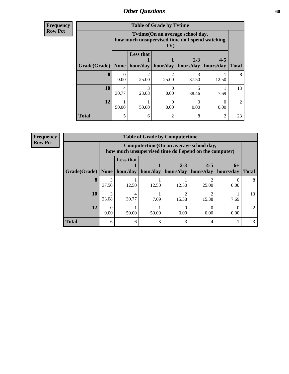**Frequency Row Pct**

| <b>Table of Grade by Tytime</b> |                  |                                                                                           |                  |                      |                      |              |  |  |  |
|---------------------------------|------------------|-------------------------------------------------------------------------------------------|------------------|----------------------|----------------------|--------------|--|--|--|
|                                 |                  | Tvtime (On an average school day,<br>how much unsupervised time do I spend watching<br>TV |                  |                      |                      |              |  |  |  |
| Grade(Grade)                    | <b>None</b>      | <b>Less that</b><br>hour/day                                                              | hour/day         | $2 - 3$<br>hours/day | $4 - 5$<br>hours/day | <b>Total</b> |  |  |  |
| 8                               | $\theta$<br>0.00 | $\mathcal{D}_{\mathcal{A}}$<br>25.00                                                      | 2<br>25.00       | 3<br>37.50           | 12.50                | 8            |  |  |  |
| 10                              | 4<br>30.77       | 3<br>23.08                                                                                | $\Omega$<br>0.00 | 5<br>38.46           | 7.69                 | 13           |  |  |  |
| 12                              | 50.00            | 50.00                                                                                     | 0<br>0.00        | 0<br>0.00            | $\Omega$<br>0.00     | 2            |  |  |  |
| <b>Total</b>                    | 5                | 6                                                                                         | 2                | 8                    | $\overline{2}$       | 23           |  |  |  |

| <b>Table of Grade by Computertime</b> |                        |                                                                                                   |          |                      |                      |                   |                |  |  |
|---------------------------------------|------------------------|---------------------------------------------------------------------------------------------------|----------|----------------------|----------------------|-------------------|----------------|--|--|
|                                       |                        | Computertime (On an average school day,<br>how much unsupervised time do I spend on the computer) |          |                      |                      |                   |                |  |  |
| Grade(Grade)                          | <b>None</b>            | <b>Less that</b><br>hour/day                                                                      | hour/day | $2 - 3$<br>hours/day | $4 - 5$<br>hours/day | $6+$<br>hours/day | <b>Total</b>   |  |  |
| 8                                     | 37.50                  | 12.50                                                                                             | 12.50    | 12.50                | 25.00                | 0.00              | 8              |  |  |
| 10                                    | $\mathcal{R}$<br>23.08 | 4<br>30.77                                                                                        | 7.69     | 15.38                | 15.38                | 7.69              | 13             |  |  |
| 12                                    | $\Omega$<br>0.00       | 50.00                                                                                             | 50.00    | 0.00                 | 0.00                 | 0.00              | $\mathfrak{D}$ |  |  |
| <b>Total</b>                          | 6                      | 6                                                                                                 | 3        | 3                    | 4                    |                   | 23             |  |  |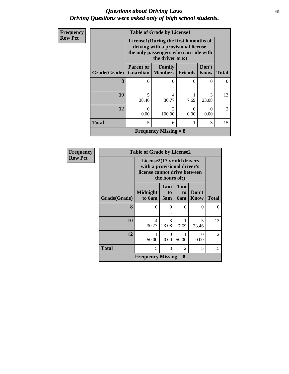### *Questions about Driving Laws* **61** *Driving Questions were asked only of high school students.*

| <b>Frequency</b> | <b>Table of Grade by License1</b> |                                                                                                                       |                                                 |                  |               |                             |  |  |  |
|------------------|-----------------------------------|-----------------------------------------------------------------------------------------------------------------------|-------------------------------------------------|------------------|---------------|-----------------------------|--|--|--|
| <b>Row Pct</b>   |                                   | License1(During the first 6 months of<br>driving with a provisional license,<br>the only passengers who can ride with |                                                 |                  |               |                             |  |  |  |
|                  | Grade(Grade)                      | <b>Parent or</b>                                                                                                      | Family<br><b>Guardian   Members   Friends  </b> |                  | Don't<br>Know | <b>Total</b>                |  |  |  |
|                  | 8                                 | 0                                                                                                                     | 0                                               | 0                | 0             |                             |  |  |  |
|                  | 10                                | $\overline{5}$<br>38.46                                                                                               | 4<br>30.77                                      | 7.69             | 3<br>23.08    | 13                          |  |  |  |
|                  | 12                                | $\Omega$<br>0.00                                                                                                      | っ<br>100.00                                     | $\Omega$<br>0.00 | 0<br>0.00     | $\mathcal{D}_{\mathcal{L}}$ |  |  |  |
|                  | <b>Total</b>                      | 5                                                                                                                     | 6                                               |                  | 3             | 15                          |  |  |  |
|                  |                                   |                                                                                                                       | <b>Frequency Missing = 8</b>                    |                  |               |                             |  |  |  |

| <b>Frequency</b> | <b>Table of Grade by License2</b> |                                                                                                             |                        |                         |                  |              |  |  |
|------------------|-----------------------------------|-------------------------------------------------------------------------------------------------------------|------------------------|-------------------------|------------------|--------------|--|--|
| <b>Row Pct</b>   |                                   | License2(17 yr old drivers<br>with a provisional driver's<br>license cannot drive between<br>the hours of:) |                        |                         |                  |              |  |  |
|                  | Grade(Grade)                      | <b>Midnight</b><br>to 6am                                                                                   | 1am<br>to<br>5am       | 1am<br>to<br><b>6am</b> | Don't<br>Know    | <b>Total</b> |  |  |
|                  | 8                                 | $\Omega$                                                                                                    | $\Omega$               | 0                       | 0                | 0            |  |  |
|                  | 10                                | 4<br>30.77                                                                                                  | $\mathcal{R}$<br>23.08 | 7.69                    | 5<br>38.46       | 13           |  |  |
|                  | 12                                | 1<br>50.00                                                                                                  | $\Omega$<br>0.00       | 50.00                   | $\Omega$<br>0.00 | 2            |  |  |
|                  | <b>Total</b>                      | 5                                                                                                           | 3                      | 2                       | 5                | 15           |  |  |
|                  | <b>Frequency Missing = 8</b>      |                                                                                                             |                        |                         |                  |              |  |  |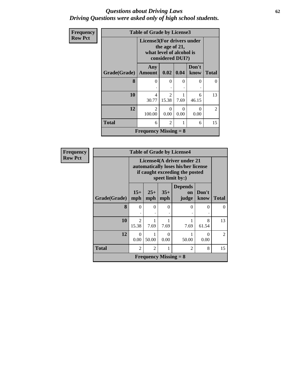#### *Questions about Driving Laws* **62** *Driving Questions were asked only of high school students.*

| Frequency      |              | <b>Table of Grade by License3</b>                                                            |                                      |           |                  |                |
|----------------|--------------|----------------------------------------------------------------------------------------------|--------------------------------------|-----------|------------------|----------------|
| <b>Row Pct</b> |              | License3(For drivers under<br>the age of 21,<br>what level of alcohol is<br>considered DUI?) |                                      |           |                  |                |
|                | Grade(Grade) | Any<br><b>Amount</b>                                                                         | 0.02                                 | 0.04      | Don't<br>know    | <b>Total</b>   |
|                | 8            | $\theta$                                                                                     | $\Omega$                             | $\Omega$  | $\theta$         | $\Omega$       |
|                | 10           | 4<br>30.77                                                                                   | $\mathcal{D}_{\mathcal{L}}$<br>15.38 | 7.69      | 6<br>46.15       | 13             |
|                | 12           | $\overline{2}$<br>100.00                                                                     | 0<br>0.00                            | 0<br>0.00 | $\Omega$<br>0.00 | $\overline{2}$ |
|                | <b>Total</b> | 6                                                                                            | $\mathfrak{D}$                       | 1         | 6                | 15             |
|                |              | <b>Frequency Missing = 8</b>                                                                 |                                      |           |                  |                |

| <b>Frequency</b> |                     |                         |                                                                                                                         |              | <b>Table of Grade by License4</b>    |               |                |  |
|------------------|---------------------|-------------------------|-------------------------------------------------------------------------------------------------------------------------|--------------|--------------------------------------|---------------|----------------|--|
| <b>Row Pct</b>   |                     |                         | License4(A driver under 21<br>automatically loses his/her license<br>if caught exceeding the posted<br>speet limit by:) |              |                                      |               |                |  |
|                  | <b>Grade(Grade)</b> | $15+$<br>mph            | $25+$<br>mph                                                                                                            | $35+$<br>mph | <b>Depends</b><br><b>on</b><br>judge | Don't<br>know | <b>Total</b>   |  |
|                  | 8                   | $\Omega$                | $\Omega$                                                                                                                | $\Omega$     | $\Omega$                             | $\Omega$      | $\Omega$       |  |
|                  | 10                  | $\mathfrak{D}$<br>15.38 | 7.69                                                                                                                    | 7.69         | 1<br>7.69                            | 8<br>61.54    | 13             |  |
|                  | 12                  | 0<br>0.00               | 50.00                                                                                                                   | 0<br>0.00    | 1<br>50.00                           | 0<br>0.00     | $\mathfrak{D}$ |  |
|                  | <b>Total</b>        | $\overline{2}$          | 15                                                                                                                      |              |                                      |               |                |  |
|                  |                     |                         | <b>Frequency Missing = <math>8</math></b>                                                                               |              |                                      |               |                |  |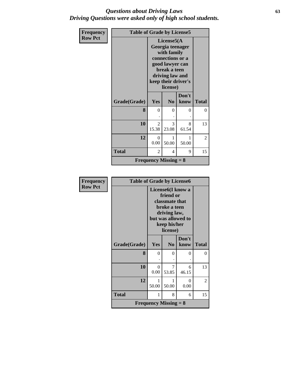### *Questions about Driving Laws* **63** *Driving Questions were asked only of high school students.*

| Frequency      | <b>Table of Grade by License5</b> |                         |                                                                                                                                                                |               |              |
|----------------|-----------------------------------|-------------------------|----------------------------------------------------------------------------------------------------------------------------------------------------------------|---------------|--------------|
| <b>Row Pct</b> |                                   |                         | License $5(A)$<br>Georgia teenager<br>with family<br>connections or a<br>good lawyer can<br>break a teen<br>driving law and<br>keep their driver's<br>license) |               |              |
|                | Grade(Grade)                      | Yes                     | N <sub>0</sub>                                                                                                                                                 | Don't<br>know | <b>Total</b> |
|                | 8                                 | $\theta$                | $\Omega$                                                                                                                                                       | 0             | 0            |
|                | 10                                | $\overline{2}$<br>15.38 | 3<br>23.08                                                                                                                                                     | 8<br>61.54    | 13           |
|                | 12                                | $\theta$<br>0.00        | 50.00                                                                                                                                                          | 1<br>50.00    | 2            |
|                | <b>Total</b>                      | 2                       | 4                                                                                                                                                              | 9             | 15           |
|                |                                   |                         | <b>Frequency Missing = 8</b>                                                                                                                                   |               |              |

| <b>Frequency</b> | <b>Table of Grade by License6</b> |                              |                                                                                                                                                          |            |              |  |
|------------------|-----------------------------------|------------------------------|----------------------------------------------------------------------------------------------------------------------------------------------------------|------------|--------------|--|
| <b>Row Pct</b>   |                                   |                              | License <sub>6</sub> (I know a<br>friend or<br>classmate that<br>broke a teen<br>driving law,<br>but was allowed to<br>keep his/her<br>license)<br>Don't |            |              |  |
|                  | Grade(Grade)                      | Yes                          | N <sub>0</sub>                                                                                                                                           | know       | <b>Total</b> |  |
|                  | 8                                 | $\Omega$                     | 0                                                                                                                                                        | 0          | $\theta$     |  |
|                  |                                   |                              |                                                                                                                                                          |            |              |  |
|                  | 10                                | $\Omega$<br>0.00             | 7<br>53.85                                                                                                                                               | 6<br>46.15 | 13           |  |
|                  | 12                                | 1<br>50.00                   | 1<br>50.00                                                                                                                                               | 0<br>0.00  | 2            |  |
|                  | <b>Total</b>                      | 1                            | 8                                                                                                                                                        | 6          | 15           |  |
|                  |                                   | <b>Frequency Missing = 8</b> |                                                                                                                                                          |            |              |  |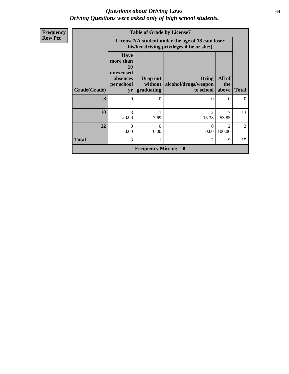### *Questions about Driving Laws* **64** *Driving Questions were asked only of high school students.*

| Frequency      | <b>Table of Grade by License7</b> |                                                                             |                                   |                                                                                               |                                       |              |  |  |  |
|----------------|-----------------------------------|-----------------------------------------------------------------------------|-----------------------------------|-----------------------------------------------------------------------------------------------|---------------------------------------|--------------|--|--|--|
| <b>Row Pct</b> |                                   |                                                                             |                                   | License7(A student under the age of 18 cam loser<br>his/her driving privileges if he or she:) |                                       |              |  |  |  |
|                | <b>Grade(Grade)</b>               | <b>Have</b><br>more than<br>10<br>unexcused<br>absences<br>per school<br>yr | Drop out<br>without<br>graduating | <b>Bring</b><br>alcohol/drugs/weapon<br>to school                                             | All of<br>the<br>above                | <b>Total</b> |  |  |  |
|                | 8                                 | 0                                                                           | $\theta$                          | 0                                                                                             | $\theta$                              | $\Omega$     |  |  |  |
|                | 10                                | 3<br>23.08                                                                  | 7.69                              | 2<br>15.38                                                                                    | 7<br>53.85                            | 13           |  |  |  |
|                | 12                                | $\theta$<br>0.00                                                            | $\Omega$<br>0.00                  | $\Omega$<br>0.00                                                                              | $\mathcal{D}_{\mathcal{A}}$<br>100.00 | 2            |  |  |  |
|                | <b>Total</b>                      | 3                                                                           |                                   | $\overline{2}$                                                                                | 9                                     | 15           |  |  |  |
|                |                                   |                                                                             | <b>Frequency Missing = 8</b>      |                                                                                               |                                       |              |  |  |  |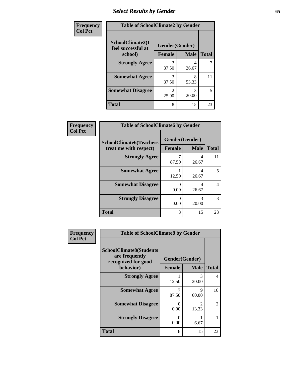## *Select Results by Gender* **65**

| Frequency      | <b>Table of SchoolClimate2 by Gender</b> |                                      |             |              |  |  |
|----------------|------------------------------------------|--------------------------------------|-------------|--------------|--|--|
| <b>Col Pct</b> | SchoolClimate2(I<br>feel successful at   | Gender(Gender)                       |             |              |  |  |
|                | school)                                  | <b>Female</b>                        | <b>Male</b> | <b>Total</b> |  |  |
|                | <b>Strongly Agree</b>                    | 3<br>37.50                           | 4<br>26.67  |              |  |  |
|                | <b>Somewhat Agree</b>                    | 3<br>37.50                           | 8<br>53.33  | 11           |  |  |
|                | <b>Somewhat Disagree</b>                 | $\mathcal{D}_{\mathcal{L}}$<br>25.00 | 3<br>20.00  | 5            |  |  |
|                | <b>Total</b>                             | 8                                    | 15          | 23           |  |  |

| <b>Frequency</b> | <b>Table of SchoolClimate6 by Gender</b>                 |                                 |             |                |  |  |  |  |
|------------------|----------------------------------------------------------|---------------------------------|-------------|----------------|--|--|--|--|
| <b>Col Pct</b>   | <b>SchoolClimate6(Teachers</b><br>treat me with respect) | Gender(Gender)<br><b>Female</b> | <b>Male</b> | <b>Total</b>   |  |  |  |  |
|                  | <b>Strongly Agree</b>                                    | 7<br>87.50                      | 4<br>26.67  | 11             |  |  |  |  |
|                  | <b>Somewhat Agree</b>                                    | 12.50                           | 4<br>26.67  | 5              |  |  |  |  |
|                  | <b>Somewhat Disagree</b>                                 | $\theta$<br>0.00                | 4<br>26.67  | $\overline{4}$ |  |  |  |  |
|                  | <b>Strongly Disagree</b>                                 | 0<br>0.00                       | 3<br>20.00  | 3              |  |  |  |  |
|                  | <b>Total</b>                                             | 8                               | 15          | 23             |  |  |  |  |

| <b>Frequency</b> | <b>Table of SchoolClimate8 by Gender</b>                                |                |                        |                |  |  |
|------------------|-------------------------------------------------------------------------|----------------|------------------------|----------------|--|--|
| <b>Col Pct</b>   | <b>SchoolClimate8(Students</b><br>are frequently<br>recognized for good | Gender(Gender) |                        |                |  |  |
|                  | behavior)                                                               | <b>Female</b>  | <b>Male</b>            | <b>Total</b>   |  |  |
|                  | <b>Strongly Agree</b>                                                   | 12.50          | 3<br>20.00             | 4              |  |  |
|                  | <b>Somewhat Agree</b>                                                   | 7<br>87.50     | Q<br>60.00             | 16             |  |  |
|                  | <b>Somewhat Disagree</b>                                                | 0<br>0.00      | $\mathcal{D}$<br>13.33 | $\overline{2}$ |  |  |
|                  | <b>Strongly Disagree</b>                                                | 0<br>0.00      | 6.67                   |                |  |  |
|                  | Total                                                                   | 8              | 15                     | 23             |  |  |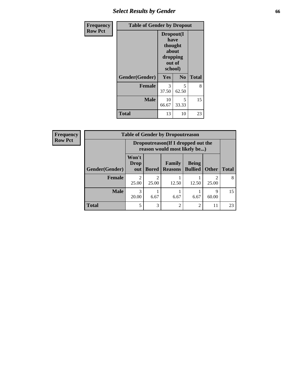## *Select Results by Gender* **66**

| <b>Frequency</b> | <b>Table of Gender by Dropout</b> |             |                                                                        |              |  |
|------------------|-----------------------------------|-------------|------------------------------------------------------------------------|--------------|--|
| <b>Row Pct</b>   |                                   |             | Dropout(I<br>have<br>thought<br>about<br>dropping<br>out of<br>school) |              |  |
|                  | Gender(Gender)                    | Yes         | N <sub>0</sub>                                                         | <b>Total</b> |  |
|                  | <b>Female</b>                     | 3<br>37.50  | 5<br>62.50                                                             | 8            |  |
|                  | <b>Male</b>                       | 10<br>66.67 | 5<br>33.33                                                             | 15           |  |
|                  | <b>Total</b>                      | 13          | 10                                                                     | 23           |  |

| <b>Frequency</b> |                | <b>Table of Gender by Dropoutreason</b> |                                                                     |                          |                                |              |              |  |
|------------------|----------------|-----------------------------------------|---------------------------------------------------------------------|--------------------------|--------------------------------|--------------|--------------|--|
| <b>Row Pct</b>   |                |                                         | Dropoutreason (If I dropped out the<br>reason would most likely be) |                          |                                |              |              |  |
|                  | Gender(Gender) | Won't<br>Drop<br>out                    | <b>Bored</b>                                                        | Family<br><b>Reasons</b> | <b>Being</b><br><b>Bullied</b> | <b>Other</b> | <b>Total</b> |  |
|                  | <b>Female</b>  | っ<br>25.00                              | $\mathfrak{D}$<br>25.00                                             | 12.50                    | 12.50                          | ി<br>25.00   | 8            |  |
|                  | <b>Male</b>    | 3<br>20.00                              | 6.67                                                                | 6.67                     | 6.67                           | 9<br>60.00   | 15           |  |
|                  | <b>Total</b>   | 5                                       | 3                                                                   | $\mathcal{D}$            | $\mathcal{D}$                  | 11           | 23           |  |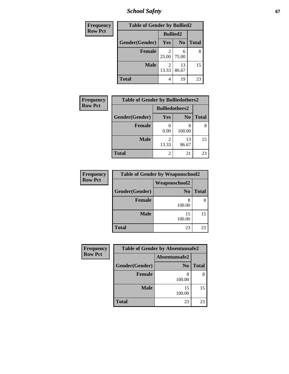*School Safety* **67**

| Frequency      | <b>Table of Gender by Bullied2</b> |                         |                |              |
|----------------|------------------------------------|-------------------------|----------------|--------------|
| <b>Row Pct</b> |                                    | <b>Bullied2</b>         |                |              |
|                | Gender(Gender)                     | Yes                     | N <sub>0</sub> | <b>Total</b> |
|                | <b>Female</b>                      | 25.00                   | 6<br>75.00     | 8            |
|                | <b>Male</b>                        | $\mathfrak{D}$<br>13.33 | 13<br>86.67    | 15           |
|                | <b>Total</b>                       | 4                       | 19             | 23           |

| <b>Frequency</b> | <b>Table of Gender by Bulliedothers2</b> |                       |                |              |
|------------------|------------------------------------------|-----------------------|----------------|--------------|
| <b>Row Pct</b>   |                                          | <b>Bulliedothers2</b> |                |              |
|                  | Gender(Gender)                           | <b>Yes</b>            | N <sub>0</sub> | <b>Total</b> |
|                  | <b>Female</b>                            | 0.00                  | 8<br>100.00    | 8            |
|                  | <b>Male</b>                              | 13.33                 | 13<br>86.67    | 15           |
|                  | Total                                    | 2                     | 21             | 23           |

| Frequency      | <b>Table of Gender by Weaponschool2</b> |                      |              |  |
|----------------|-----------------------------------------|----------------------|--------------|--|
| <b>Row Pct</b> |                                         | <b>Weaponschool2</b> |              |  |
|                | Gender(Gender)                          | N <sub>0</sub>       | <b>Total</b> |  |
|                | <b>Female</b>                           | 8<br>100.00          |              |  |
|                | <b>Male</b>                             | 15<br>100.00         | 15           |  |
|                | <b>Total</b>                            | 23                   | 23           |  |

| Frequency      |                | <b>Table of Gender by Absentunsafe2</b> |              |
|----------------|----------------|-----------------------------------------|--------------|
| <b>Row Pct</b> |                | Absentunsafe2                           |              |
|                | Gender(Gender) | N <sub>0</sub>                          | <b>Total</b> |
|                | Female         | 100.00                                  | 8            |
|                | <b>Male</b>    | 15<br>100.00                            | 15           |
|                | <b>Total</b>   | 23                                      | 23           |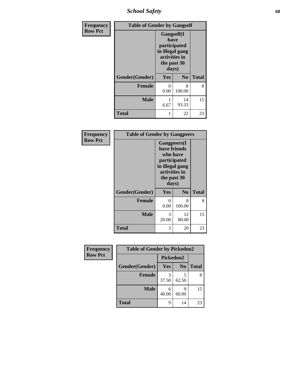*School Safety* **68**

| Frequency      | <b>Table of Gender by Gangself</b> |                                                                                                |                |              |
|----------------|------------------------------------|------------------------------------------------------------------------------------------------|----------------|--------------|
| <b>Row Pct</b> |                                    | Gangself(I<br>have<br>participated<br>in illegal gang<br>activities in<br>the past 30<br>days) |                |              |
|                | Gender(Gender)                     | Yes                                                                                            | N <sub>0</sub> | <b>Total</b> |
|                | <b>Female</b>                      | 0<br>0.00                                                                                      | 8<br>100.00    | 8            |
|                | <b>Male</b>                        | 6.67                                                                                           | 14<br>93.33    | 15           |
|                | <b>Total</b>                       |                                                                                                | 22             | 23           |

| Frequency      | <b>Table of Gender by Gangpeers</b> |                                                                                                                             |                |              |
|----------------|-------------------------------------|-----------------------------------------------------------------------------------------------------------------------------|----------------|--------------|
| <b>Row Pct</b> |                                     | <b>Gangpeers</b> (I<br>have friends<br>who have<br>participated<br>in illegal gang<br>activities in<br>the past 30<br>days) |                |              |
|                | Gender(Gender)                      | <b>Yes</b>                                                                                                                  | N <sub>0</sub> | <b>Total</b> |
|                | <b>Female</b>                       | 0<br>0.00                                                                                                                   | 8<br>100.00    | 8            |
|                | <b>Male</b>                         | 3<br>20.00                                                                                                                  | 12<br>80.00    | 15           |
|                | <b>Total</b>                        | 3                                                                                                                           | 20             | 23           |

| Frequency      | <b>Table of Gender by Pickedon2</b> |                  |                |              |  |
|----------------|-------------------------------------|------------------|----------------|--------------|--|
| <b>Row Pct</b> |                                     | <b>Pickedon2</b> |                |              |  |
|                | Gender(Gender)                      | <b>Yes</b>       | N <sub>0</sub> | <b>Total</b> |  |
|                | <b>Female</b>                       | 3<br>37.50       | 62.50          | 8            |  |
|                | <b>Male</b>                         | 6<br>40.00       | q<br>60.00     | 15           |  |
|                | <b>Total</b>                        | 9                | 14             | 23           |  |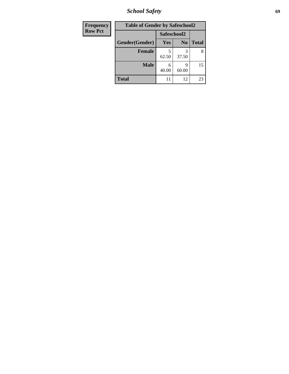*School Safety* **69**

| Frequency      | <b>Table of Gender by Safeschool2</b> |             |                |              |
|----------------|---------------------------------------|-------------|----------------|--------------|
| <b>Row Pct</b> |                                       | Safeschool2 |                |              |
|                | Gender(Gender)                        | Yes         | N <sub>0</sub> | <b>Total</b> |
|                | <b>Female</b>                         | 62.50       | 37.50          | 8            |
|                | <b>Male</b>                           | 6<br>40.00  | q<br>60.00     | 15           |
|                | <b>Total</b>                          | 11          | 12             | 23           |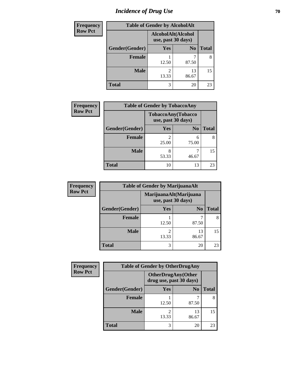# *Incidence of Drug Use* **70**

| <b>Frequency</b> | <b>Table of Gender by AlcoholAlt</b> |                                          |                |              |  |
|------------------|--------------------------------------|------------------------------------------|----------------|--------------|--|
| <b>Row Pct</b>   |                                      | AlcoholAlt(Alcohol<br>use, past 30 days) |                |              |  |
|                  | Gender(Gender)                       | <b>Yes</b>                               | N <sub>0</sub> | <b>Total</b> |  |
|                  | <b>Female</b>                        | 12.50                                    | 87.50          | 8            |  |
|                  | <b>Male</b>                          | $\mathfrak{D}$<br>13.33                  | 13<br>86.67    | 15           |  |
|                  | <b>Total</b>                         | 3                                        | 20             | 23           |  |

| <b>Frequency</b> |                | <b>Table of Gender by TobaccoAny</b> |                    |              |
|------------------|----------------|--------------------------------------|--------------------|--------------|
| <b>Row Pct</b>   |                | use, past 30 days)                   | TobaccoAny(Tobacco |              |
|                  | Gender(Gender) | Yes                                  | N <sub>0</sub>     | <b>Total</b> |
|                  | <b>Female</b>  | $\mathfrak{D}$<br>25.00              | 6<br>75.00         | 8            |
|                  | <b>Male</b>    | 8<br>53.33                           | 46.67              | 15           |
|                  | <b>Total</b>   | 10                                   | 13                 | 23           |

| <b>Frequency</b> | <b>Table of Gender by MarijuanaAlt</b>       |            |                |              |
|------------------|----------------------------------------------|------------|----------------|--------------|
| <b>Row Pct</b>   | MarijuanaAlt(Marijuana<br>use, past 30 days) |            |                |              |
|                  | Gender(Gender)                               | <b>Yes</b> | N <sub>0</sub> | <b>Total</b> |
|                  | <b>Female</b>                                | 12.50      | 87.50          |              |
|                  | <b>Male</b>                                  | 13.33      | 13<br>86.67    | 15           |
|                  | <b>Total</b>                                 | 3          | 20             | 23           |

| <b>Frequency</b> | <b>Table of Gender by OtherDrugAny</b> |                                                      |                |              |
|------------------|----------------------------------------|------------------------------------------------------|----------------|--------------|
| <b>Row Pct</b>   |                                        | <b>OtherDrugAny(Other</b><br>drug use, past 30 days) |                |              |
|                  | Gender(Gender)                         | Yes                                                  | N <sub>0</sub> | <b>Total</b> |
|                  | <b>Female</b>                          | 12.50                                                | 87.50          | 8            |
|                  | <b>Male</b>                            | 2<br>13.33                                           | 13<br>86.67    | 15           |
|                  | <b>Total</b>                           | 3                                                    | 20             | 23           |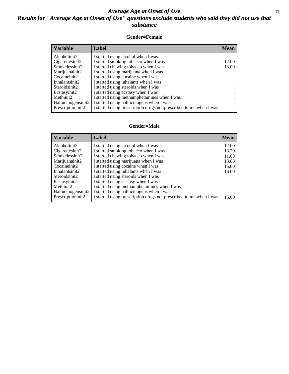### *Average Age at Onset of Use* **71** *Results for "Average Age at Onset of Use" questions exclude students who said they did not use that substance*

#### **Gender=Female**

| Label                                                              | <b>Mean</b> |
|--------------------------------------------------------------------|-------------|
| I started using alcohol when I was                                 |             |
| I started smoking tobacco when I was                               | 12.00       |
| I started chewing tobacco when I was                               | 13.00       |
| I started using marijuana when I was                               |             |
| I started using cocaine when I was                                 |             |
| I started using inhalants when I was                               |             |
| I started using steroids when I was                                |             |
| I started using ecstasy when I was                                 |             |
| I started using methamphetamines when I was                        |             |
| I started using hallucinogens when I was                           |             |
| I started using prescription drugs not prescribed to me when I was |             |
|                                                                    |             |

#### **Gender=Male**

| <b>Variable</b>    | Label                                                              | <b>Mean</b> |
|--------------------|--------------------------------------------------------------------|-------------|
| Alcoholinit2       | I started using alcohol when I was                                 | 12.00       |
| Cigarettesinit2    | I started smoking tobacco when I was                               | 13.20       |
| Smokelessinit2     | I started chewing tobacco when I was                               | 11.63       |
| Marijuanainit2     | I started using marijuana when I was                               | 13.88       |
| Cocaineinit2       | I started using cocaine when I was                                 | 15.00       |
| Inhalantsinit2     | I started using inhalants when I was                               | 16.00       |
| Steroidsinit2      | I started using steroids when I was                                |             |
| Ecstasyinit2       | I started using ecstasy when I was                                 |             |
| Methinit2          | I started using methamphetamines when I was                        |             |
| Hallucinogensinit2 | I started using hallucinogens when I was                           |             |
| Prescriptioninit2  | I started using prescription drugs not prescribed to me when I was | 15.00       |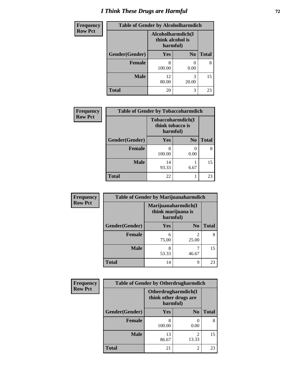# *I Think These Drugs are Harmful* **72**

| Frequency      | <b>Table of Gender by Alcoholharmdich</b> |                                                   |                |              |
|----------------|-------------------------------------------|---------------------------------------------------|----------------|--------------|
| <b>Row Pct</b> |                                           | Alcoholharmdich(I<br>think alcohol is<br>harmful) |                |              |
|                | Gender(Gender)                            | <b>Yes</b>                                        | N <sub>0</sub> | <b>Total</b> |
|                | <b>Female</b>                             | 8<br>100.00                                       | 0.00           | 8            |
|                | <b>Male</b>                               | 12<br>80.00                                       | 3<br>20.00     | 15           |
|                | <b>Total</b>                              | 20                                                | 3              | 23           |

| Frequency      | <b>Table of Gender by Tobaccoharmdich</b> |                                                   |                |              |
|----------------|-------------------------------------------|---------------------------------------------------|----------------|--------------|
| <b>Row Pct</b> |                                           | Tobaccoharmdich(I<br>think tobacco is<br>harmful) |                |              |
|                | Gender(Gender)                            | Yes                                               | N <sub>0</sub> | <b>Total</b> |
|                | <b>Female</b>                             | 8<br>100.00                                       | 0<br>0.00      | 8            |
|                | <b>Male</b>                               | 14<br>93.33                                       | 6.67           | 15           |
|                | <b>Total</b>                              | 22                                                |                | 23           |

| Frequency      | <b>Table of Gender by Marijuanaharmdich</b> |                                                       |                         |              |
|----------------|---------------------------------------------|-------------------------------------------------------|-------------------------|--------------|
| <b>Row Pct</b> |                                             | Marijuanaharmdich(I<br>think marijuana is<br>harmful) |                         |              |
|                | Gender(Gender)                              | <b>Yes</b>                                            | N <sub>0</sub>          | <b>Total</b> |
|                | <b>Female</b>                               | 6<br>75.00                                            | $\mathfrak{D}$<br>25.00 | 8            |
|                | <b>Male</b>                                 | 8<br>53.33                                            | 46.67                   | 15           |
|                | <b>Total</b>                                | 14                                                    | 9                       | 23           |

| Frequency      | <b>Table of Gender by Otherdrugharmdich</b> |                                                          |                |              |
|----------------|---------------------------------------------|----------------------------------------------------------|----------------|--------------|
| <b>Row Pct</b> |                                             | Otherdrugharmdich(I<br>think other drugs are<br>harmful) |                |              |
|                | Gender(Gender)                              | <b>Yes</b>                                               | N <sub>0</sub> | <b>Total</b> |
|                | <b>Female</b>                               | 8<br>100.00                                              | 0.00           | 8            |
|                | <b>Male</b>                                 | 13<br>86.67                                              | 2<br>13.33     | 15           |
|                | <b>Total</b>                                | 21                                                       | $\overline{c}$ | 23           |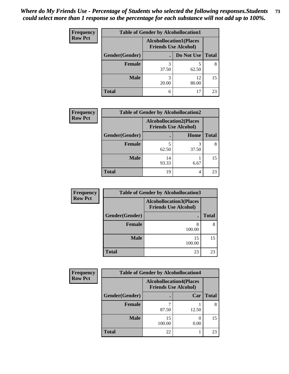| <b>Frequency</b> | <b>Table of Gender by Alcohollocation1</b> |                                                               |             |              |
|------------------|--------------------------------------------|---------------------------------------------------------------|-------------|--------------|
| <b>Row Pct</b>   |                                            | <b>Alcohollocation1(Places</b><br><b>Friends Use Alcohol)</b> |             |              |
|                  | Gender(Gender)                             |                                                               | Do Not Use  | <b>Total</b> |
|                  | <b>Female</b>                              | 3<br>37.50                                                    | 62.50       | 8            |
|                  | <b>Male</b>                                | 20.00                                                         | 12<br>80.00 | 15           |
|                  | <b>Total</b>                               | 6                                                             | 17          | 23           |

| <b>Frequency</b> |                | <b>Table of Gender by Alcohollocation2</b> |                             |              |
|------------------|----------------|--------------------------------------------|-----------------------------|--------------|
| <b>Row Pct</b>   |                | <b>Alcohollocation2(Places</b>             | <b>Friends Use Alcohol)</b> |              |
|                  | Gender(Gender) |                                            | Home                        | <b>Total</b> |
|                  | <b>Female</b>  | 62.50                                      | 37.50                       |              |
|                  | <b>Male</b>    | 14<br>93.33                                | 6.67                        | 15           |
|                  | <b>Total</b>   | 19                                         | 4                           | 23           |

| <b>Frequency</b> | <b>Table of Gender by Alcohollocation3</b> |                                                               |              |
|------------------|--------------------------------------------|---------------------------------------------------------------|--------------|
| <b>Row Pct</b>   |                                            | <b>Alcohollocation3(Places</b><br><b>Friends Use Alcohol)</b> |              |
|                  | Gender(Gender)                             |                                                               | <b>Total</b> |
|                  | <b>Female</b>                              | 8<br>100.00                                                   | 8            |
|                  | <b>Male</b>                                | 15<br>100.00                                                  | 15           |
|                  | <b>Total</b>                               | 23                                                            | 23           |

| <b>Frequency</b> | <b>Table of Gender by Alcohollocation4</b> |                                                               |       |              |
|------------------|--------------------------------------------|---------------------------------------------------------------|-------|--------------|
| <b>Row Pct</b>   |                                            | <b>Alcohollocation4(Places</b><br><b>Friends Use Alcohol)</b> |       |              |
|                  | Gender(Gender)                             |                                                               | Car   | <b>Total</b> |
|                  | <b>Female</b>                              | 87.50                                                         | 12.50 |              |
|                  | <b>Male</b>                                | 15<br>100.00                                                  | 0.00  | 15           |
|                  | <b>Total</b>                               | 22                                                            |       | 23           |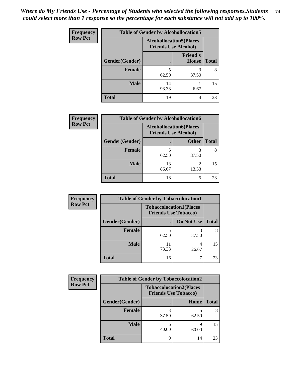| <b>Frequency</b> | <b>Table of Gender by Alcohollocation5</b> |                                                                |                                 |              |
|------------------|--------------------------------------------|----------------------------------------------------------------|---------------------------------|--------------|
| <b>Row Pct</b>   |                                            | <b>Alcohollocation5</b> (Places<br><b>Friends Use Alcohol)</b> |                                 |              |
|                  | Gender(Gender)                             |                                                                | <b>Friend's</b><br><b>House</b> | <b>Total</b> |
|                  | <b>Female</b>                              | 5<br>62.50                                                     | 3<br>37.50                      | 8            |
|                  | <b>Male</b>                                | 14<br>93.33                                                    | 6.67                            | 15           |
|                  | <b>Total</b>                               | 19                                                             | 4                               | 23           |

| Frequency      | <b>Table of Gender by Alcohollocation6</b> |                                                               |                         |              |
|----------------|--------------------------------------------|---------------------------------------------------------------|-------------------------|--------------|
| <b>Row Pct</b> |                                            | <b>Alcohollocation6(Places</b><br><b>Friends Use Alcohol)</b> |                         |              |
|                | Gender(Gender)                             |                                                               | <b>Other</b>            | <b>Total</b> |
|                | <b>Female</b>                              | 62.50                                                         | 37.50                   | 8            |
|                | <b>Male</b>                                | 13<br>86.67                                                   | $\mathfrak{D}$<br>13.33 | 15           |
|                | <b>Total</b>                               | 18                                                            | 5                       | 23           |

| Frequency      | <b>Table of Gender by Tobaccolocation1</b> |                                                               |            |              |
|----------------|--------------------------------------------|---------------------------------------------------------------|------------|--------------|
| <b>Row Pct</b> |                                            | <b>Tobaccolocation1(Places</b><br><b>Friends Use Tobacco)</b> |            |              |
|                | Gender(Gender)                             |                                                               | Do Not Use | <b>Total</b> |
|                | <b>Female</b>                              | 62.50                                                         | 37.50      |              |
|                | <b>Male</b>                                | 73.33                                                         | 26.67      | 15           |
|                | <b>Total</b>                               | 16                                                            |            | 23           |

| <b>Frequency</b> | <b>Table of Gender by Tobaccolocation2</b> |                                                               |            |              |
|------------------|--------------------------------------------|---------------------------------------------------------------|------------|--------------|
| <b>Row Pct</b>   |                                            | <b>Tobaccolocation2(Places</b><br><b>Friends Use Tobacco)</b> |            |              |
|                  | Gender(Gender)                             |                                                               | Home       | <b>Total</b> |
|                  | Female                                     | 37.50                                                         | 62.50      |              |
|                  | <b>Male</b>                                | 40.00                                                         | q<br>60.00 | 15           |
|                  | <b>Total</b>                               | റ                                                             | 14         | 23           |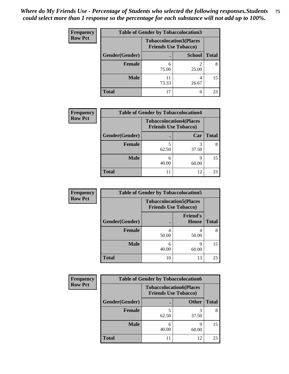| <b>Frequency</b> | <b>Table of Gender by Tobaccolocation3</b> |                                                               |               |              |
|------------------|--------------------------------------------|---------------------------------------------------------------|---------------|--------------|
| <b>Row Pct</b>   |                                            | <b>Tobaccolocation3(Places</b><br><b>Friends Use Tobacco)</b> |               |              |
|                  | Gender(Gender)                             | ٠                                                             | <b>School</b> | <b>Total</b> |
|                  | <b>Female</b>                              | 6<br>75.00                                                    | 25.00         |              |
|                  | <b>Male</b>                                | 73.33                                                         | 26.67         | 15           |
|                  | <b>Total</b>                               | 17                                                            | 6             | 23           |

| <b>Frequency</b> | <b>Table of Gender by Tobaccolocation4</b> |            |                                                               |              |
|------------------|--------------------------------------------|------------|---------------------------------------------------------------|--------------|
| <b>Row Pct</b>   |                                            |            | <b>Tobaccolocation4(Places</b><br><b>Friends Use Tobacco)</b> |              |
|                  | Gender(Gender)                             |            | Car                                                           | <b>Total</b> |
|                  | <b>Female</b>                              | 62.50      | 37.50                                                         |              |
|                  | <b>Male</b>                                | 6<br>40.00 | 60.00                                                         | 15           |
|                  | <b>Total</b>                               |            | 12                                                            | 23           |

| <b>Frequency</b> | <b>Table of Gender by Tobaccolocation5</b> |                                                               |                          |              |
|------------------|--------------------------------------------|---------------------------------------------------------------|--------------------------|--------------|
| <b>Row Pct</b>   |                                            | <b>Tobaccolocation5(Places</b><br><b>Friends Use Tobacco)</b> |                          |              |
|                  | Gender(Gender)                             |                                                               | <b>Friend's</b><br>House | <b>Total</b> |
|                  | <b>Female</b>                              | 4<br>50.00                                                    | 50.00                    | 8            |
|                  | <b>Male</b>                                | 6<br>40.00                                                    | q<br>60.00               | 15           |
|                  | <b>Total</b>                               | 10                                                            | 13                       | 23           |

| <b>Frequency</b> | <b>Table of Gender by Tobaccolocation6</b> |                                                               |              |              |
|------------------|--------------------------------------------|---------------------------------------------------------------|--------------|--------------|
| <b>Row Pct</b>   |                                            | <b>Tobaccolocation6(Places</b><br><b>Friends Use Tobacco)</b> |              |              |
|                  | Gender(Gender)                             |                                                               | <b>Other</b> | <b>Total</b> |
|                  | Female                                     | 62.50                                                         | 37.50        | 8            |
|                  | <b>Male</b>                                | 40.00                                                         | q<br>60.00   | 15           |
|                  | <b>Total</b>                               | 11                                                            | 12           | 23           |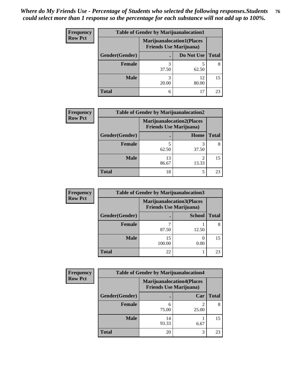| <b>Frequency</b> | <b>Table of Gender by Marijuanalocation1</b> |                                                                    |             |              |
|------------------|----------------------------------------------|--------------------------------------------------------------------|-------------|--------------|
| <b>Row Pct</b>   |                                              | <b>Marijuanalocation1(Places</b><br><b>Friends Use Marijuana</b> ) |             |              |
|                  | Gender(Gender)                               |                                                                    | Do Not Use  | <b>Total</b> |
|                  | <b>Female</b>                                | 37.50                                                              | 62.50       | 8            |
|                  | <b>Male</b>                                  | 20.00                                                              | 12<br>80.00 | 15           |
|                  | <b>Total</b>                                 | 6                                                                  | 17          | 23           |

| <b>Frequency</b> | <b>Table of Gender by Marijuanalocation2</b> |                                                                    |       |       |
|------------------|----------------------------------------------|--------------------------------------------------------------------|-------|-------|
| <b>Row Pct</b>   |                                              | <b>Marijuanalocation2(Places</b><br><b>Friends Use Marijuana</b> ) |       |       |
|                  | Gender(Gender)                               |                                                                    | Home  | Total |
|                  | <b>Female</b>                                | 62.50                                                              | 37.50 |       |
|                  | <b>Male</b>                                  | 13<br>86.67                                                        | 13.33 | 15    |
|                  | <b>Total</b>                                 | 18                                                                 | 5     | 23    |

| Frequency      |                | <b>Table of Gender by Marijuanalocation3</b>                       |               |              |
|----------------|----------------|--------------------------------------------------------------------|---------------|--------------|
| <b>Row Pct</b> |                | <b>Marijuanalocation3(Places</b><br><b>Friends Use Marijuana</b> ) |               |              |
|                | Gender(Gender) |                                                                    | <b>School</b> | <b>Total</b> |
|                | Female         | 87.50                                                              | 12.50         |              |
|                | <b>Male</b>    | 15<br>100.00                                                       | 0.00          | 15           |
|                | <b>Total</b>   | 22                                                                 |               | 23           |

| <b>Frequency</b> | <b>Table of Gender by Marijuanalocation4</b> |             |                                                                    |              |
|------------------|----------------------------------------------|-------------|--------------------------------------------------------------------|--------------|
| <b>Row Pct</b>   |                                              |             | <b>Marijuanalocation4(Places</b><br><b>Friends Use Marijuana</b> ) |              |
|                  | Gender(Gender)                               |             | Car                                                                | <b>Total</b> |
|                  | Female                                       | 75.00       | 25.00                                                              |              |
|                  | <b>Male</b>                                  | 14<br>93.33 | 6.67                                                               | 15           |
|                  | <b>Total</b>                                 | 20          | 3                                                                  | 23           |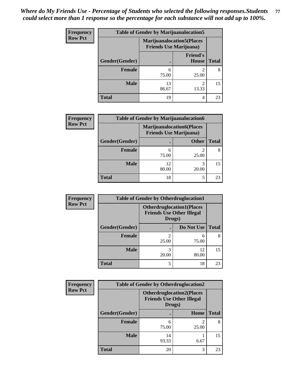| <b>Frequency</b> | <b>Table of Gender by Marijuanalocation5</b> |                                                                    |                          |              |
|------------------|----------------------------------------------|--------------------------------------------------------------------|--------------------------|--------------|
| <b>Row Pct</b>   |                                              | <b>Marijuanalocation5(Places</b><br><b>Friends Use Marijuana</b> ) |                          |              |
|                  | Gender(Gender)                               |                                                                    | <b>Friend's</b><br>House | <b>Total</b> |
|                  | <b>Female</b>                                | 6<br>75.00                                                         | 25.00                    | 8            |
|                  | <b>Male</b>                                  | 13<br>86.67                                                        | っ<br>13.33               | 15           |
|                  | <b>Total</b>                                 | 19                                                                 | 4                        | 23           |

| <b>Frequency</b> | <b>Table of Gender by Marijuanalocation6</b> |                                                                    |              |              |
|------------------|----------------------------------------------|--------------------------------------------------------------------|--------------|--------------|
| <b>Row Pct</b>   |                                              | <b>Marijuanalocation6(Places</b><br><b>Friends Use Marijuana</b> ) |              |              |
|                  | Gender(Gender)                               |                                                                    | <b>Other</b> | <b>Total</b> |
|                  | <b>Female</b>                                | 75.00                                                              | 25.00        | 8            |
|                  | <b>Male</b>                                  | 12<br>80.00                                                        | 3<br>20.00   | 15           |
|                  | Total                                        | 18                                                                 | 5            | 23           |

| <b>Frequency</b> | <b>Table of Gender by Otherdruglocation1</b> |                                            |                                  |              |
|------------------|----------------------------------------------|--------------------------------------------|----------------------------------|--------------|
| <b>Row Pct</b>   |                                              | <b>Friends Use Other Illegal</b><br>Drugs) | <b>Otherdruglocation1(Places</b> |              |
|                  | Gender(Gender)                               |                                            | Do Not Use                       | <b>Total</b> |
|                  | <b>Female</b>                                | 25.00                                      | 6<br>75.00                       | 8            |
|                  | <b>Male</b>                                  | 20.00                                      | 12<br>80.00                      | 15           |
|                  | <b>Total</b>                                 | 5                                          | 18                               | 23           |

| Frequency      | <b>Table of Gender by Otherdruglocation2</b> |             |                                                                      |              |
|----------------|----------------------------------------------|-------------|----------------------------------------------------------------------|--------------|
| <b>Row Pct</b> |                                              | Drugs)      | <b>Otherdruglocation2(Places</b><br><b>Friends Use Other Illegal</b> |              |
|                | Gender(Gender)                               |             | Home                                                                 | <b>Total</b> |
|                | <b>Female</b>                                | 6<br>75.00  | 25.00                                                                | 8            |
|                | <b>Male</b>                                  | 14<br>93.33 | 6.67                                                                 | 15           |
|                | <b>Total</b>                                 | 20          | 3                                                                    | 23           |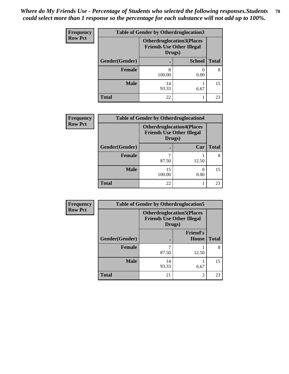| <b>Frequency</b> | <b>Table of Gender by Otherdruglocation3</b> |             |                                                                      |              |
|------------------|----------------------------------------------|-------------|----------------------------------------------------------------------|--------------|
| <b>Row Pct</b>   |                                              | Drugs)      | <b>Otherdruglocation3(Places</b><br><b>Friends Use Other Illegal</b> |              |
|                  | Gender(Gender)                               |             | <b>School</b>                                                        | <b>Total</b> |
|                  | Female                                       | 8<br>100.00 | 0.00                                                                 | 8            |
|                  | <b>Male</b>                                  | 14<br>93.33 | 6.67                                                                 | 15           |
|                  | <b>Total</b>                                 | 22          |                                                                      | 23           |

| <b>Frequency</b> | <b>Table of Gender by Otherdruglocation4</b> |                                            |                                  |              |
|------------------|----------------------------------------------|--------------------------------------------|----------------------------------|--------------|
| <b>Row Pct</b>   |                                              | <b>Friends Use Other Illegal</b><br>Drugs) | <b>Otherdruglocation4(Places</b> |              |
|                  | Gender(Gender)                               |                                            | Car                              | <b>Total</b> |
|                  | <b>Female</b>                                | 87.50                                      | 12.50                            | 8            |
|                  | <b>Male</b>                                  | 15<br>100.00                               | 0.00                             | 15           |
|                  | <b>Total</b>                                 | 22                                         |                                  | 23           |

| Frequency      | <b>Table of Gender by Otherdruglocation5</b> |             |                                                                      |              |
|----------------|----------------------------------------------|-------------|----------------------------------------------------------------------|--------------|
| <b>Row Pct</b> |                                              | Drugs)      | <b>Otherdruglocation5(Places</b><br><b>Friends Use Other Illegal</b> |              |
|                | Gender(Gender)                               |             | <b>Friend's</b><br><b>House</b>                                      | <b>Total</b> |
|                | <b>Female</b>                                | 87.50       | 12.50                                                                | 8            |
|                | <b>Male</b>                                  | 14<br>93.33 | 6.67                                                                 | 15           |
|                | <b>Total</b>                                 | 21          | $\overline{2}$                                                       | 23           |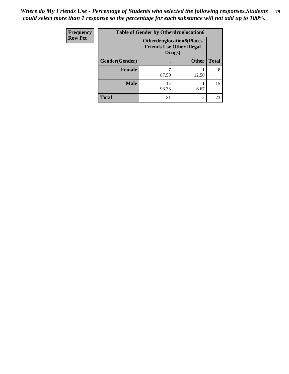| <b>Frequency</b> | <b>Table of Gender by Otherdruglocation6</b> |                                                                                |                |              |
|------------------|----------------------------------------------|--------------------------------------------------------------------------------|----------------|--------------|
| <b>Row Pct</b>   |                                              | <b>Otherdruglocation6(Places</b><br><b>Friends Use Other Illegal</b><br>Drugs) |                |              |
|                  | Gender(Gender)                               |                                                                                | <b>Other</b>   | <b>Total</b> |
|                  | Female                                       | 87.50                                                                          | 12.50          | 8            |
|                  | <b>Male</b>                                  | 14<br>93.33                                                                    | 6.67           | 15           |
|                  | <b>Total</b>                                 | 21                                                                             | $\mathfrak{D}$ | 23           |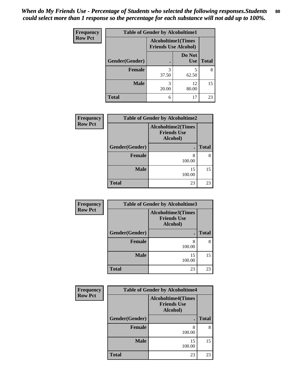| <b>Frequency</b> | <b>Table of Gender by Alcoholtime1</b> |                                                          |                      |              |
|------------------|----------------------------------------|----------------------------------------------------------|----------------------|--------------|
| <b>Row Pct</b>   |                                        | <b>Alcoholtime1(Times</b><br><b>Friends Use Alcohol)</b> |                      |              |
|                  | Gender(Gender)                         |                                                          | Do Not<br><b>Use</b> | <b>Total</b> |
|                  | <b>Female</b>                          | 3<br>37.50                                               | 5<br>62.50           | 8            |
|                  | <b>Male</b>                            | 3<br>20.00                                               | 12<br>80.00          | 15           |
|                  | <b>Total</b>                           | 6                                                        | 17                   | 23           |

| Frequency      | <b>Table of Gender by Alcoholtime2</b> |                                                             |              |
|----------------|----------------------------------------|-------------------------------------------------------------|--------------|
| <b>Row Pct</b> |                                        | <b>Alcoholtime2(Times</b><br><b>Friends Use</b><br>Alcohol) |              |
|                | Gender(Gender)                         |                                                             | <b>Total</b> |
|                | <b>Female</b>                          | 8<br>100.00                                                 | 8            |
|                | <b>Male</b>                            | 15<br>100.00                                                | 15           |
|                | <b>Total</b>                           | 23                                                          | 23           |

| Frequency      | <b>Table of Gender by Alcoholtime3</b> |              |              |  |
|----------------|----------------------------------------|--------------|--------------|--|
| <b>Row Pct</b> |                                        |              |              |  |
|                | Gender(Gender)                         |              | <b>Total</b> |  |
|                | <b>Female</b>                          | 8<br>100.00  | 8            |  |
|                | <b>Male</b>                            | 15<br>100.00 | 15           |  |
|                | <b>Total</b>                           | 23           | 23           |  |

| Frequency      | <b>Table of Gender by Alcoholtime4</b><br><b>Alcoholtime4(Times</b><br><b>Friends Use</b><br>Alcohol) |              |              |  |
|----------------|-------------------------------------------------------------------------------------------------------|--------------|--------------|--|
| <b>Row Pct</b> |                                                                                                       |              |              |  |
|                | Gender(Gender)                                                                                        |              | <b>Total</b> |  |
|                | <b>Female</b>                                                                                         | 8<br>100.00  | 8            |  |
|                | <b>Male</b>                                                                                           | 15<br>100.00 | 15           |  |
|                | <b>Total</b>                                                                                          | 23           | 23           |  |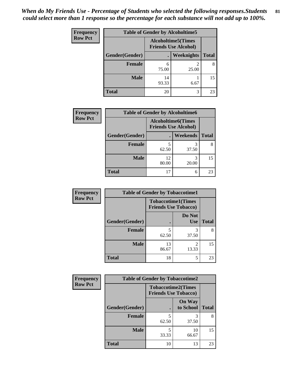| Frequency      | <b>Table of Gender by Alcoholtime5</b> |                                                           |            |              |  |
|----------------|----------------------------------------|-----------------------------------------------------------|------------|--------------|--|
| <b>Row Pct</b> |                                        | <b>Alcoholtime5</b> (Times<br><b>Friends Use Alcohol)</b> |            |              |  |
|                | Gender(Gender)                         |                                                           | Weeknights | <b>Total</b> |  |
|                | <b>Female</b>                          | 6<br>75.00                                                | 2<br>25.00 | 8            |  |
|                | <b>Male</b>                            | 14<br>93.33                                               | 6.67       | 15           |  |
|                | <b>Total</b>                           | 20                                                        | 3          | 23           |  |

| <b>Frequency</b> |                | <b>Table of Gender by Alcoholtime6</b>                    |            |              |
|------------------|----------------|-----------------------------------------------------------|------------|--------------|
| <b>Row Pct</b>   |                | <b>Alcoholtime6</b> (Times<br><b>Friends Use Alcohol)</b> |            |              |
|                  | Gender(Gender) |                                                           | Weekends   | <b>Total</b> |
|                  | <b>Female</b>  | 5<br>62.50                                                | 3<br>37.50 | 8            |
|                  | <b>Male</b>    | 12<br>80.00                                               | 3<br>20.00 | 15           |
|                  | <b>Total</b>   | 17                                                        | 6          | 23           |

| <b>Frequency</b> | <b>Table of Gender by Tobaccotime1</b> |                                                          |                      |              |
|------------------|----------------------------------------|----------------------------------------------------------|----------------------|--------------|
| <b>Row Pct</b>   |                                        | <b>Tobaccotime1(Times</b><br><b>Friends Use Tobacco)</b> |                      |              |
|                  | Gender(Gender)                         |                                                          | Do Not<br><b>Use</b> | <b>Total</b> |
|                  | Female                                 | 5<br>62.50                                               | 3<br>37.50           | 8            |
|                  | <b>Male</b>                            | 13<br>86.67                                              | 2<br>13.33           | 15           |
|                  | <b>Total</b>                           | 18                                                       | 5                    | 23           |

| <b>Frequency</b> |                | <b>Table of Gender by Tobaccotime2</b>                   |                            |              |
|------------------|----------------|----------------------------------------------------------|----------------------------|--------------|
| <b>Row Pct</b>   |                | <b>Tobaccotime2(Times</b><br><b>Friends Use Tobacco)</b> |                            |              |
|                  | Gender(Gender) |                                                          | <b>On Way</b><br>to School | <b>Total</b> |
|                  | <b>Female</b>  | 5<br>62.50                                               | 3<br>37.50                 | 8            |
|                  | <b>Male</b>    | 5<br>33.33                                               | 10<br>66.67                | 15           |
|                  | <b>Total</b>   | 10                                                       | 13                         | 23           |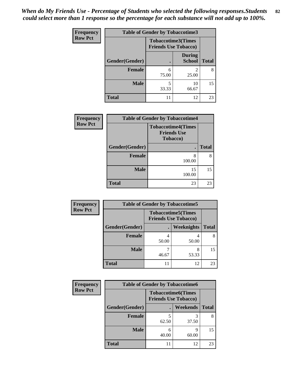| <b>Frequency</b> | <b>Table of Gender by Tobaccotime3</b> |                                                          |                                |              |
|------------------|----------------------------------------|----------------------------------------------------------|--------------------------------|--------------|
| <b>Row Pct</b>   |                                        | <b>Tobaccotime3(Times</b><br><b>Friends Use Tobacco)</b> |                                |              |
|                  | Gender(Gender)                         |                                                          | <b>During</b><br><b>School</b> | <b>Total</b> |
|                  | <b>Female</b>                          | 6<br>75.00                                               | 2<br>25.00                     | 8            |
|                  | <b>Male</b>                            | 5<br>33.33                                               | 10<br>66.67                    | 15           |
|                  | <b>Total</b>                           |                                                          | 12                             | 23           |

| Frequency      | <b>Table of Gender by Tobaccotime4</b> |                                                                     |              |  |
|----------------|----------------------------------------|---------------------------------------------------------------------|--------------|--|
| <b>Row Pct</b> |                                        | <b>Tobaccotime4(Times</b><br><b>Friends Use</b><br><b>Tobacco</b> ) |              |  |
|                | <b>Gender</b> (Gender)                 |                                                                     | <b>Total</b> |  |
|                | <b>Female</b>                          | 8<br>100.00                                                         | 8            |  |
|                | <b>Male</b>                            | 15<br>100.00                                                        | 15           |  |
|                | <b>Total</b>                           | 23                                                                  | 23           |  |

| Frequency      | <b>Table of Gender by Tobaccotime5</b> |                                                          |                   |              |  |
|----------------|----------------------------------------|----------------------------------------------------------|-------------------|--------------|--|
| <b>Row Pct</b> |                                        | <b>Tobaccotime5(Times</b><br><b>Friends Use Tobacco)</b> |                   |              |  |
|                | Gender(Gender)                         |                                                          | <b>Weeknights</b> | <b>Total</b> |  |
|                | Female                                 | 50.00                                                    | 50.00             | 8            |  |
|                | <b>Male</b>                            | 46.67                                                    | 8<br>53.33        | 15           |  |
|                | <b>Total</b>                           | 11                                                       | 12                | 23           |  |

| <b>Frequency</b> | <b>Table of Gender by Tobaccotime6</b> |                             |                           |              |
|------------------|----------------------------------------|-----------------------------|---------------------------|--------------|
| <b>Row Pct</b>   |                                        | <b>Friends Use Tobacco)</b> | <b>Tobaccotime6(Times</b> |              |
|                  | Gender(Gender)                         |                             | Weekends                  | <b>Total</b> |
|                  | Female                                 | 62.50                       | 37.50                     | 8            |
|                  | <b>Male</b>                            | 6<br>40.00                  | q<br>60.00                | 15           |
|                  | <b>Total</b>                           |                             | 12                        | 23           |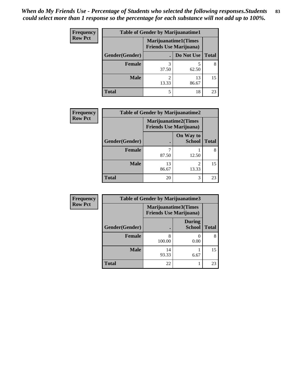*When do My Friends Use - Percentage of Students who selected the following responses.Students could select more than 1 response so the percentage for each substance will not add up to 100%.* **83**

| <b>Frequency</b> | <b>Table of Gender by Marijuanatime1</b> |                                |                              |              |  |
|------------------|------------------------------------------|--------------------------------|------------------------------|--------------|--|
| <b>Row Pct</b>   |                                          | <b>Friends Use Marijuana</b> ) | <b>Marijuanatime1</b> (Times |              |  |
|                  | Gender(Gender)                           |                                | Do Not Use                   | <b>Total</b> |  |
|                  | <b>Female</b>                            | 37.50                          | 62.50                        | 8            |  |
|                  | <b>Male</b>                              | 2<br>13.33                     | 13<br>86.67                  | 15           |  |
|                  | <b>Total</b>                             | 5                              | 18                           | 23           |  |

| <b>Frequency</b> |                | <b>Table of Gender by Marijuanatime2</b>                      |                            |              |
|------------------|----------------|---------------------------------------------------------------|----------------------------|--------------|
| <b>Row Pct</b>   |                | <b>Marijuanatime2(Times</b><br><b>Friends Use Marijuana</b> ) |                            |              |
|                  | Gender(Gender) |                                                               | On Way to<br><b>School</b> | <b>Total</b> |
|                  | <b>Female</b>  | 87.50                                                         | 12.50                      |              |
|                  | <b>Male</b>    | 13<br>86.67                                                   | $\mathfrak{D}$<br>13.33    | 15           |
|                  | <b>Total</b>   | 20                                                            | 3                          | 23           |

| <b>Frequency</b> | <b>Table of Gender by Marijuanatime3</b> |                                                        |                                |              |
|------------------|------------------------------------------|--------------------------------------------------------|--------------------------------|--------------|
| <b>Row Pct</b>   |                                          | Marijuanatime3(Times<br><b>Friends Use Marijuana</b> ) |                                |              |
|                  | Gender(Gender)                           |                                                        | <b>During</b><br><b>School</b> | <b>Total</b> |
|                  | <b>Female</b>                            | 8<br>100.00                                            | $\theta$<br>0.00               | 8            |
|                  | <b>Male</b>                              | 14<br>93.33                                            | 6.67                           | 15           |
|                  | <b>Total</b>                             | 22                                                     |                                | 23           |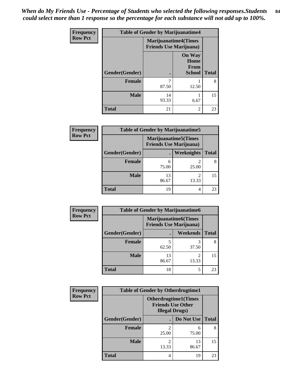*When do My Friends Use - Percentage of Students who selected the following responses.Students could select more than 1 response so the percentage for each substance will not add up to 100%.* **84**

| Frequency      | <b>Table of Gender by Marijuanatime4</b> |                                                                |                                                       |              |
|----------------|------------------------------------------|----------------------------------------------------------------|-------------------------------------------------------|--------------|
| <b>Row Pct</b> |                                          | <b>Marijuanatime4</b> (Times<br><b>Friends Use Marijuana</b> ) |                                                       |              |
|                | Gender(Gender)                           |                                                                | <b>On Way</b><br>Home<br><b>From</b><br><b>School</b> | <b>Total</b> |
|                | <b>Female</b>                            | 7<br>87.50                                                     | 12.50                                                 | 8            |
|                | <b>Male</b>                              | 14<br>93.33                                                    | 6.67                                                  | 15           |
|                | <b>Total</b>                             | 21                                                             | $\overline{2}$                                        | 23           |

| <b>Frequency</b> | <b>Table of Gender by Marijuanatime5</b> |             |                                                                |              |
|------------------|------------------------------------------|-------------|----------------------------------------------------------------|--------------|
| <b>Row Pct</b>   |                                          |             | <b>Marijuanatime5</b> (Times<br><b>Friends Use Marijuana</b> ) |              |
|                  | Gender(Gender)                           |             | Weeknights                                                     | <b>Total</b> |
|                  | <b>Female</b>                            | h<br>75.00  | 25.00                                                          | 8            |
|                  | <b>Male</b>                              | 13<br>86.67 | 13.33                                                          | 15           |
|                  | <b>Total</b>                             | 19          | 4                                                              | 23           |

| <b>Frequency</b> | <b>Table of Gender by Marijuanatime6</b> |                                |                             |              |
|------------------|------------------------------------------|--------------------------------|-----------------------------|--------------|
| <b>Row Pct</b>   |                                          | <b>Friends Use Marijuana</b> ) | <b>Marijuanatime6(Times</b> |              |
|                  | Gender(Gender)                           | $\bullet$                      | <b>Weekends</b>             | <b>Total</b> |
|                  | Female                                   | 62.50                          | 37.50                       |              |
|                  | <b>Male</b>                              | 13<br>86.67                    | $\mathfrak{D}$<br>13.33     | 15           |
|                  | Total                                    | 18                             | 5                           | 23           |

| <b>Frequency</b> | <b>Table of Gender by Otherdrugtime1</b> |                                                                                   |             |              |
|------------------|------------------------------------------|-----------------------------------------------------------------------------------|-------------|--------------|
| <b>Row Pct</b>   |                                          | <b>Otherdrugtime1(Times</b><br><b>Friends Use Other</b><br><b>Illegal Drugs</b> ) |             |              |
|                  | Gender(Gender)                           |                                                                                   | Do Not Use  | <b>Total</b> |
|                  | <b>Female</b>                            | 25.00                                                                             | 6<br>75.00  | 8            |
|                  | <b>Male</b>                              | 13.33                                                                             | 13<br>86.67 | 15           |
|                  | <b>Total</b>                             | 4                                                                                 | 19          | 23           |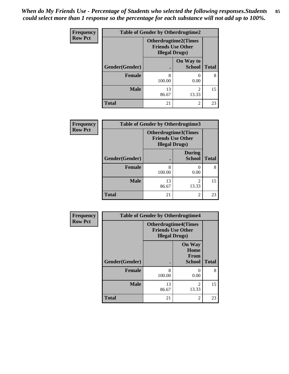*When do My Friends Use - Percentage of Students who selected the following responses.Students could select more than 1 response so the percentage for each substance will not add up to 100%.* **85**

| <b>Frequency</b> | <b>Table of Gender by Otherdrugtime2</b> |                                                                                   |                            |              |
|------------------|------------------------------------------|-----------------------------------------------------------------------------------|----------------------------|--------------|
| <b>Row Pct</b>   |                                          | <b>Otherdrugtime2(Times</b><br><b>Friends Use Other</b><br><b>Illegal Drugs</b> ) |                            |              |
|                  | Gender(Gender)                           | $\bullet$                                                                         | On Way to<br><b>School</b> | <b>Total</b> |
|                  | <b>Female</b>                            | 8<br>100.00                                                                       | $\Omega$<br>0.00           | 8            |
|                  | <b>Male</b>                              | 13<br>86.67                                                                       | $\mathfrak{D}$<br>13.33    | 15           |
|                  | <b>Total</b>                             | 21                                                                                | $\mathfrak{D}$             | 23           |

| Frequency      | <b>Table of Gender by Otherdrugtime3</b> |                                                                            |                                |              |
|----------------|------------------------------------------|----------------------------------------------------------------------------|--------------------------------|--------------|
| <b>Row Pct</b> |                                          | Otherdrugtime3(Times<br><b>Friends Use Other</b><br><b>Illegal Drugs</b> ) |                                |              |
|                | Gender(Gender)                           |                                                                            | <b>During</b><br><b>School</b> | <b>Total</b> |
|                | <b>Female</b>                            | 8<br>100.00                                                                | 0.00                           | 8            |
|                | <b>Male</b>                              | 13<br>86.67                                                                | $\mathfrak{D}$<br>13.33        | 15           |
|                | <b>Total</b>                             | 21                                                                         | $\mathfrak{D}$                 | 23           |

| <b>Frequency</b> | <b>Table of Gender by Otherdrugtime4</b> |                                                                                   |                                                       |              |
|------------------|------------------------------------------|-----------------------------------------------------------------------------------|-------------------------------------------------------|--------------|
| <b>Row Pct</b>   |                                          | <b>Otherdrugtime4(Times</b><br><b>Friends Use Other</b><br><b>Illegal Drugs</b> ) |                                                       |              |
|                  | Gender(Gender)                           |                                                                                   | <b>On Way</b><br>Home<br><b>From</b><br><b>School</b> | <b>Total</b> |
|                  | <b>Female</b>                            | 8<br>100.00                                                                       | 0<br>0.00                                             | 8            |
|                  | <b>Male</b>                              | 13<br>86.67                                                                       | $\overline{2}$<br>13.33                               | 15           |
|                  | <b>Total</b>                             | 21                                                                                | $\mathfrak{D}$                                        | 23           |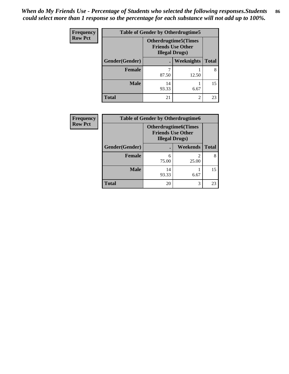| <b>Frequency</b> | <b>Table of Gender by Otherdrugtime5</b> |                                                                                   |                   |              |
|------------------|------------------------------------------|-----------------------------------------------------------------------------------|-------------------|--------------|
| <b>Row Pct</b>   |                                          | <b>Otherdrugtime5</b> (Times<br><b>Friends Use Other</b><br><b>Illegal Drugs)</b> |                   |              |
|                  | Gender(Gender)                           |                                                                                   | <b>Weeknights</b> | <b>Total</b> |
|                  | <b>Female</b>                            | 87.50                                                                             | 12.50             | 8            |
|                  | <b>Male</b>                              | 14<br>93.33                                                                       | 6.67              | 15           |
|                  | <b>Total</b>                             | 21                                                                                | 2                 | 23           |

| Frequency      | <b>Table of Gender by Otherdrugtime6</b> |                                                                                    |                 |              |
|----------------|------------------------------------------|------------------------------------------------------------------------------------|-----------------|--------------|
| <b>Row Pct</b> |                                          | <b>Otherdrugtime6</b> (Times<br><b>Friends Use Other</b><br><b>Illegal Drugs</b> ) |                 |              |
|                | Gender(Gender)                           |                                                                                    | <b>Weekends</b> | <b>Total</b> |
|                | <b>Female</b>                            | 6<br>75.00                                                                         | 25.00           | 8            |
|                | <b>Male</b>                              | 14<br>93.33                                                                        | 6.67            | 15           |
|                | <b>Total</b>                             | 20                                                                                 | 3               | 23           |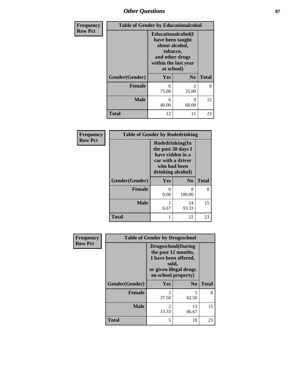# *Other Questions* **87**

| Frequency      | <b>Table of Gender by Educationalcohol</b> |                                                                                                                                       |                |              |
|----------------|--------------------------------------------|---------------------------------------------------------------------------------------------------------------------------------------|----------------|--------------|
| <b>Row Pct</b> |                                            | <b>Educationalcohol</b> (I<br>have been taught<br>about alcohol,<br>tobacco,<br>and other drugs<br>within the last year<br>at school) |                |              |
|                | Gender(Gender)                             | Yes                                                                                                                                   | N <sub>0</sub> | <b>Total</b> |
|                | <b>Female</b>                              | 6<br>75.00                                                                                                                            | 2<br>25.00     | 8            |
|                | <b>Male</b>                                | 6<br>40.00                                                                                                                            | 9<br>60.00     | 15           |
|                | <b>Total</b>                               | 12                                                                                                                                    | 11             | 23           |

| Frequency      | <b>Table of Gender by Rodedrinking</b> |                                                                                                                     |                |              |
|----------------|----------------------------------------|---------------------------------------------------------------------------------------------------------------------|----------------|--------------|
| <b>Row Pct</b> |                                        | Rodedrinking(In<br>the past 30 days I<br>have ridden in a<br>car with a driver<br>who had been<br>drinking alcohol) |                |              |
|                | Gender(Gender)                         | Yes                                                                                                                 | N <sub>0</sub> | <b>Total</b> |
|                | <b>Female</b>                          | 0<br>0.00                                                                                                           | 8<br>100.00    | 8            |
|                | <b>Male</b>                            | 6.67                                                                                                                | 14<br>93.33    | 15           |
|                | <b>Total</b>                           |                                                                                                                     | 22             | 23           |

| Frequency      | <b>Table of Gender by Drugsschool</b> |                                                                                                                                     |                |              |
|----------------|---------------------------------------|-------------------------------------------------------------------------------------------------------------------------------------|----------------|--------------|
| <b>Row Pct</b> |                                       | <b>Drugsschool</b> (During<br>the past 12 months,<br>I have been offered,<br>sold,<br>or given illegal drugs<br>on school property) |                |              |
|                | Gender(Gender)                        | <b>Yes</b>                                                                                                                          | N <sub>0</sub> | <b>Total</b> |
|                | <b>Female</b>                         | 3<br>37.50                                                                                                                          | 5<br>62.50     | 8            |
|                | <b>Male</b>                           | 2<br>13.33                                                                                                                          | 13<br>86.67    | 15           |
|                | <b>Total</b>                          | 5                                                                                                                                   | 18             | 23           |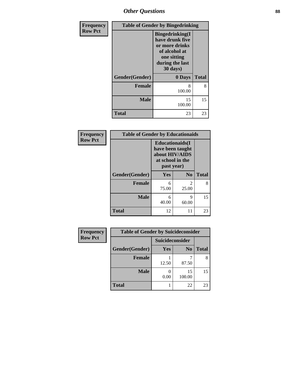*Other Questions* **88**

| Frequency      |                | <b>Table of Gender by Bingedrinking</b>                                                                                     |              |
|----------------|----------------|-----------------------------------------------------------------------------------------------------------------------------|--------------|
| <b>Row Pct</b> |                | <b>Bingedrinking</b> (I<br>have drunk five<br>or more drinks<br>of alcohol at<br>one sitting<br>during the last<br>30 days) |              |
|                | Gender(Gender) | 0 Days                                                                                                                      | <b>Total</b> |
|                | <b>Female</b>  | 8<br>100.00                                                                                                                 | 8            |
|                | <b>Male</b>    | 15<br>100.00                                                                                                                | 15           |
|                | <b>Total</b>   | 23                                                                                                                          | 23           |

| Frequency      | <b>Table of Gender by Educationaids</b> |                                                                                                 |                |              |
|----------------|-----------------------------------------|-------------------------------------------------------------------------------------------------|----------------|--------------|
| <b>Row Pct</b> |                                         | <b>Educationaids</b> (I<br>have been taught<br>about HIV/AIDS<br>at school in the<br>past year) |                |              |
|                | Gender(Gender)                          | Yes                                                                                             | $\mathbf{N_0}$ | <b>Total</b> |
|                | <b>Female</b>                           | 6<br>75.00                                                                                      | 2<br>25.00     | 8            |
|                | <b>Male</b>                             | 6<br>40.00                                                                                      | 9<br>60.00     | 15           |
|                | <b>Total</b>                            | 12                                                                                              | 11             | 23           |

| <b>Frequency</b> | <b>Table of Gender by Suicideconsider</b> |                 |                |              |
|------------------|-------------------------------------------|-----------------|----------------|--------------|
| <b>Row Pct</b>   |                                           | Suicideconsider |                |              |
|                  | Gender(Gender)                            | Yes             | N <sub>0</sub> | <b>Total</b> |
|                  | <b>Female</b>                             | 12.50           | 87.50          | 8            |
|                  | <b>Male</b>                               | 0.00            | 15<br>100.00   | 15           |
|                  | <b>Total</b>                              |                 | 22             | 23           |